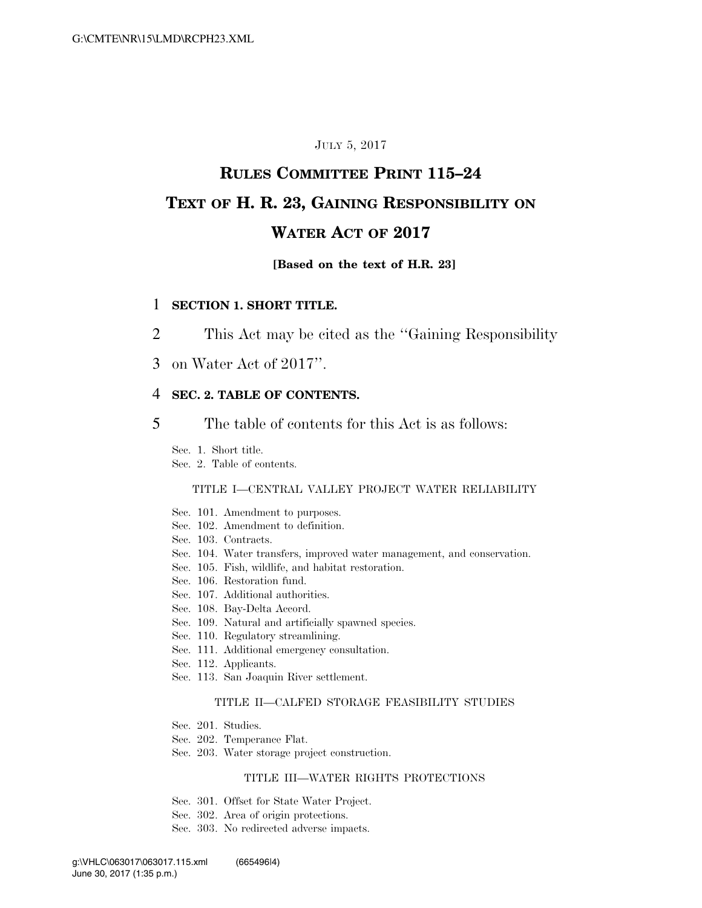# JULY 5, 2017

# **RULES COMMITTEE PRINT 115–24 TEXT OF H. R. 23, GAINING RESPONSIBILITY ON WATER ACT OF 2017**

### **[Based on the text of H.R. 23]**

### 1 **SECTION 1. SHORT TITLE.**

- 2 This Act may be cited as the ''Gaining Responsibility
- 3 on Water Act of 2017''.

### 4 **SEC. 2. TABLE OF CONTENTS.**

5 The table of contents for this Act is as follows:

Sec. 1. Short title.

Sec. 2. Table of contents.

### TITLE I—CENTRAL VALLEY PROJECT WATER RELIABILITY

- Sec. 101. Amendment to purposes.
- Sec. 102. Amendment to definition.
- Sec. 103. Contracts.
- Sec. 104. Water transfers, improved water management, and conservation.
- Sec. 105. Fish, wildlife, and habitat restoration.
- Sec. 106. Restoration fund.
- Sec. 107. Additional authorities.
- Sec. 108. Bay-Delta Accord.
- Sec. 109. Natural and artificially spawned species.
- Sec. 110. Regulatory streamlining.
- Sec. 111. Additional emergency consultation.
- Sec. 112. Applicants.
- Sec. 113. San Joaquin River settlement.

#### TITLE II—CALFED STORAGE FEASIBILITY STUDIES

- Sec. 201. Studies.
- Sec. 202. Temperance Flat.
- Sec. 203. Water storage project construction.

### TITLE III—WATER RIGHTS PROTECTIONS

- Sec. 301. Offset for State Water Project.
- Sec. 302. Area of origin protections.
- Sec. 303. No redirected adverse impacts.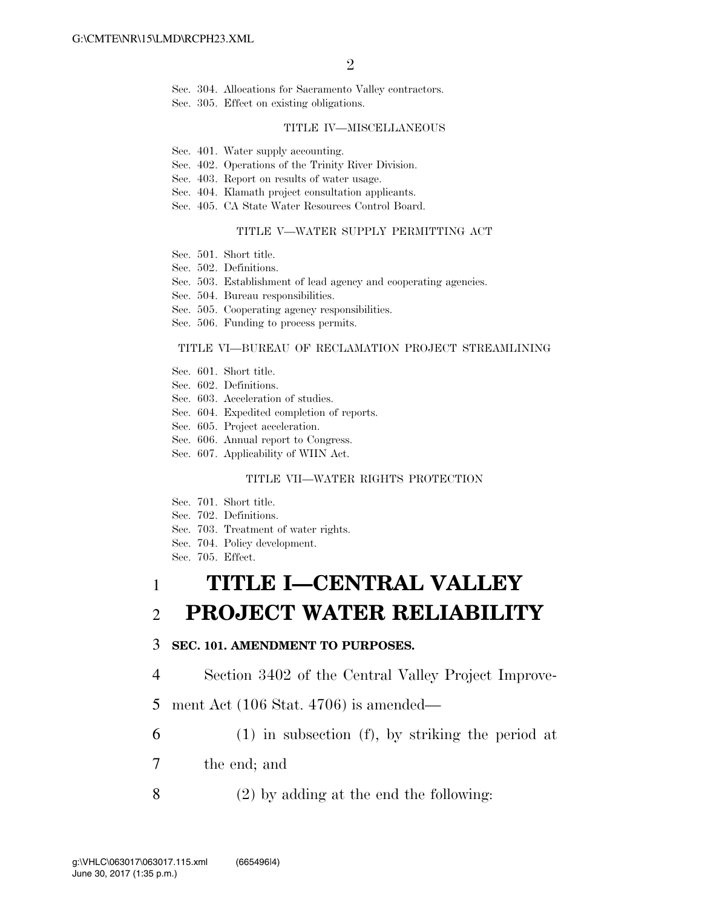Sec. 304. Allocations for Sacramento Valley contractors.

Sec. 305. Effect on existing obligations.

#### TITLE IV—MISCELLANEOUS

- Sec. 401. Water supply accounting.
- Sec. 402. Operations of the Trinity River Division.
- Sec. 403. Report on results of water usage.
- Sec. 404. Klamath project consultation applicants.
- Sec. 405. CA State Water Resources Control Board.

### TITLE V—WATER SUPPLY PERMITTING ACT

- Sec. 501. Short title.
- Sec. 502. Definitions.
- Sec. 503. Establishment of lead agency and cooperating agencies.
- Sec. 504. Bureau responsibilities.
- Sec. 505. Cooperating agency responsibilities.
- Sec. 506. Funding to process permits.

### TITLE VI—BUREAU OF RECLAMATION PROJECT STREAMLINING

- Sec. 601. Short title.
- Sec. 602. Definitions.
- Sec. 603. Acceleration of studies.
- Sec. 604. Expedited completion of reports.
- Sec. 605. Project acceleration.
- Sec. 606. Annual report to Congress.
- Sec. 607. Applicability of WIIN Act.

### TITLE VII—WATER RIGHTS PROTECTION

- Sec. 701. Short title.
- Sec. 702. Definitions.
- Sec. 703. Treatment of water rights.
- Sec. 704. Policy development.
- Sec. 705. Effect.

# 1 **TITLE I—CENTRAL VALLEY**

# 2 **PROJECT WATER RELIABILITY**

### 3 **SEC. 101. AMENDMENT TO PURPOSES.**

- 4 Section 3402 of the Central Valley Project Improve-
- 5 ment Act (106 Stat. 4706) is amended—
- 6 (1) in subsection (f), by striking the period at
- 7 the end; and
- 8 (2) by adding at the end the following: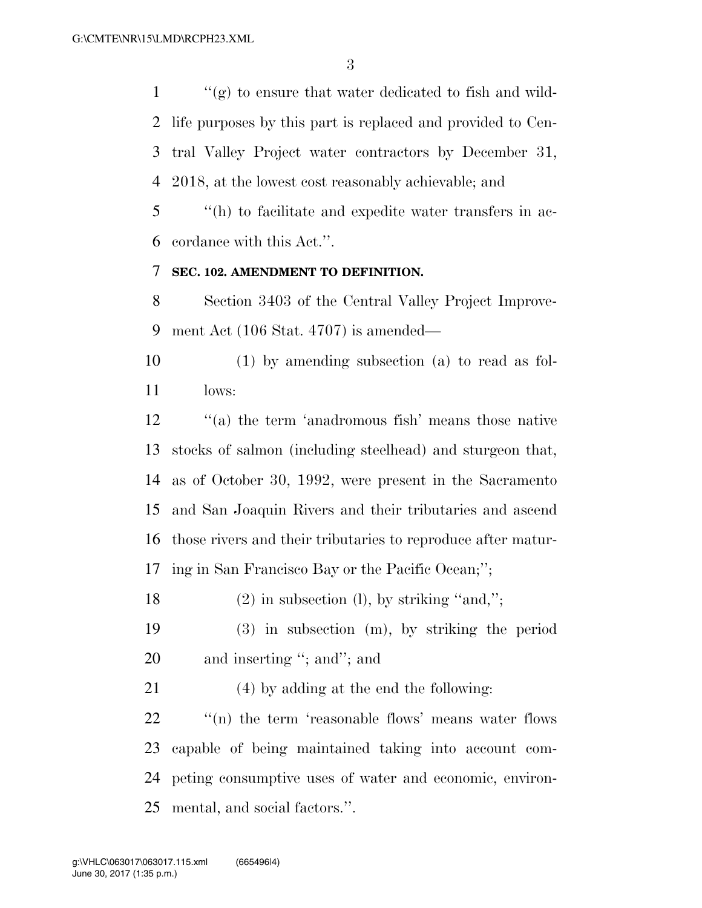$\langle \langle \rangle$  (g) to ensure that water dedicated to fish and wild- life purposes by this part is replaced and provided to Cen- tral Valley Project water contractors by December 31, 2018, at the lowest cost reasonably achievable; and

 ''(h) to facilitate and expedite water transfers in ac-cordance with this Act.''.

# **SEC. 102. AMENDMENT TO DEFINITION.**

 Section 3403 of the Central Valley Project Improve-ment Act (106 Stat. 4707) is amended—

 (1) by amending subsection (a) to read as fol-lows:

 ''(a) the term 'anadromous fish' means those native stocks of salmon (including steelhead) and sturgeon that, as of October 30, 1992, were present in the Sacramento and San Joaquin Rivers and their tributaries and ascend those rivers and their tributaries to reproduce after matur-ing in San Francisco Bay or the Pacific Ocean;'';

18 (2) in subsection (1), by striking "and,";

 (3) in subsection (m), by striking the period 20 and inserting "; and"; and

(4) by adding at the end the following:

 $\cdot$  "(n) the term 'reasonable flows' means water flows capable of being maintained taking into account com- peting consumptive uses of water and economic, environ-mental, and social factors.''.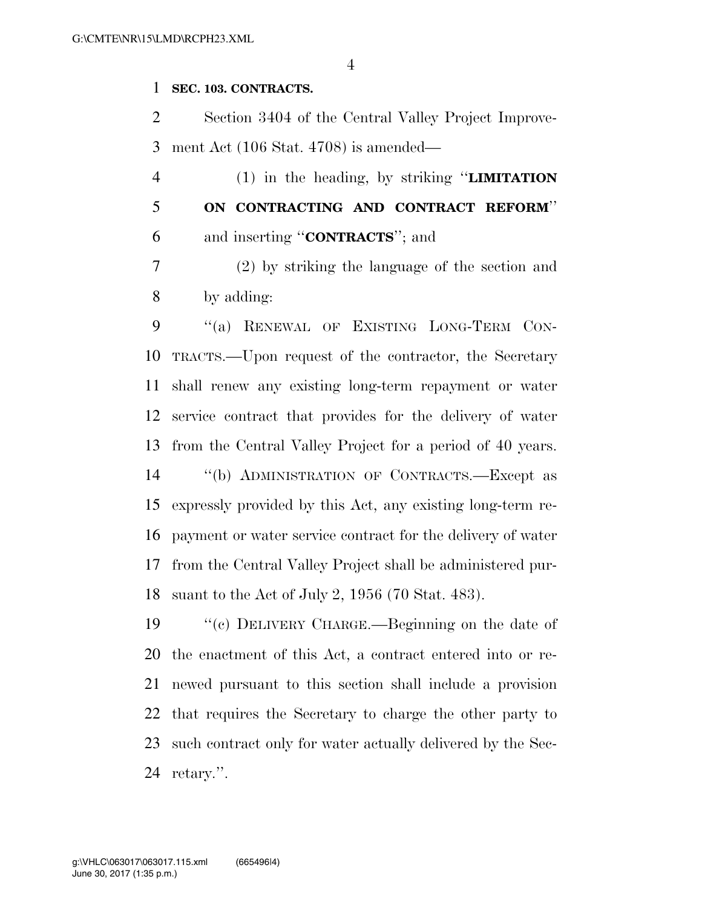# **SEC. 103. CONTRACTS.**

 Section 3404 of the Central Valley Project Improve-ment Act (106 Stat. 4708) is amended—

 (1) in the heading, by striking ''**LIMITATION ON CONTRACTING AND CONTRACT REFORM**'' and inserting ''**CONTRACTS**''; and

 (2) by striking the language of the section and by adding:

9 "(a) RENEWAL OF EXISTING LONG-TERM CON- TRACTS.—Upon request of the contractor, the Secretary shall renew any existing long-term repayment or water service contract that provides for the delivery of water from the Central Valley Project for a period of 40 years. ''(b) ADMINISTRATION OF CONTRACTS.—Except as expressly provided by this Act, any existing long-term re- payment or water service contract for the delivery of water from the Central Valley Project shall be administered pur-suant to the Act of July 2, 1956 (70 Stat. 483).

 ''(c) DELIVERY CHARGE.—Beginning on the date of the enactment of this Act, a contract entered into or re- newed pursuant to this section shall include a provision that requires the Secretary to charge the other party to such contract only for water actually delivered by the Sec-retary.''.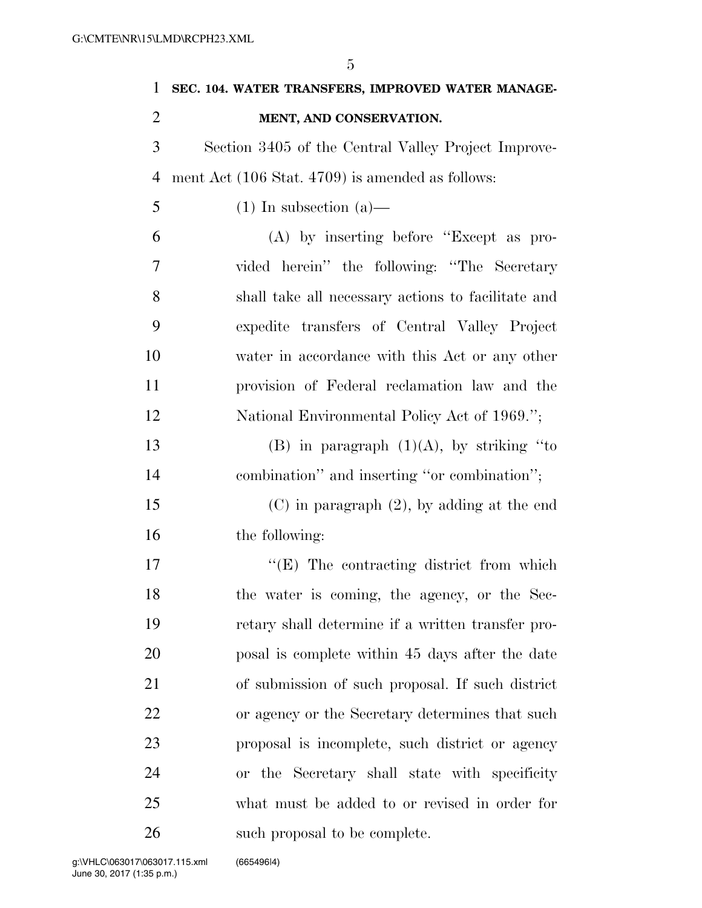| $\mathbf{1}$   | SEC. 104. WATER TRANSFERS, IMPROVED WATER MANAGE-   |
|----------------|-----------------------------------------------------|
| $\overline{2}$ | MENT, AND CONSERVATION.                             |
| 3              | Section 3405 of the Central Valley Project Improve- |
| $\overline{4}$ | ment Act (106 Stat. 4709) is amended as follows:    |
| 5              | $(1)$ In subsection $(a)$ —                         |
| 6              | $(A)$ by inserting before "Except as pro-           |
| 7              | vided herein" the following: "The Secretary         |
| 8              | shall take all necessary actions to facilitate and  |
| 9              | expedite transfers of Central Valley Project        |
| 10             | water in accordance with this Act or any other      |
| 11             | provision of Federal reclamation law and the        |
| 12             | National Environmental Policy Act of 1969.";        |
| 13             | (B) in paragraph $(1)(A)$ , by striking "to         |
| 14             | combination" and inserting "or combination";        |
| 15             | $(C)$ in paragraph $(2)$ , by adding at the end     |
| 16             | the following:                                      |
| 17             | $\lq\lq(E)$ The contracting district from which     |
| 18             | the water is coming, the agency, or the Sec-        |
| 19             | retary shall determine if a written transfer pro-   |
| 20             | posal is complete within 45 days after the date     |
| 21             | of submission of such proposal. If such district    |
| 22             | or agency or the Secretary determines that such     |
| 23             | proposal is incomplete, such district or agency     |
| 24             | or the Secretary shall state with specificity       |
| 25             | what must be added to or revised in order for       |
| 26             | such proposal to be complete.                       |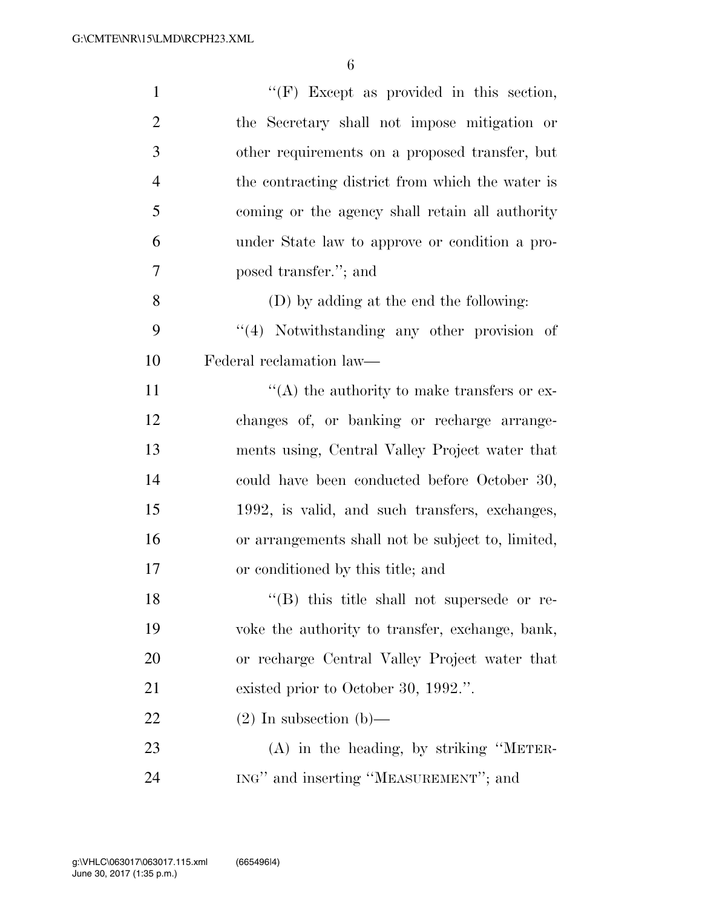| $\mathbf{1}$   | $\lq\lq(F)$ Except as provided in this section,   |
|----------------|---------------------------------------------------|
| $\overline{2}$ | the Secretary shall not impose mitigation or      |
| 3              | other requirements on a proposed transfer, but    |
| $\overline{4}$ | the contracting district from which the water is  |
| 5              | coming or the agency shall retain all authority   |
| 6              | under State law to approve or condition a pro-    |
| 7              | posed transfer."; and                             |
| 8              | (D) by adding at the end the following:           |
| 9              | "(4) Notwithstanding any other provision of       |
| 10             | Federal reclamation law—                          |
| 11             | $\lq\lq$ the authority to make transfers or ex-   |
| 12             | changes of, or banking or recharge arrange-       |
| 13             | ments using, Central Valley Project water that    |
| 14             | could have been conducted before October 30,      |
| 15             | 1992, is valid, and such transfers, exchanges,    |
| 16             | or arrangements shall not be subject to, limited, |
| 17             | or conditioned by this title; and                 |
| 18             | "(B) this title shall not supersede or re-        |
| 19             | voke the authority to transfer, exchange, bank,   |
| 20             | or recharge Central Valley Project water that     |
| 21             | existed prior to October 30, 1992.".              |
| 22             | $(2)$ In subsection (b)—                          |
| 23             | $(A)$ in the heading, by striking "METER-         |
| 24             | ING" and inserting "MEASUREMENT"; and             |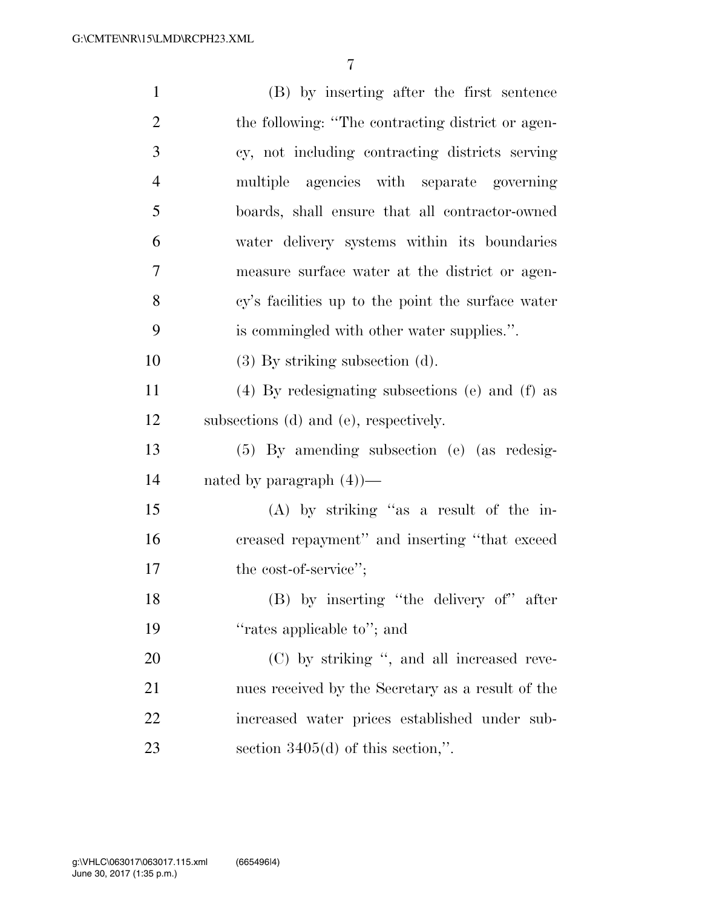| $\mathbf{1}$   | (B) by inserting after the first sentence         |
|----------------|---------------------------------------------------|
| $\overline{2}$ | the following: "The contracting district or agen- |
| 3              | cy, not including contracting districts serving   |
| $\overline{4}$ | multiple agencies with separate governing         |
| 5              | boards, shall ensure that all contractor-owned    |
| 6              | water delivery systems within its boundaries      |
| 7              | measure surface water at the district or agen-    |
| 8              | cy's facilities up to the point the surface water |
| 9              | is commingled with other water supplies.".        |
| 10             | $(3)$ By striking subsection $(d)$ .              |
| 11             | $(4)$ By redesignating subsections (e) and (f) as |
| 12             | subsections (d) and (e), respectively.            |
| 13             | $(5)$ By amending subsection (e) (as redesig-     |
| 14             | nated by paragraph $(4)$ —                        |
| 15             | $(A)$ by striking "as a result of the in-         |
| 16             | creased repayment" and inserting "that exceed     |
| 17             | the cost-of-service";                             |
| 18             | (B) by inserting "the delivery of" after          |
| 19             | "rates applicable to"; and                        |
| 20             | (C) by striking ", and all increased reve-        |
| 21             | nues received by the Secretary as a result of the |
| 22             | increased water prices established under sub-     |
| 23             | section $3405(d)$ of this section,".              |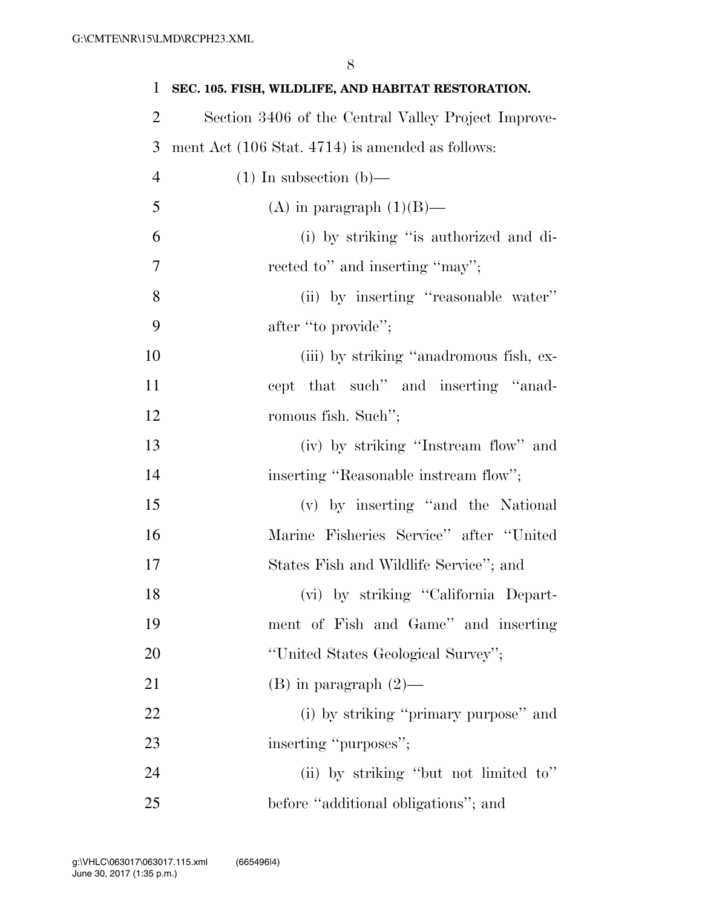| $\mathbf{1}$   | SEC. 105. FISH, WILDLIFE, AND HABITAT RESTORATION.          |
|----------------|-------------------------------------------------------------|
| $\overline{2}$ | Section 3406 of the Central Valley Project Improve-         |
| 3              | ment Act $(106 \text{ Stat. } 4714)$ is amended as follows: |
| $\overline{4}$ | $(1)$ In subsection $(b)$ —                                 |
| 5              | (A) in paragraph $(1)(B)$ —                                 |
| 6              | (i) by striking "is authorized and di-                      |
| 7              | rected to" and inserting "may";                             |
| 8              | (ii) by inserting "reasonable water"                        |
| 9              | after "to provide";                                         |
| 10             | (iii) by striking "anadromous fish, ex-                     |
| 11             | cept that such" and inserting "anad-                        |
| 12             | romous fish. Such";                                         |
| 13             | (iv) by striking "Instream flow" and                        |
| 14             | inserting "Reasonable instream flow";                       |
| 15             | (v) by inserting "and the National                          |
| 16             | Marine Fisheries Service" after "United                     |
| 17             | States Fish and Wildlife Service"; and                      |
| 18             | (vi) by striking "California Depart-                        |
| 19             | ment of Fish and Game" and inserting                        |
| 20             | "United States Geological Survey";                          |
| 21             | $(B)$ in paragraph $(2)$ —                                  |
| 22             | (i) by striking "primary purpose" and                       |
| 23             | inserting "purposes";                                       |
| 24             | (ii) by striking "but not limited to"                       |
| 25             | before "additional obligations"; and                        |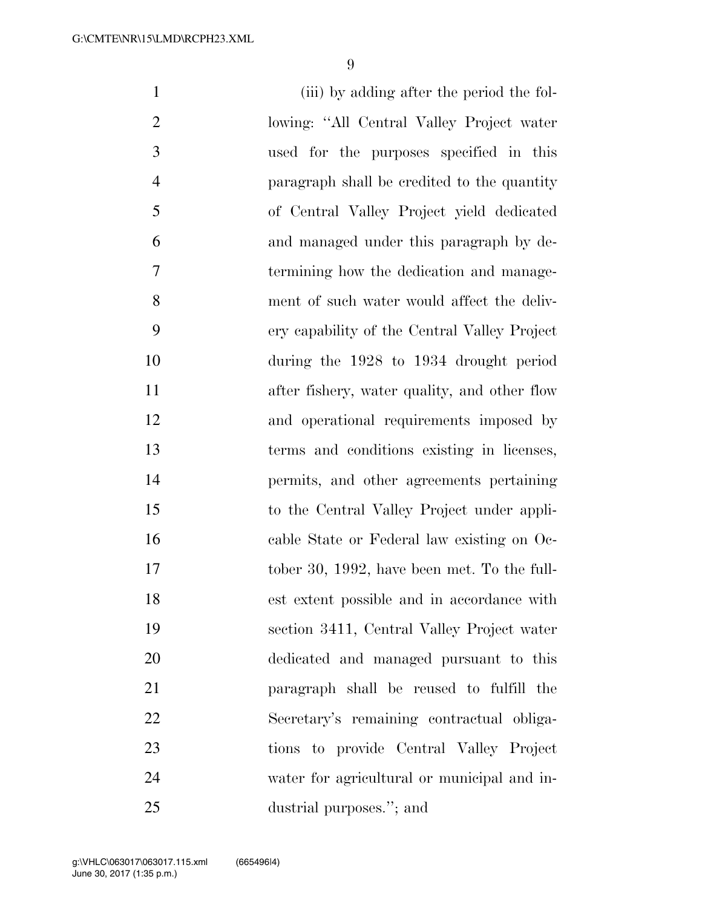(iii) by adding after the period the fol- lowing: ''All Central Valley Project water used for the purposes specified in this paragraph shall be credited to the quantity of Central Valley Project yield dedicated and managed under this paragraph by de- termining how the dedication and manage- ment of such water would affect the deliv- ery capability of the Central Valley Project during the 1928 to 1934 drought period after fishery, water quality, and other flow and operational requirements imposed by terms and conditions existing in licenses, permits, and other agreements pertaining to the Central Valley Project under appli- cable State or Federal law existing on Oc- tober 30, 1992, have been met. To the full- est extent possible and in accordance with section 3411, Central Valley Project water dedicated and managed pursuant to this paragraph shall be reused to fulfill the Secretary's remaining contractual obliga- tions to provide Central Valley Project water for agricultural or municipal and in-dustrial purposes.''; and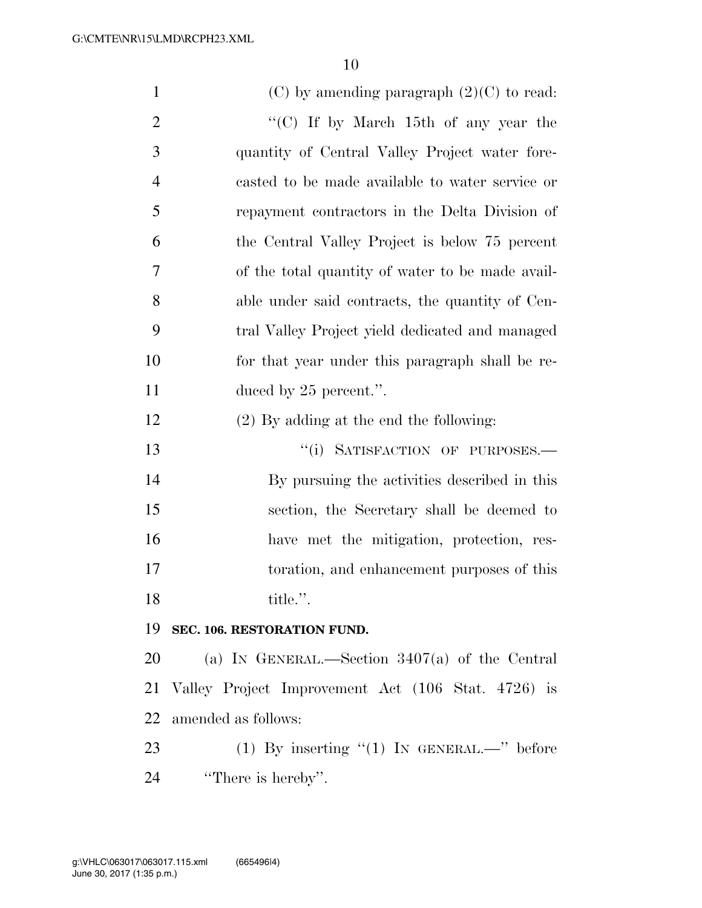| $\mathbf{1}$   | $(C)$ by amending paragraph $(2)(C)$ to read:      |
|----------------|----------------------------------------------------|
| $\overline{2}$ | "(C) If by March 15th of any year the              |
| $\mathfrak{Z}$ | quantity of Central Valley Project water fore-     |
| $\overline{4}$ | casted to be made available to water service or    |
| 5              | repayment contractors in the Delta Division of     |
| 6              | the Central Valley Project is below 75 percent     |
| 7              | of the total quantity of water to be made avail-   |
| 8              | able under said contracts, the quantity of Cen-    |
| 9              | tral Valley Project yield dedicated and managed    |
| 10             | for that year under this paragraph shall be re-    |
| 11             | duced by $25$ percent.".                           |
| 12             | (2) By adding at the end the following:            |
| 13             | "(i) SATISFACTION OF PURPOSES.-                    |
| 14             | By pursuing the activities described in this       |
| 15             | section, the Secretary shall be deemed to          |
| 16             | have met the mitigation, protection, res-          |
| 17             | toration, and enhancement purposes of this         |
| 18             | title.".                                           |
| 19             | SEC. 106. RESTORATION FUND.                        |
| 20             | (a) IN GENERAL.—Section $3407(a)$ of the Central   |
| 21             | Valley Project Improvement Act (106 Stat. 4726) is |
| 22             | amended as follows:                                |
| 23             | (1) By inserting "(1) IN GENERAL.—" before         |
| 24             | "There is hereby".                                 |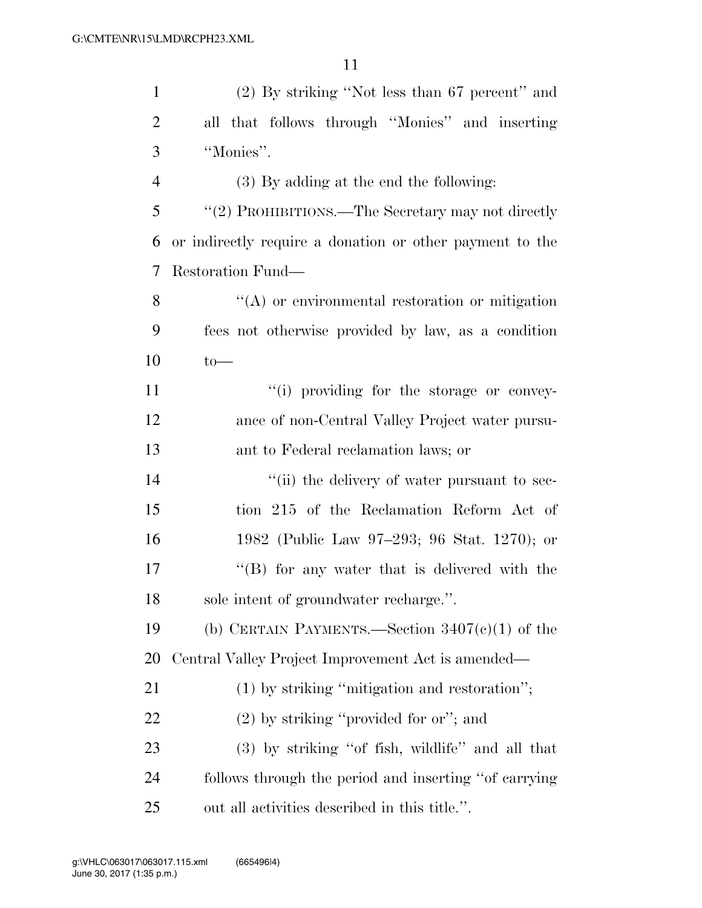| $\mathbf{1}$   | $(2)$ By striking "Not less than 67 percent" and         |
|----------------|----------------------------------------------------------|
| $\overline{2}$ | all that follows through "Monies" and inserting          |
| 3              | "Monies".                                                |
| $\overline{4}$ | $(3)$ By adding at the end the following:                |
| 5              | "(2) PROHIBITIONS.—The Secretary may not directly        |
| 6              | or indirectly require a donation or other payment to the |
| 7              | Restoration Fund—                                        |
| 8              | $\lq\lq$ or environmental restoration or mitigation      |
| 9              | fees not otherwise provided by law, as a condition       |
| 10             | $to-$                                                    |
| 11             | "(i) providing for the storage or convey-                |
| 12             | ance of non-Central Valley Project water pursu-          |
| 13             | ant to Federal reclamation laws; or                      |
| 14             | "(ii) the delivery of water pursuant to sec-             |
| 15             | tion 215 of the Reclamation Reform Act of                |
| 16             | 1982 (Public Law 97–293; 96 Stat. 1270); or              |
| 17             | $\lq\lq (B)$ for any water that is delivered with the    |
| 18             | sole intent of groundwater recharge.".                   |
| 19             | (b) CERTAIN PAYMENTS.—Section $3407(c)(1)$ of the        |
| <b>20</b>      | Central Valley Project Improvement Act is amended—       |
| 21             | $(1)$ by striking "mitigation and restoration";          |
| 22             | $(2)$ by striking "provided for or"; and                 |
| 23             | $(3)$ by striking "of fish, wildlife" and all that       |
| 24             | follows through the period and inserting "of carrying"   |
| 25             | out all activities described in this title.".            |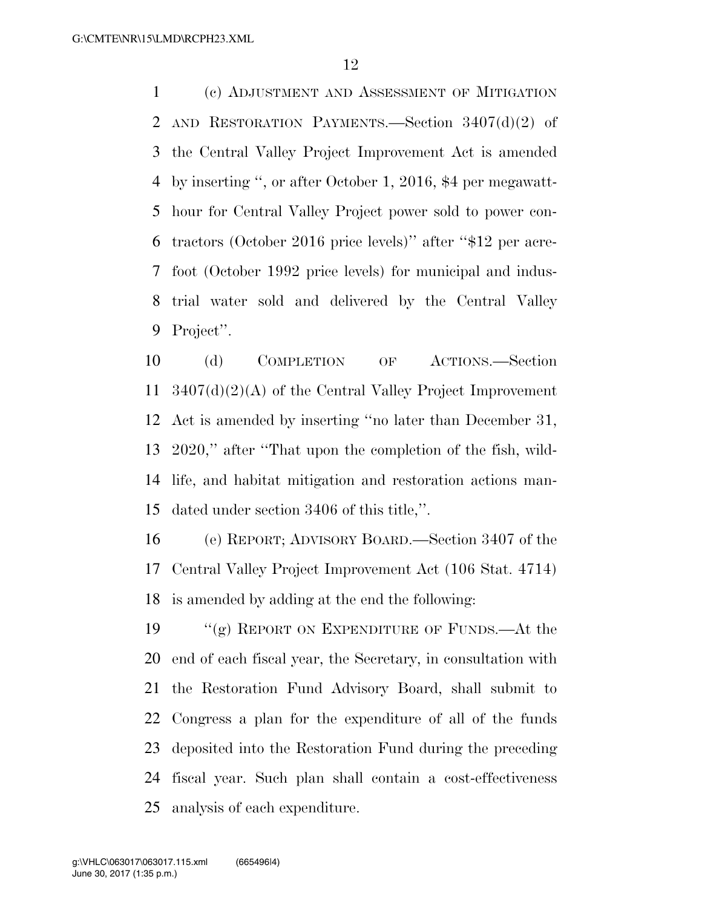(c) ADJUSTMENT AND ASSESSMENT OF MITIGATION AND RESTORATION PAYMENTS.—Section 3407(d)(2) of the Central Valley Project Improvement Act is amended by inserting '', or after October 1, 2016, \$4 per megawatt- hour for Central Valley Project power sold to power con- tractors (October 2016 price levels)'' after ''\$12 per acre- foot (October 1992 price levels) for municipal and indus- trial water sold and delivered by the Central Valley Project''.

 (d) COMPLETION OF ACTIONS.—Section 3407(d)(2)(A) of the Central Valley Project Improvement Act is amended by inserting ''no later than December 31, 2020,'' after ''That upon the completion of the fish, wild- life, and habitat mitigation and restoration actions man-dated under section 3406 of this title,''.

 (e) REPORT; ADVISORY BOARD.—Section 3407 of the Central Valley Project Improvement Act (106 Stat. 4714) is amended by adding at the end the following:

 ''(g) REPORT ON EXPENDITURE OF FUNDS.—At the end of each fiscal year, the Secretary, in consultation with the Restoration Fund Advisory Board, shall submit to Congress a plan for the expenditure of all of the funds deposited into the Restoration Fund during the preceding fiscal year. Such plan shall contain a cost-effectiveness analysis of each expenditure.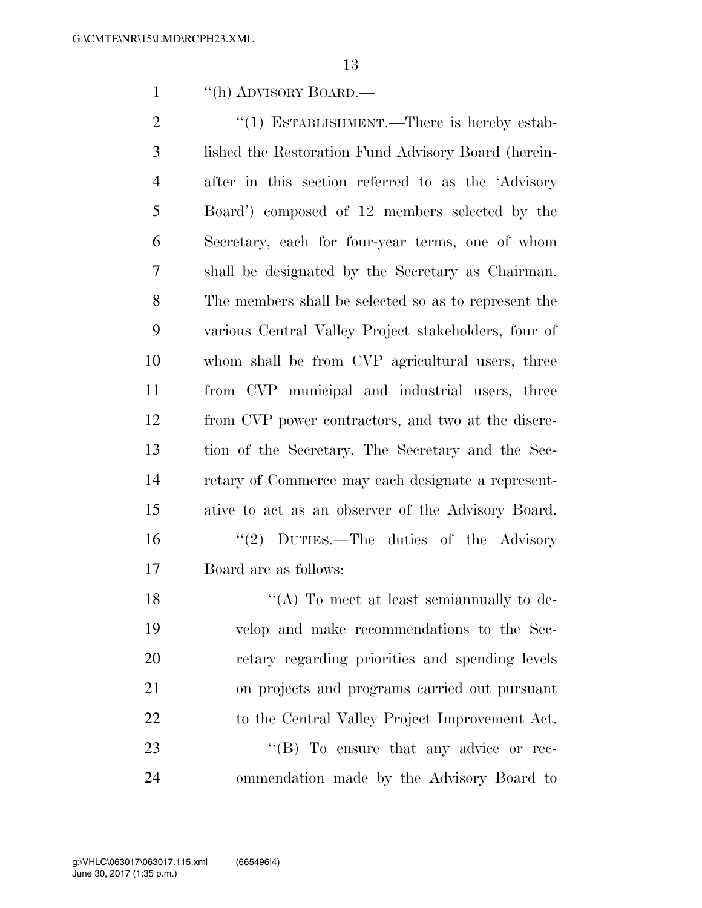''(h) ADVISORY BOARD.—

2 "(1) ESTABLISHMENT.—There is hereby estab- lished the Restoration Fund Advisory Board (herein- after in this section referred to as the 'Advisory Board') composed of 12 members selected by the Secretary, each for four-year terms, one of whom shall be designated by the Secretary as Chairman. The members shall be selected so as to represent the various Central Valley Project stakeholders, four of whom shall be from CVP agricultural users, three from CVP municipal and industrial users, three from CVP power contractors, and two at the discre- tion of the Secretary. The Secretary and the Sec- retary of Commerce may each designate a represent- ative to act as an observer of the Advisory Board. ''(2) DUTIES.—The duties of the Advisory Board are as follows: 18 ''(A) To meet at least semiannually to de-

 velop and make recommendations to the Sec- retary regarding priorities and spending levels on projects and programs carried out pursuant 22 to the Central Valley Project Improvement Act. 23 "'(B) To ensure that any advice or rec-ommendation made by the Advisory Board to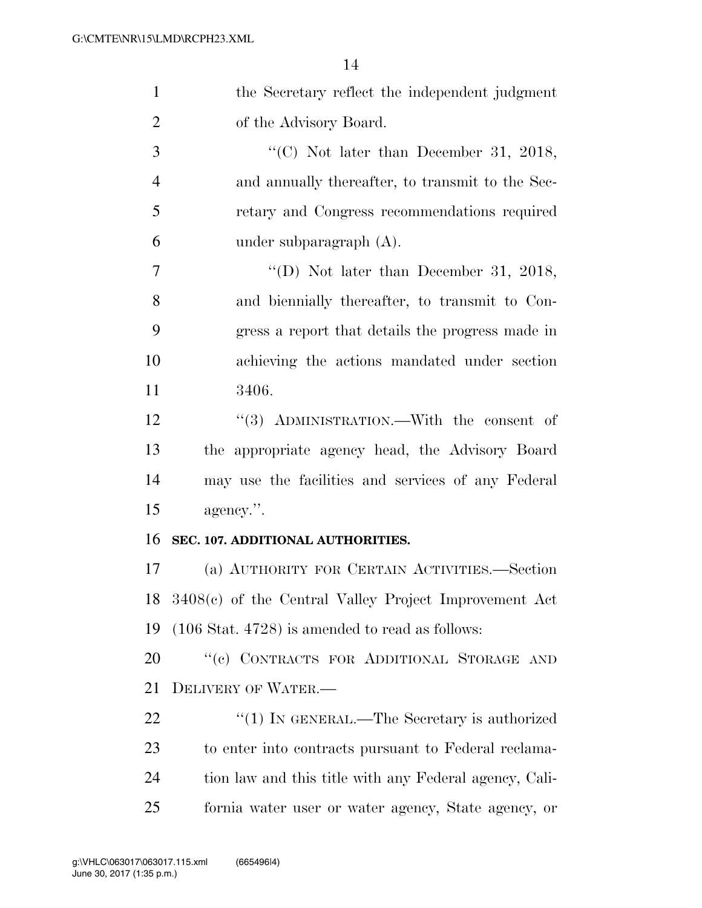| $\mathbf{1}$   | the Secretary reflect the independent judgment             |
|----------------|------------------------------------------------------------|
| $\overline{2}$ | of the Advisory Board.                                     |
| 3              | "(C) Not later than December 31, 2018,                     |
| 4              | and annually thereafter, to transmit to the Sec-           |
| 5              | retary and Congress recommendations required               |
| 6              | under subparagraph $(A)$ .                                 |
| $\tau$         | "(D) Not later than December 31, 2018,                     |
| 8              | and biennially thereafter, to transmit to Con-             |
| 9              | gress a report that details the progress made in           |
| 10             | achieving the actions mandated under section               |
| 11             | 3406.                                                      |
| 12             | "(3) ADMINISTRATION.—With the consent of                   |
| 13             | the appropriate agency head, the Advisory Board            |
| 14             | may use the facilities and services of any Federal         |
| 15             | agency.".                                                  |
| 16             | SEC. 107. ADDITIONAL AUTHORITIES.                          |
| 17             | (a) AUTHORITY FOR CERTAIN ACTIVITIES.—Section              |
| 18             | $3408(e)$ of the Central Valley Project Improvement Act    |
| 19             | $(106 \text{ Stat. } 4728)$ is amended to read as follows: |
| 20             | "(c) CONTRACTS FOR ADDITIONAL STORAGE AND                  |
| 21             | DELIVERY OF WATER.                                         |
| 22             | "(1) IN GENERAL.—The Secretary is authorized               |
| 23             | to enter into contracts pursuant to Federal reclama-       |
| 24             | tion law and this title with any Federal agency, Cali-     |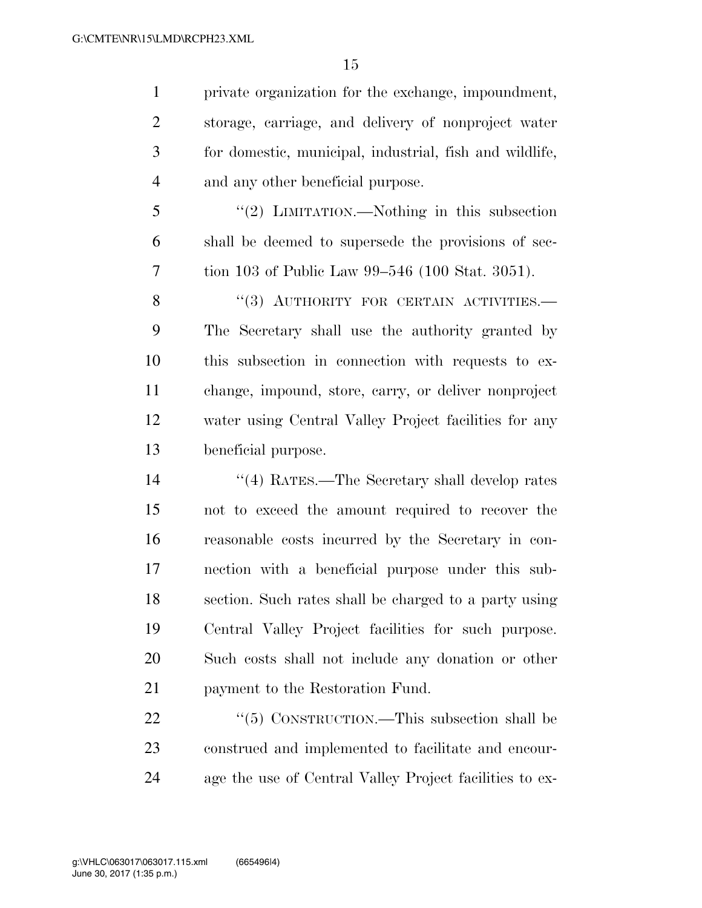private organization for the exchange, impoundment, storage, carriage, and delivery of nonproject water for domestic, municipal, industrial, fish and wildlife, and any other beneficial purpose.

 ''(2) LIMITATION.—Nothing in this subsection shall be deemed to supersede the provisions of sec-tion 103 of Public Law 99–546 (100 Stat. 3051).

8 "(3) AUTHORITY FOR CERTAIN ACTIVITIES. The Secretary shall use the authority granted by this subsection in connection with requests to ex- change, impound, store, carry, or deliver nonproject water using Central Valley Project facilities for any beneficial purpose.

 ''(4) RATES.—The Secretary shall develop rates not to exceed the amount required to recover the reasonable costs incurred by the Secretary in con- nection with a beneficial purpose under this sub- section. Such rates shall be charged to a party using Central Valley Project facilities for such purpose. Such costs shall not include any donation or other payment to the Restoration Fund.

22 "(5) CONSTRUCTION.—This subsection shall be construed and implemented to facilitate and encour-age the use of Central Valley Project facilities to ex-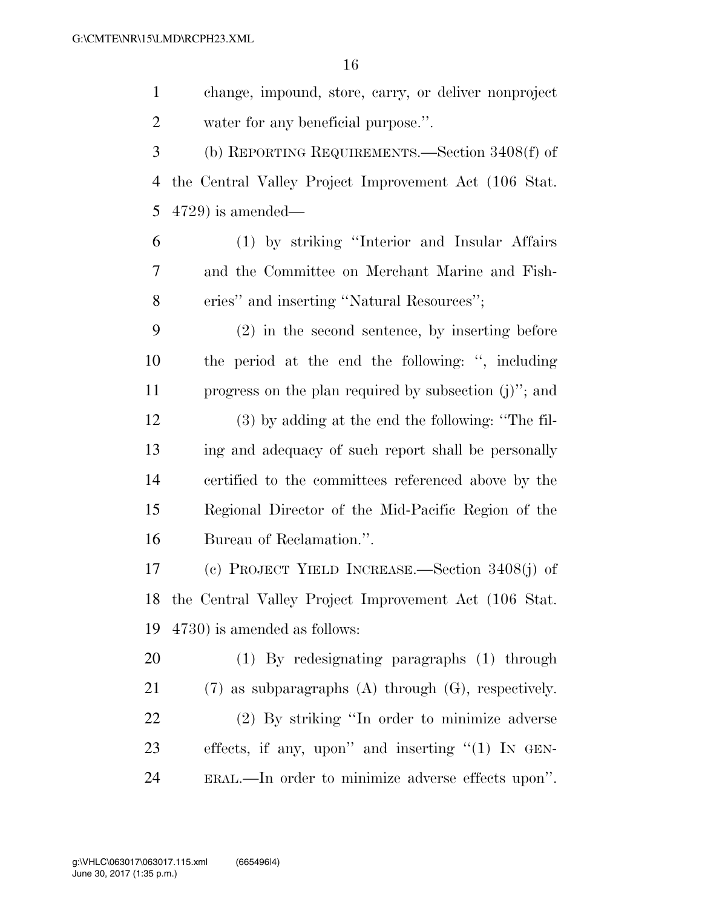change, impound, store, carry, or deliver nonproject water for any beneficial purpose.''. (b) REPORTING REQUIREMENTS.—Section 3408(f) of the Central Valley Project Improvement Act (106 Stat. 4729) is amended— (1) by striking ''Interior and Insular Affairs

 and the Committee on Merchant Marine and Fish-8 eries" and inserting "Natural Resources";

 (2) in the second sentence, by inserting before the period at the end the following: '', including progress on the plan required by subsection (j)''; and

 (3) by adding at the end the following: ''The fil- ing and adequacy of such report shall be personally certified to the committees referenced above by the Regional Director of the Mid-Pacific Region of the Bureau of Reclamation.''.

 (c) PROJECT YIELD INCREASE.—Section 3408(j) of the Central Valley Project Improvement Act (106 Stat. 4730) is amended as follows:

 (1) By redesignating paragraphs (1) through (7) as subparagraphs (A) through (G), respectively. (2) By striking ''In order to minimize adverse effects, if any, upon'' and inserting ''(1) IN GEN-ERAL.—In order to minimize adverse effects upon''.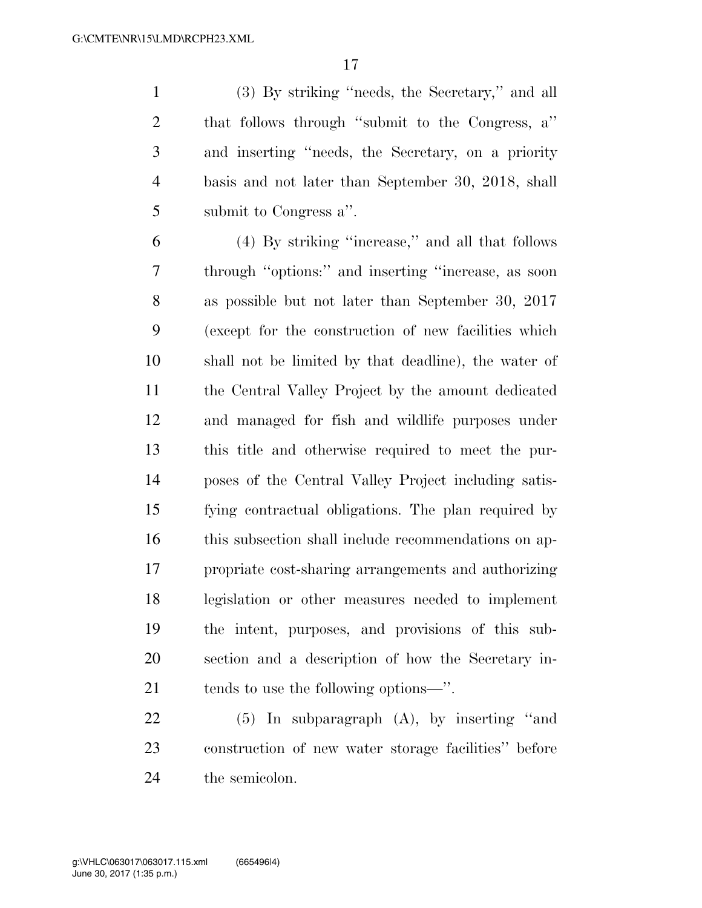(3) By striking ''needs, the Secretary,'' and all that follows through ''submit to the Congress, a'' and inserting ''needs, the Secretary, on a priority basis and not later than September 30, 2018, shall submit to Congress a''.

 (4) By striking ''increase,'' and all that follows through ''options:'' and inserting ''increase, as soon as possible but not later than September 30, 2017 (except for the construction of new facilities which shall not be limited by that deadline), the water of the Central Valley Project by the amount dedicated and managed for fish and wildlife purposes under this title and otherwise required to meet the pur- poses of the Central Valley Project including satis- fying contractual obligations. The plan required by this subsection shall include recommendations on ap- propriate cost-sharing arrangements and authorizing legislation or other measures needed to implement the intent, purposes, and provisions of this sub- section and a description of how the Secretary in-tends to use the following options—''.

 (5) In subparagraph (A), by inserting ''and construction of new water storage facilities'' before the semicolon.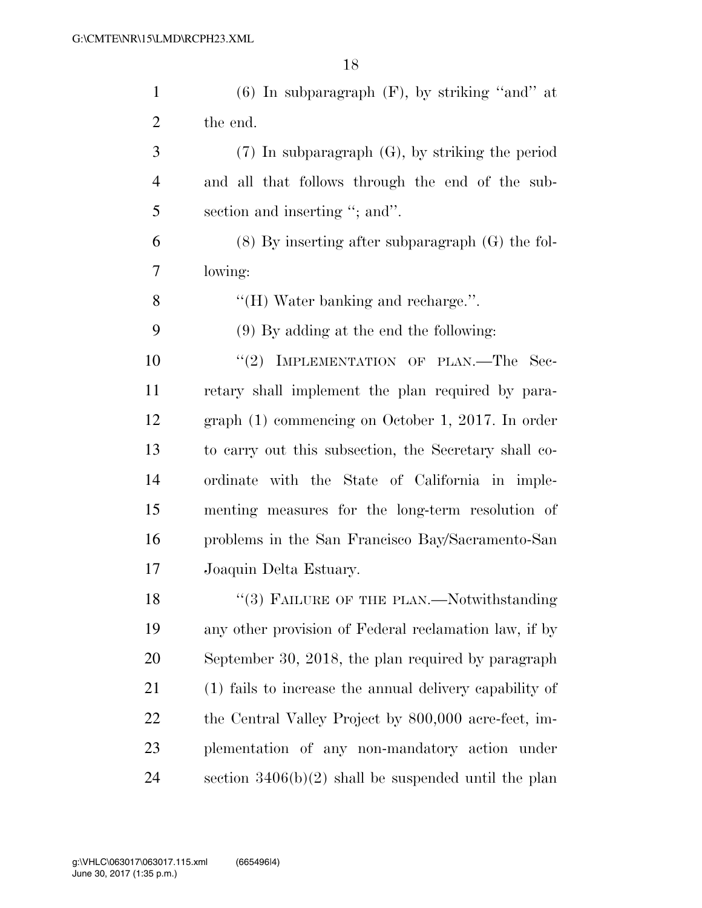| $\mathbf{1}$   | $(6)$ In subparagraph $(F)$ , by striking "and" at      |
|----------------|---------------------------------------------------------|
| $\overline{2}$ | the end.                                                |
| 3              | $(7)$ In subparagraph $(G)$ , by striking the period    |
| $\overline{4}$ | and all that follows through the end of the sub-        |
| 5              | section and inserting "; and".                          |
| 6              | $(8)$ By inserting after subparagraph $(G)$ the fol-    |
| 7              | lowing:                                                 |
| 8              | "(H) Water banking and recharge.".                      |
| 9              | $(9)$ By adding at the end the following:               |
| 10             | "(2) IMPLEMENTATION OF PLAN.—The Sec-                   |
| 11             | retary shall implement the plan required by para-       |
| 12             | graph $(1)$ commencing on October 1, 2017. In order     |
| 13             | to carry out this subsection, the Secretary shall co-   |
| 14             | ordinate with the State of California in imple-         |
| 15             | menting measures for the long-term resolution of        |
| 16             | problems in the San Francisco Bay/Sacramento-San        |
| 17             | Joaquin Delta Estuary.                                  |
| 18             | $(3)$ FAILURE OF THE PLAN.—Notwithstanding              |
| 19             | any other provision of Federal reclamation law, if by   |
| 20             | September 30, 2018, the plan required by paragraph      |
| 21             | (1) fails to increase the annual delivery capability of |
| 22             | the Central Valley Project by 800,000 acre-feet, im-    |
| 23             | plementation of any non-mandatory action under          |
| 24             | section $3406(b)(2)$ shall be suspended until the plan  |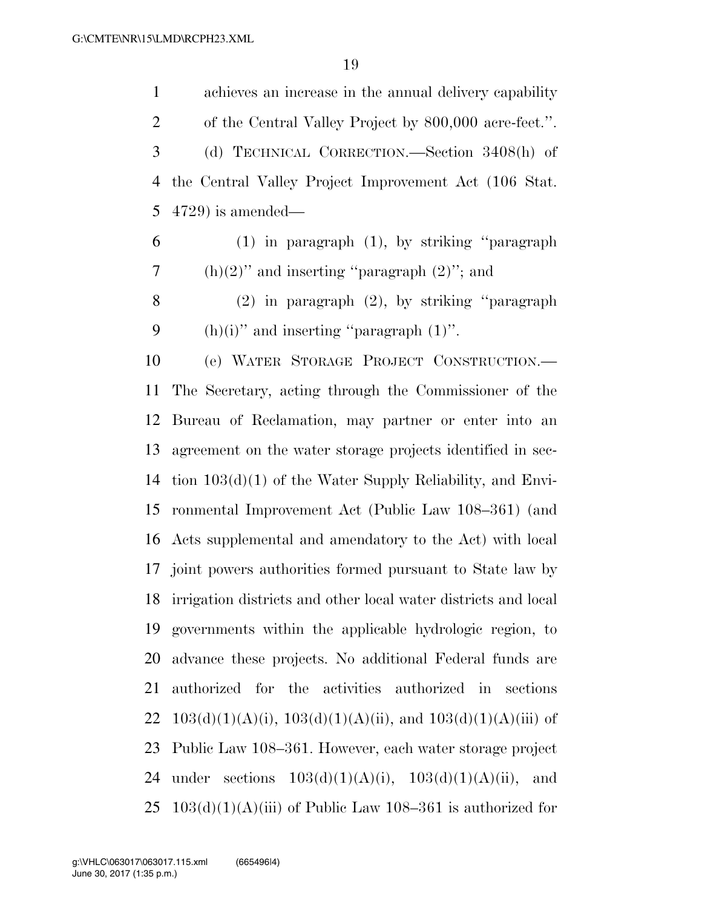achieves an increase in the annual delivery capability of the Central Valley Project by 800,000 acre-feet.''. (d) TECHNICAL CORRECTION.—Section 3408(h) of the Central Valley Project Improvement Act (106 Stat. 4729) is amended—

 (1) in paragraph (1), by striking ''paragraph 7 (h) $(2)$ <sup>"</sup> and inserting "paragraph  $(2)$ "; and

 (2) in paragraph (2), by striking ''paragraph 9 (h)(i)" and inserting "paragraph  $(1)$ ".

 (e) WATER STORAGE PROJECT CONSTRUCTION.— The Secretary, acting through the Commissioner of the Bureau of Reclamation, may partner or enter into an agreement on the water storage projects identified in sec- tion 103(d)(1) of the Water Supply Reliability, and Envi- ronmental Improvement Act (Public Law 108–361) (and Acts supplemental and amendatory to the Act) with local joint powers authorities formed pursuant to State law by irrigation districts and other local water districts and local governments within the applicable hydrologic region, to advance these projects. No additional Federal funds are authorized for the activities authorized in sections 22 103(d)(1)(A)(i), 103(d)(1)(A)(ii), and  $103(d)(1)(A)$ (iii) of Public Law 108–361. However, each water storage project 24 under sections  $103(d)(1)(A)(i)$ ,  $103(d)(1)(A)(ii)$ , and  $103(d)(1)(A)(iii)$  of Public Law 108–361 is authorized for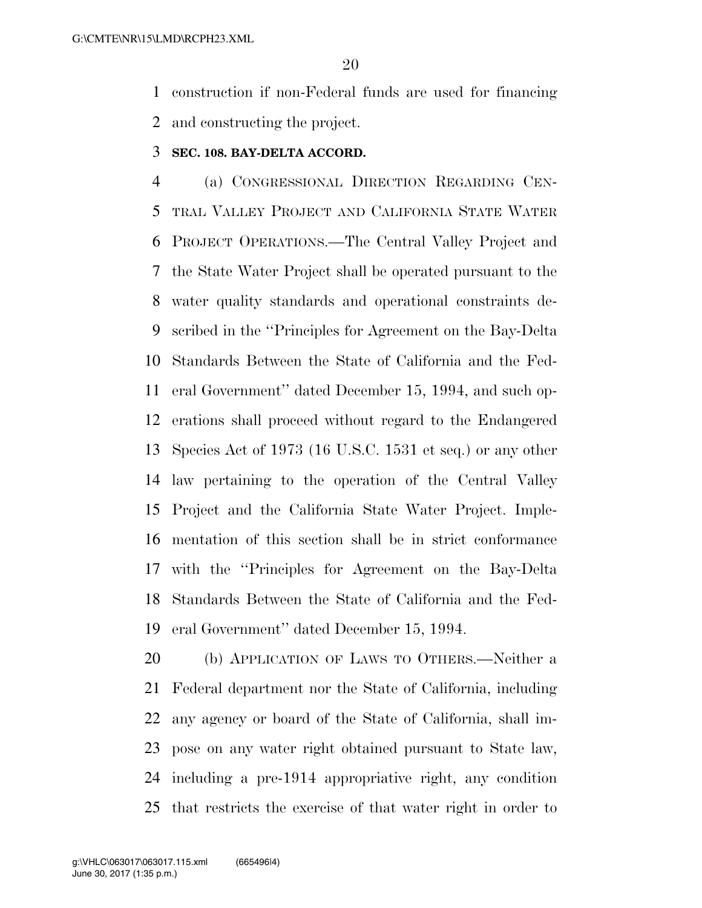construction if non-Federal funds are used for financing and constructing the project.

# **SEC. 108. BAY-DELTA ACCORD.**

 (a) CONGRESSIONAL DIRECTION REGARDING CEN- TRAL VALLEY PROJECT AND CALIFORNIA STATE WATER PROJECT OPERATIONS.—The Central Valley Project and the State Water Project shall be operated pursuant to the water quality standards and operational constraints de- scribed in the ''Principles for Agreement on the Bay-Delta Standards Between the State of California and the Fed- eral Government'' dated December 15, 1994, and such op- erations shall proceed without regard to the Endangered Species Act of 1973 (16 U.S.C. 1531 et seq.) or any other law pertaining to the operation of the Central Valley Project and the California State Water Project. Imple- mentation of this section shall be in strict conformance with the ''Principles for Agreement on the Bay-Delta Standards Between the State of California and the Fed-eral Government'' dated December 15, 1994.

 (b) APPLICATION OF LAWS TO OTHERS.—Neither a Federal department nor the State of California, including any agency or board of the State of California, shall im- pose on any water right obtained pursuant to State law, including a pre-1914 appropriative right, any condition that restricts the exercise of that water right in order to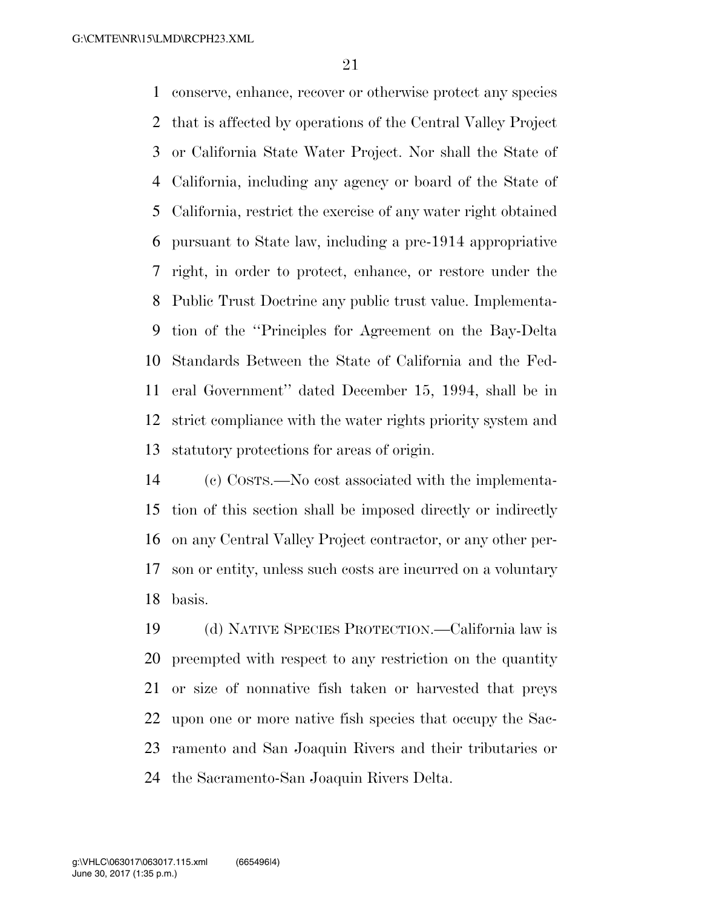conserve, enhance, recover or otherwise protect any species that is affected by operations of the Central Valley Project or California State Water Project. Nor shall the State of California, including any agency or board of the State of California, restrict the exercise of any water right obtained pursuant to State law, including a pre-1914 appropriative right, in order to protect, enhance, or restore under the Public Trust Doctrine any public trust value. Implementa- tion of the ''Principles for Agreement on the Bay-Delta Standards Between the State of California and the Fed- eral Government'' dated December 15, 1994, shall be in strict compliance with the water rights priority system and statutory protections for areas of origin.

 (c) COSTS.—No cost associated with the implementa- tion of this section shall be imposed directly or indirectly on any Central Valley Project contractor, or any other per- son or entity, unless such costs are incurred on a voluntary basis.

 (d) NATIVE SPECIES PROTECTION.—California law is preempted with respect to any restriction on the quantity or size of nonnative fish taken or harvested that preys upon one or more native fish species that occupy the Sac- ramento and San Joaquin Rivers and their tributaries or the Sacramento-San Joaquin Rivers Delta.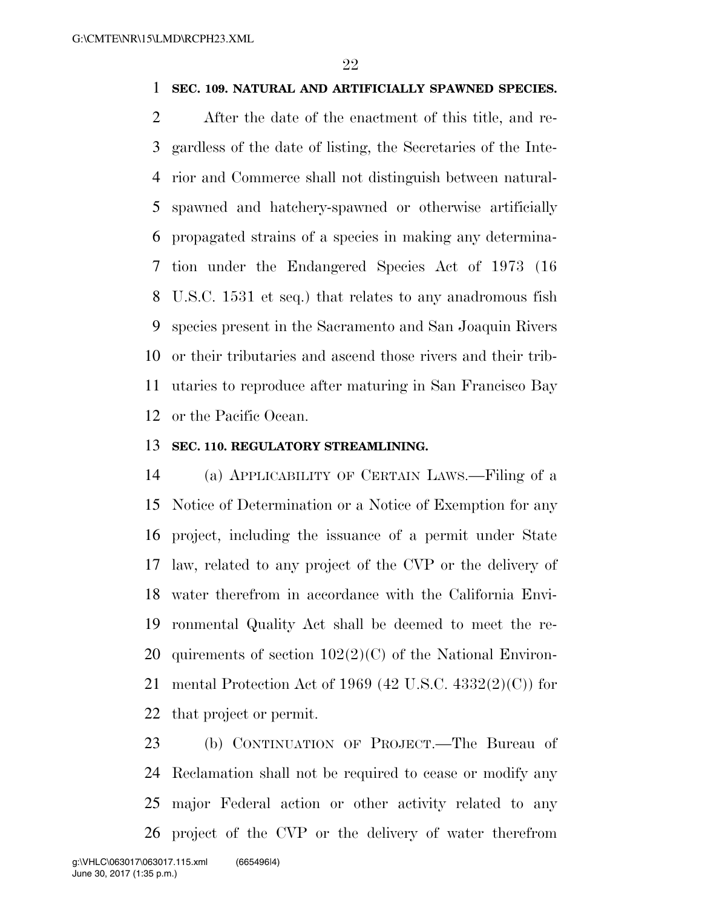# **SEC. 109. NATURAL AND ARTIFICIALLY SPAWNED SPECIES.**

 After the date of the enactment of this title, and re- gardless of the date of listing, the Secretaries of the Inte- rior and Commerce shall not distinguish between natural- spawned and hatchery-spawned or otherwise artificially propagated strains of a species in making any determina- tion under the Endangered Species Act of 1973 (16 U.S.C. 1531 et seq.) that relates to any anadromous fish species present in the Sacramento and San Joaquin Rivers or their tributaries and ascend those rivers and their trib- utaries to reproduce after maturing in San Francisco Bay or the Pacific Ocean.

### **SEC. 110. REGULATORY STREAMLINING.**

 (a) APPLICABILITY OF CERTAIN LAWS.—Filing of a Notice of Determination or a Notice of Exemption for any project, including the issuance of a permit under State law, related to any project of the CVP or the delivery of water therefrom in accordance with the California Envi- ronmental Quality Act shall be deemed to meet the re-20 quirements of section  $102(2)(C)$  of the National Environ- mental Protection Act of 1969 (42 U.S.C. 4332(2)(C)) for that project or permit.

 (b) CONTINUATION OF PROJECT.—The Bureau of Reclamation shall not be required to cease or modify any major Federal action or other activity related to any project of the CVP or the delivery of water therefrom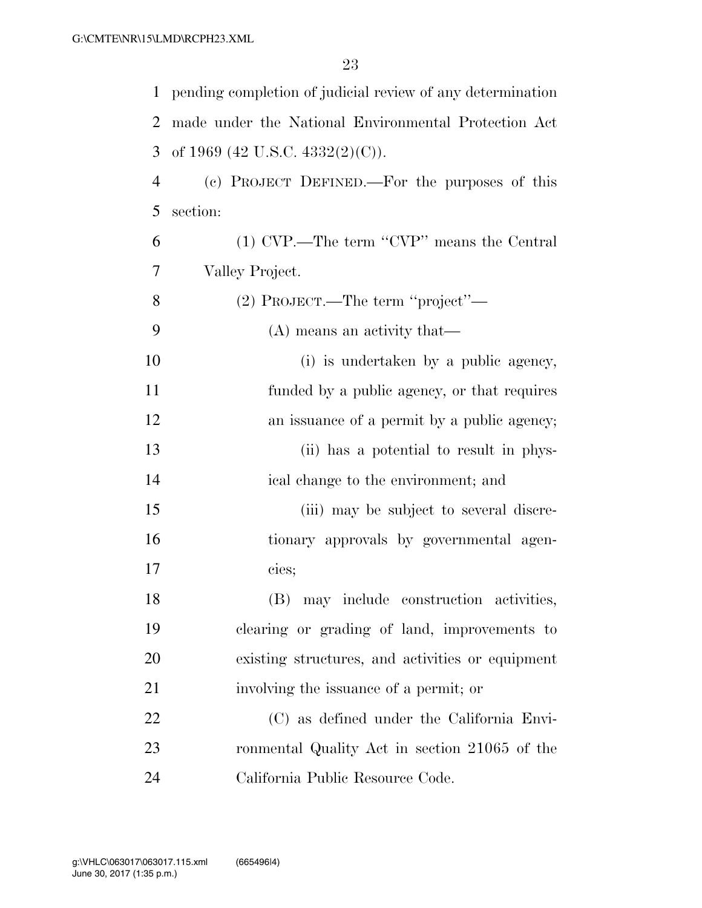| $\mathbf{1}$ | pending completion of judicial review of any determination |
|--------------|------------------------------------------------------------|
| 2            | made under the National Environmental Protection Act       |
| 3            | of 1969 (42 U.S.C. 4332(2)(C)).                            |
| 4            | (c) PROJECT DEFINED.—For the purposes of this              |
| 5            | section:                                                   |
| 6            | (1) CVP.—The term "CVP" means the Central                  |
| 7            | Valley Project.                                            |
| 8            | (2) PROJECT.—The term "project"—                           |
| 9            | (A) means an activity that—                                |
| 10           | (i) is undertaken by a public agency,                      |
| 11           | funded by a public agency, or that requires                |
| 12           | an issuance of a permit by a public agency;                |
| 13           | (ii) has a potential to result in phys-                    |
| 14           | ical change to the environment; and                        |
| 15           | (iii) may be subject to several discre-                    |
| 16           | tionary approvals by governmental agen-                    |
| 17           | cies;                                                      |
| 18           | (B) may include construction activities,                   |
| 19           | clearing or grading of land, improvements to               |
| 20           | existing structures, and activities or equipment           |
| 21           | involving the issuance of a permit; or                     |
| 22           | (C) as defined under the California Envi-                  |
| 23           | ronmental Quality Act in section 21065 of the              |
| 24           | California Public Resource Code.                           |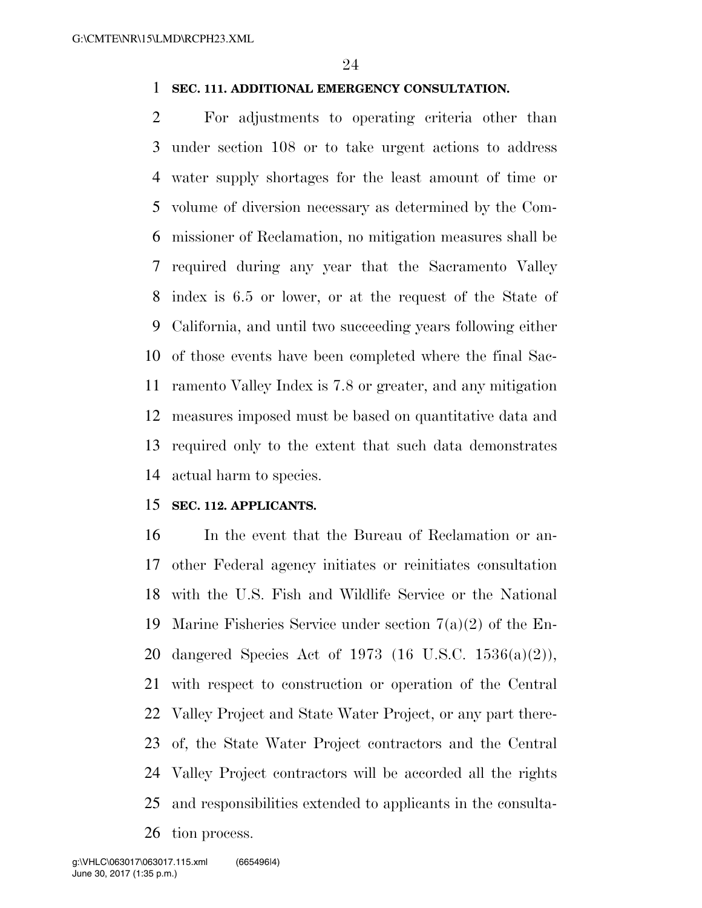# **SEC. 111. ADDITIONAL EMERGENCY CONSULTATION.**

 For adjustments to operating criteria other than under section 108 or to take urgent actions to address water supply shortages for the least amount of time or volume of diversion necessary as determined by the Com- missioner of Reclamation, no mitigation measures shall be required during any year that the Sacramento Valley index is 6.5 or lower, or at the request of the State of California, and until two succeeding years following either of those events have been completed where the final Sac- ramento Valley Index is 7.8 or greater, and any mitigation measures imposed must be based on quantitative data and required only to the extent that such data demonstrates actual harm to species.

# **SEC. 112. APPLICANTS.**

 In the event that the Bureau of Reclamation or an- other Federal agency initiates or reinitiates consultation with the U.S. Fish and Wildlife Service or the National Marine Fisheries Service under section 7(a)(2) of the En- dangered Species Act of 1973 (16 U.S.C. 1536(a)(2)), with respect to construction or operation of the Central Valley Project and State Water Project, or any part there- of, the State Water Project contractors and the Central Valley Project contractors will be accorded all the rights and responsibilities extended to applicants in the consulta-tion process.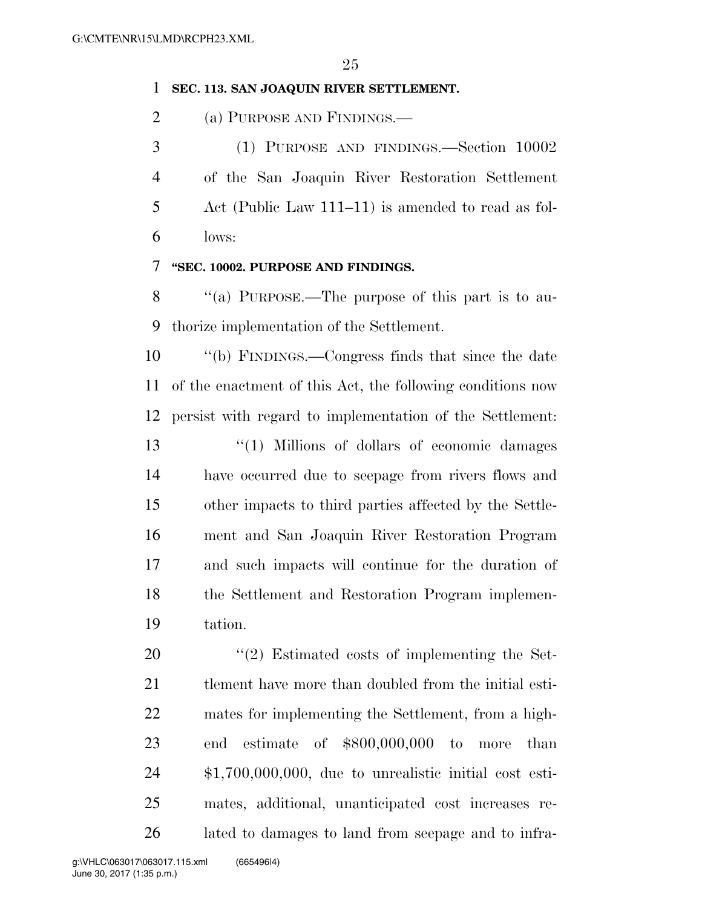# **SEC. 113. SAN JOAQUIN RIVER SETTLEMENT.**

(a) PURPOSE AND FINDINGS.—

 (1) PURPOSE AND FINDINGS.—Section 10002 of the San Joaquin River Restoration Settlement Act (Public Law 111–11) is amended to read as fol-lows:

# **''SEC. 10002. PURPOSE AND FINDINGS.**

8 "(a) PURPOSE.—The purpose of this part is to au-thorize implementation of the Settlement.

 ''(b) FINDINGS.—Congress finds that since the date of the enactment of this Act, the following conditions now persist with regard to implementation of the Settlement:

 ''(1) Millions of dollars of economic damages have occurred due to seepage from rivers flows and other impacts to third parties affected by the Settle- ment and San Joaquin River Restoration Program and such impacts will continue for the duration of the Settlement and Restoration Program implemen-tation.

 ''(2) Estimated costs of implementing the Set- tlement have more than doubled from the initial esti- mates for implementing the Settlement, from a high- end estimate of \$800,000,000 to more than \$1,700,000,000, due to unrealistic initial cost esti- mates, additional, unanticipated cost increases re-lated to damages to land from seepage and to infra-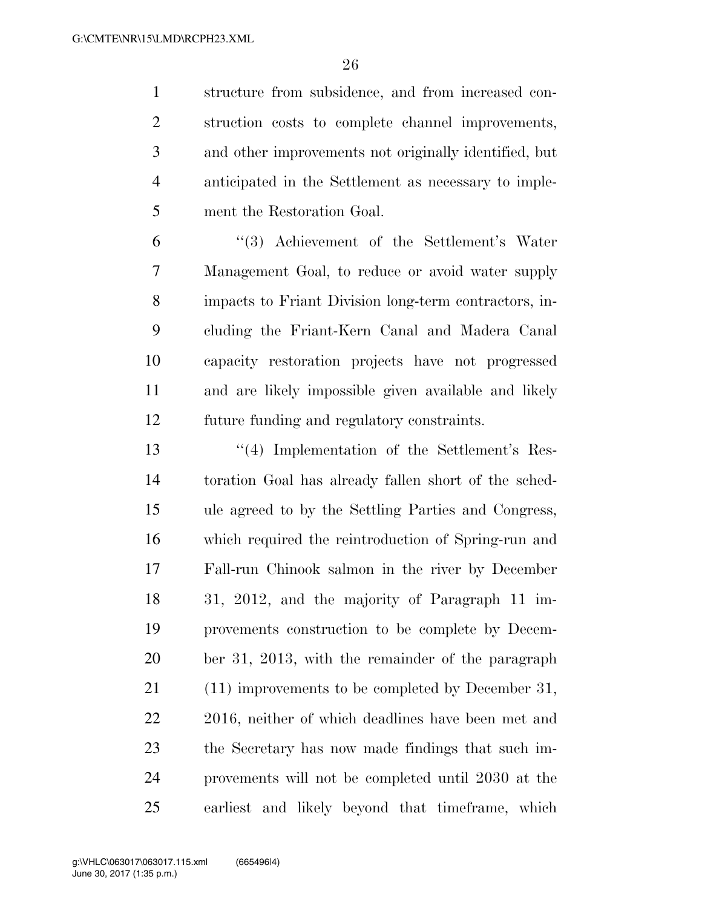structure from subsidence, and from increased con- struction costs to complete channel improvements, and other improvements not originally identified, but anticipated in the Settlement as necessary to imple-ment the Restoration Goal.

 ''(3) Achievement of the Settlement's Water Management Goal, to reduce or avoid water supply impacts to Friant Division long-term contractors, in- cluding the Friant-Kern Canal and Madera Canal capacity restoration projects have not progressed and are likely impossible given available and likely future funding and regulatory constraints.

 ''(4) Implementation of the Settlement's Res- toration Goal has already fallen short of the sched- ule agreed to by the Settling Parties and Congress, which required the reintroduction of Spring-run and Fall-run Chinook salmon in the river by December 31, 2012, and the majority of Paragraph 11 im- provements construction to be complete by Decem- ber 31, 2013, with the remainder of the paragraph (11) improvements to be completed by December 31, 2016, neither of which deadlines have been met and the Secretary has now made findings that such im- provements will not be completed until 2030 at the earliest and likely beyond that timeframe, which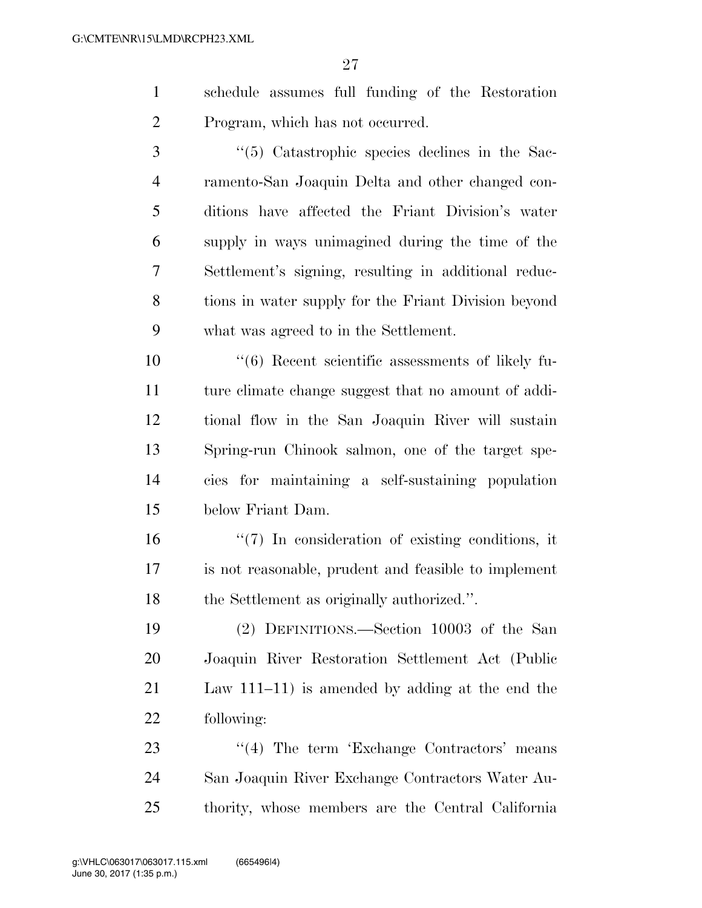- schedule assumes full funding of the Restoration Program, which has not occurred.
- 3 ''(5) Catastrophic species declines in the Sac- ramento-San Joaquin Delta and other changed con- ditions have affected the Friant Division's water supply in ways unimagined during the time of the Settlement's signing, resulting in additional reduc- tions in water supply for the Friant Division beyond what was agreed to in the Settlement.

 ''(6) Recent scientific assessments of likely fu- ture climate change suggest that no amount of addi- tional flow in the San Joaquin River will sustain Spring-run Chinook salmon, one of the target spe- cies for maintaining a self-sustaining population below Friant Dam.

 ''(7) In consideration of existing conditions, it is not reasonable, prudent and feasible to implement the Settlement as originally authorized.''.

 (2) DEFINITIONS.—Section 10003 of the San Joaquin River Restoration Settlement Act (Public Law 111–11) is amended by adding at the end the following:

23 "(4) The term 'Exchange Contractors' means San Joaquin River Exchange Contractors Water Au-thority, whose members are the Central California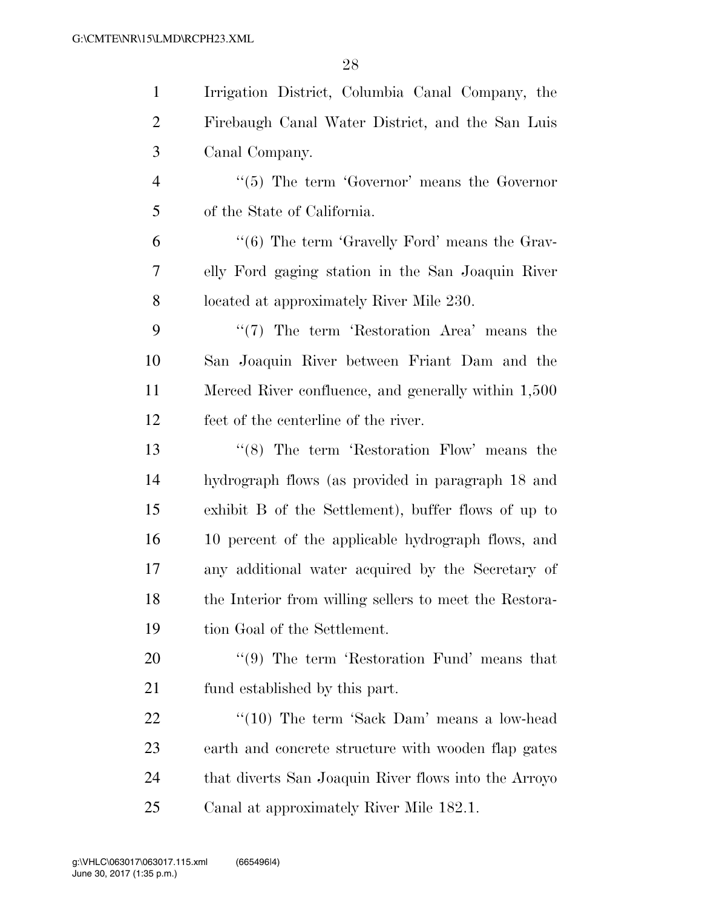| $\mathbf{1}$   | Irrigation District, Columbia Canal Company, the               |
|----------------|----------------------------------------------------------------|
| $\overline{2}$ | Firebaugh Canal Water District, and the San Luis               |
| 3              | Canal Company.                                                 |
| $\overline{4}$ | $\lq\lq(5)$ The term 'Governor' means the Governor             |
| 5              | of the State of California.                                    |
| 6              | $\cdot\cdot\cdot$ (6) The term 'Gravelly Ford' means the Grav- |
| $\tau$         | elly Ford gaging station in the San Joaquin River              |
| 8              | located at approximately River Mile 230.                       |
| 9              | $\lq(7)$ The term 'Restoration Area' means the                 |
| 10             | San Joaquin River between Friant Dam and the                   |
| 11             | Merced River confluence, and generally within 1,500            |
| 12             | feet of the centerline of the river.                           |
| 13             | $\cdot$ (8) The term 'Restoration Flow' means the              |
| 14             | hydrograph flows (as provided in paragraph 18 and              |
| 15             | exhibit B of the Settlement), buffer flows of up to            |
| 16             | 10 percent of the applicable hydrograph flows, and             |
| 17             | any additional water acquired by the Secretary of              |
| 18             | the Interior from willing sellers to meet the Restora-         |
| 19             | tion Goal of the Settlement.                                   |
| <b>20</b>      | $\lq(9)$ The term 'Restoration Fund' means that                |
| 21             | fund established by this part.                                 |
| 22             | " $(10)$ The term 'Sack Dam' means a low-head                  |
| 23             | earth and concrete structure with wooden flap gates            |
| 24             | that diverts San Joaquin River flows into the Arroyo           |
| 25             | Canal at approximately River Mile 182.1.                       |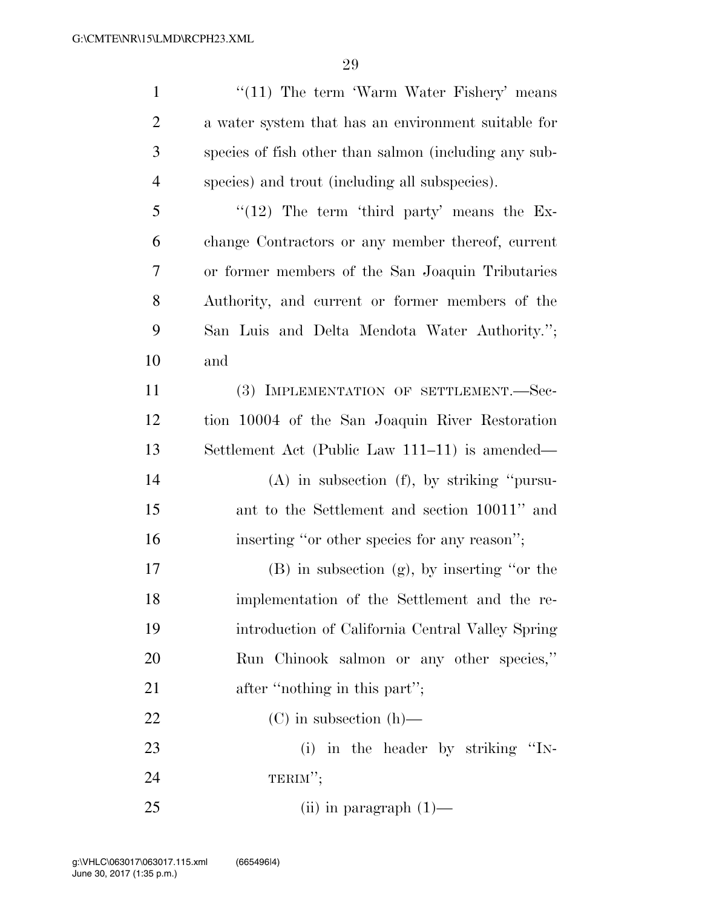| $\mathbf{1}$   | $\lq(11)$ The term 'Warm Water Fishery' means         |
|----------------|-------------------------------------------------------|
| $\overline{2}$ | a water system that has an environment suitable for   |
| 3              | species of fish other than salmon (including any sub- |
| 4              | species) and trout (including all subspecies).        |
| 5              | $\lq(12)$ The term 'third party' means the Ex-        |
| 6              | change Contractors or any member thereof, current     |
| 7              | or former members of the San Joaquin Tributaries      |
| 8              | Authority, and current or former members of the       |
| 9              | San Luis and Delta Mendota Water Authority.";         |
| 10             | and                                                   |
| 11             | (3) IMPLEMENTATION OF SETTLEMENT.—Sec-                |
| 12             | tion 10004 of the San Joaquin River Restoration       |
| 13             | Settlement Act (Public Law 111–11) is amended—        |
| 14             | $(A)$ in subsection $(f)$ , by striking "pursu-       |
| 15             | ant to the Settlement and section 10011" and          |
| 16             | inserting "or other species for any reason";          |
| 17             | (B) in subsection (g), by inserting "or the           |
| 18             | implementation of the Settlement and the re-          |
| 19             | introduction of California Central Valley Spring      |
| 20             | Run Chinook salmon or any other species,"             |
| 21             | after "nothing in this part";                         |
| 22             | $(C)$ in subsection $(h)$ —                           |
| 23             | (i) in the header by striking "IN-                    |
| 24             | TERIM";                                               |
| 25             | $(ii)$ in paragraph $(1)$ —                           |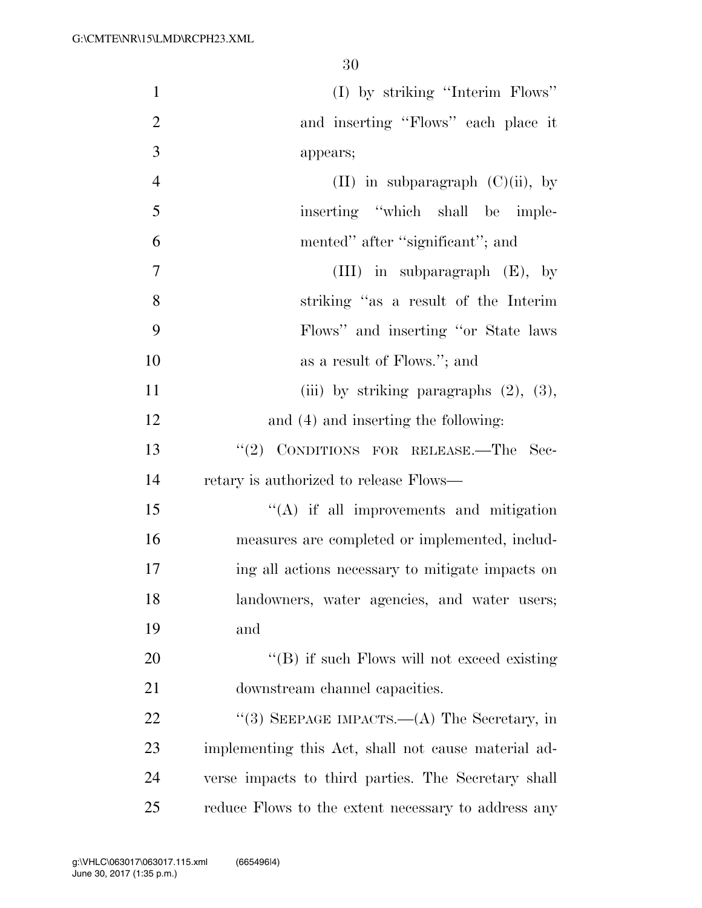| $\mathbf{1}$   | (I) by striking "Interim Flows"                     |
|----------------|-----------------------------------------------------|
| $\mathbf{2}$   | and inserting "Flows" each place it                 |
| $\mathfrak{Z}$ | appears;                                            |
| $\overline{4}$ | (II) in subparagraph $(C)(ii)$ , by                 |
| 5              | inserting "which shall be imple-                    |
| 6              | mented" after "significant"; and                    |
| $\tau$         | (III) in subparagraph $(E)$ , by                    |
| 8              | striking "as a result of the Interim                |
| 9              | Flows" and inserting "or State laws"                |
| 10             | as a result of Flows."; and                         |
| 11             | (iii) by striking paragraphs $(2)$ , $(3)$ ,        |
| 12             | and (4) and inserting the following:                |
| 13             | "(2) CONDITIONS FOR RELEASE.-The Sec-               |
| 14             | retary is authorized to release Flows—              |
| 15             | $\lq\lq$ if all improvements and mitigation         |
| 16             | measures are completed or implemented, includ-      |
| 17             | ing all actions necessary to mitigate impacts on    |
| 18             | landowners, water agencies, and water users;        |
| 19             | and                                                 |
| 20             | "(B) if such Flows will not exceed existing         |
| 21             | downstream channel capacities.                      |
| 22             | "(3) SEEPAGE IMPACTS.—(A) The Secretary, in         |
| 23             | implementing this Act, shall not cause material ad- |
| 24             | verse impacts to third parties. The Secretary shall |
| 25             | reduce Flows to the extent necessary to address any |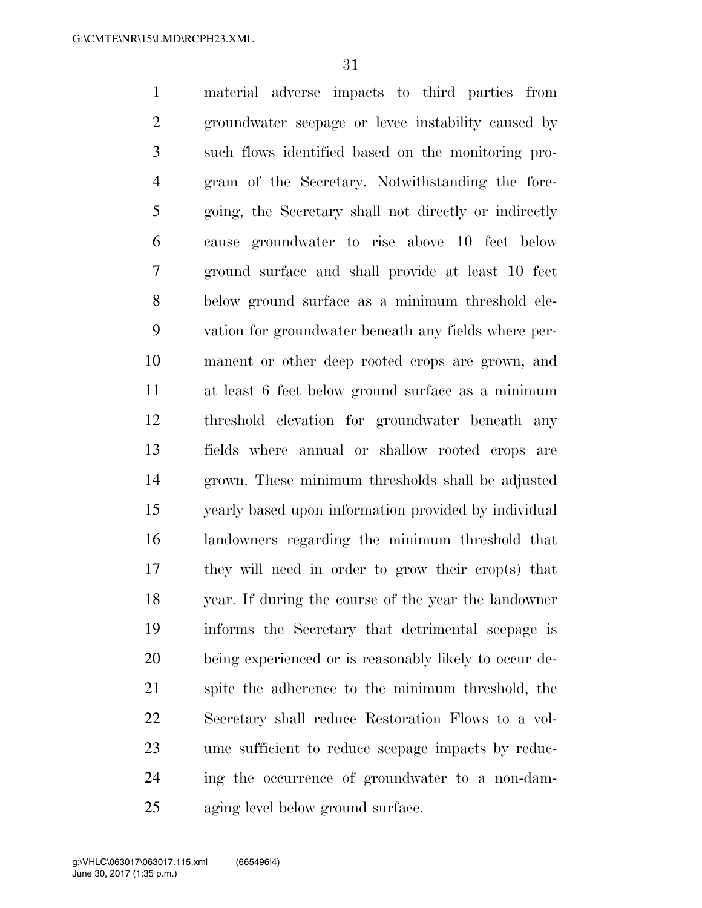material adverse impacts to third parties from groundwater seepage or levee instability caused by such flows identified based on the monitoring pro- gram of the Secretary. Notwithstanding the fore- going, the Secretary shall not directly or indirectly cause groundwater to rise above 10 feet below ground surface and shall provide at least 10 feet below ground surface as a minimum threshold ele- vation for groundwater beneath any fields where per- manent or other deep rooted crops are grown, and at least 6 feet below ground surface as a minimum threshold elevation for groundwater beneath any fields where annual or shallow rooted crops are grown. These minimum thresholds shall be adjusted yearly based upon information provided by individual landowners regarding the minimum threshold that they will need in order to grow their crop(s) that year. If during the course of the year the landowner informs the Secretary that detrimental seepage is being experienced or is reasonably likely to occur de- spite the adherence to the minimum threshold, the Secretary shall reduce Restoration Flows to a vol- ume sufficient to reduce seepage impacts by reduc- ing the occurrence of groundwater to a non-dam-aging level below ground surface.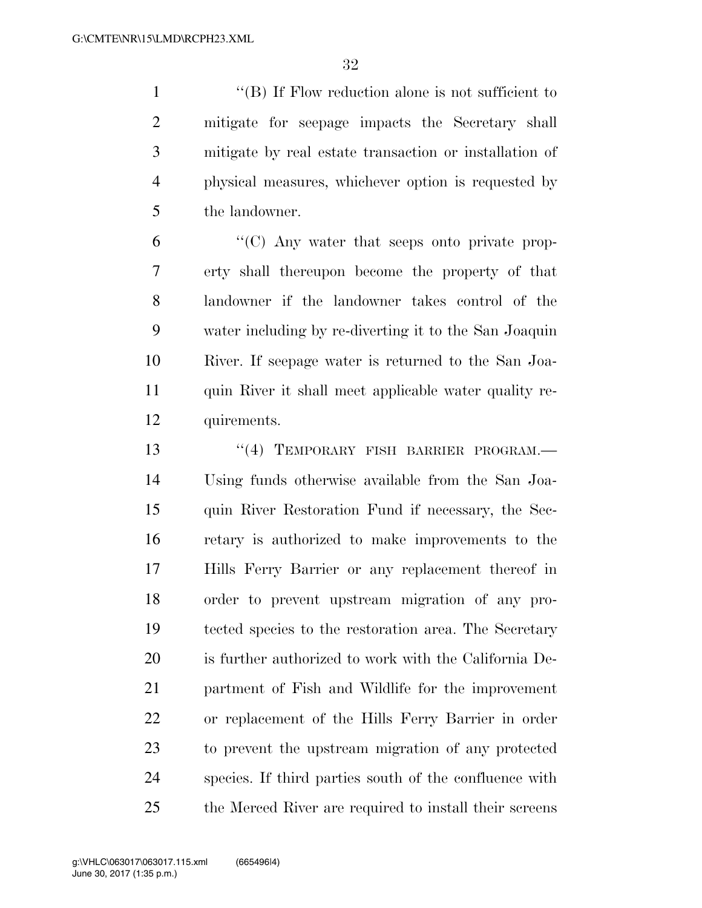''(B) If Flow reduction alone is not sufficient to mitigate for seepage impacts the Secretary shall mitigate by real estate transaction or installation of physical measures, whichever option is requested by the landowner.

 ''(C) Any water that seeps onto private prop- erty shall thereupon become the property of that landowner if the landowner takes control of the water including by re-diverting it to the San Joaquin River. If seepage water is returned to the San Joa- quin River it shall meet applicable water quality re-quirements.

13 "(4) TEMPORARY FISH BARRIER PROGRAM. Using funds otherwise available from the San Joa- quin River Restoration Fund if necessary, the Sec- retary is authorized to make improvements to the Hills Ferry Barrier or any replacement thereof in order to prevent upstream migration of any pro- tected species to the restoration area. The Secretary is further authorized to work with the California De- partment of Fish and Wildlife for the improvement or replacement of the Hills Ferry Barrier in order to prevent the upstream migration of any protected species. If third parties south of the confluence with the Merced River are required to install their screens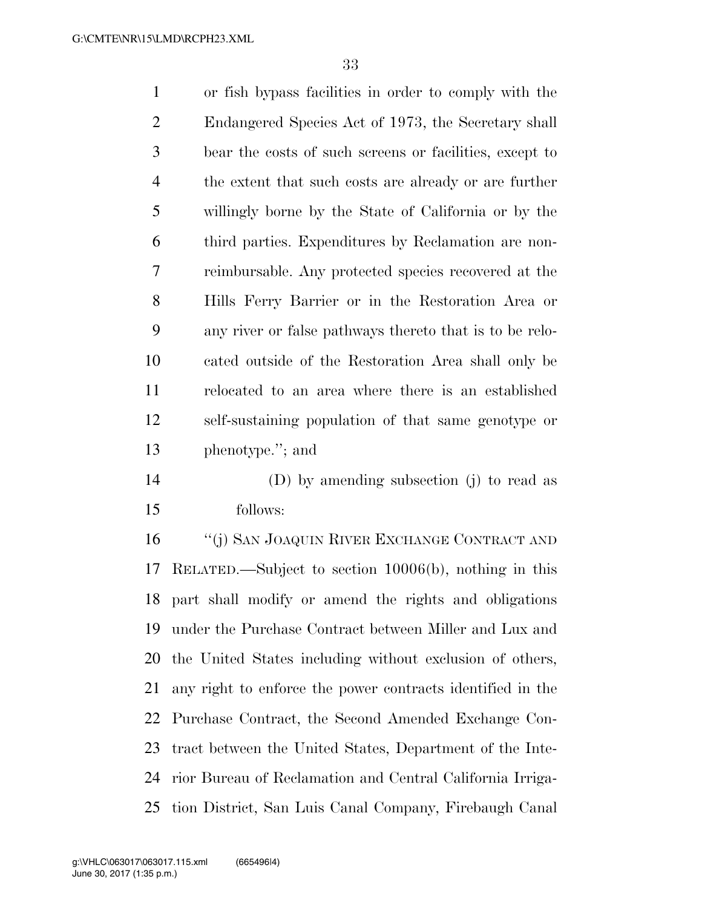or fish bypass facilities in order to comply with the Endangered Species Act of 1973, the Secretary shall bear the costs of such screens or facilities, except to the extent that such costs are already or are further willingly borne by the State of California or by the third parties. Expenditures by Reclamation are non- reimbursable. Any protected species recovered at the Hills Ferry Barrier or in the Restoration Area or any river or false pathways thereto that is to be relo- cated outside of the Restoration Area shall only be relocated to an area where there is an established self-sustaining population of that same genotype or phenotype.''; and (D) by amending subsection (j) to read as

follows:

 ''(j) SAN JOAQUIN RIVER EXCHANGE CONTRACT AND RELATED.—Subject to section 10006(b), nothing in this part shall modify or amend the rights and obligations under the Purchase Contract between Miller and Lux and the United States including without exclusion of others, any right to enforce the power contracts identified in the Purchase Contract, the Second Amended Exchange Con- tract between the United States, Department of the Inte- rior Bureau of Reclamation and Central California Irriga-tion District, San Luis Canal Company, Firebaugh Canal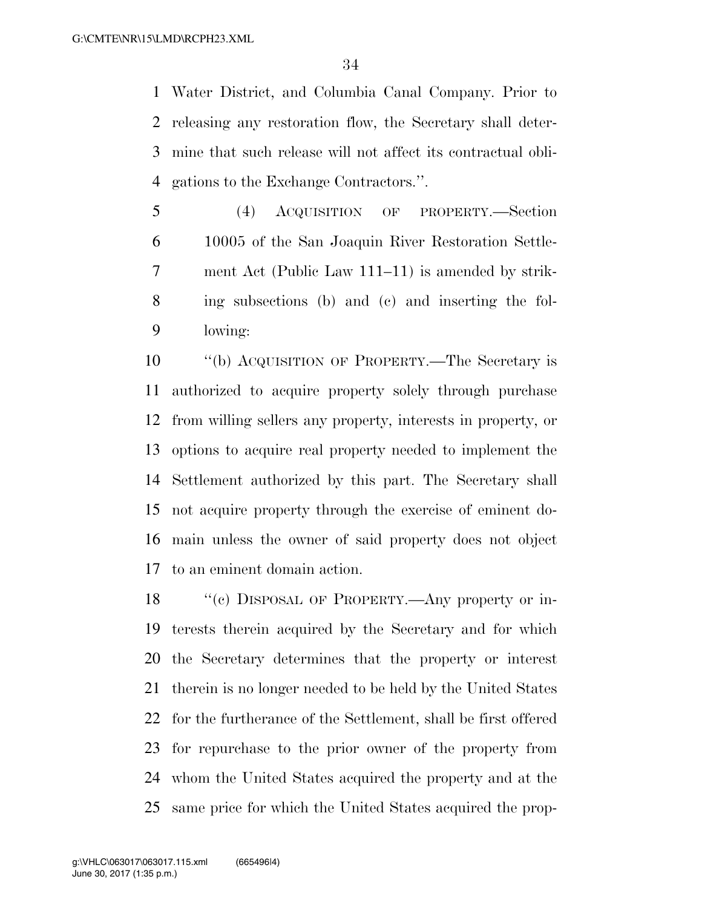Water District, and Columbia Canal Company. Prior to releasing any restoration flow, the Secretary shall deter- mine that such release will not affect its contractual obli-gations to the Exchange Contractors.''.

 (4) ACQUISITION OF PROPERTY.—Section 10005 of the San Joaquin River Restoration Settle- ment Act (Public Law 111–11) is amended by strik- ing subsections (b) and (c) and inserting the fol-lowing:

 ''(b) ACQUISITION OF PROPERTY.—The Secretary is authorized to acquire property solely through purchase from willing sellers any property, interests in property, or options to acquire real property needed to implement the Settlement authorized by this part. The Secretary shall not acquire property through the exercise of eminent do- main unless the owner of said property does not object to an eminent domain action.

18 "(c) DISPOSAL OF PROPERTY.—Any property or in- terests therein acquired by the Secretary and for which the Secretary determines that the property or interest therein is no longer needed to be held by the United States for the furtherance of the Settlement, shall be first offered for repurchase to the prior owner of the property from whom the United States acquired the property and at the same price for which the United States acquired the prop-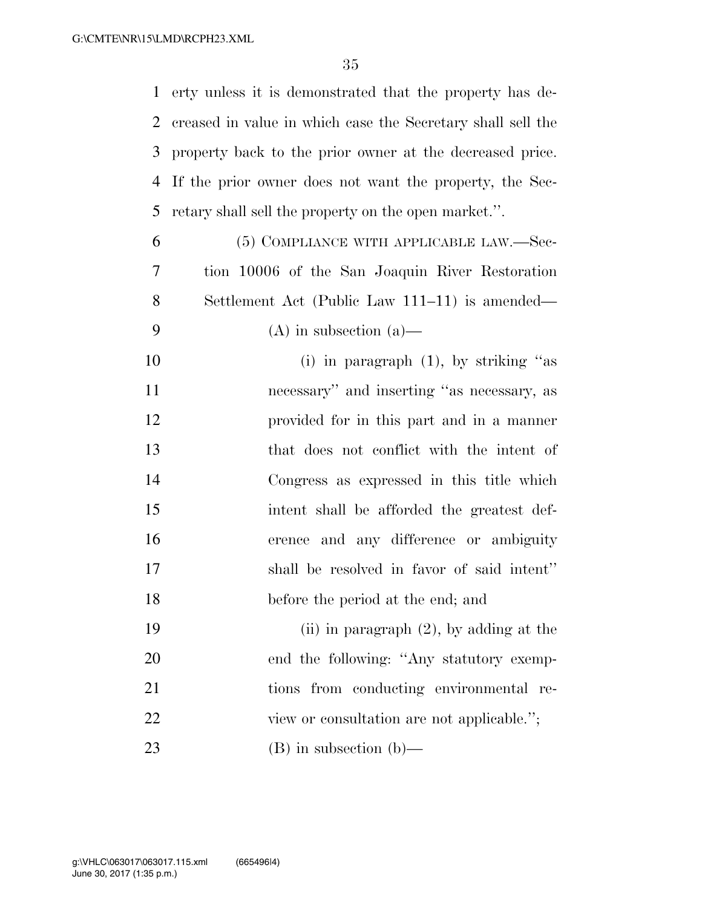erty unless it is demonstrated that the property has de- creased in value in which case the Secretary shall sell the property back to the prior owner at the decreased price. If the prior owner does not want the property, the Sec-retary shall sell the property on the open market.''.

- (5) COMPLIANCE WITH APPLICABLE LAW.—Sec- tion 10006 of the San Joaquin River Restoration Settlement Act (Public Law 111–11) is amended— 9 (A) in subsection (a)
- 10 (i) in paragraph (1), by striking "as necessary'' and inserting ''as necessary, as provided for in this part and in a manner that does not conflict with the intent of Congress as expressed in this title which intent shall be afforded the greatest def- erence and any difference or ambiguity shall be resolved in favor of said intent'' before the period at the end; and
- (ii) in paragraph (2), by adding at the 20 end the following: "Any statutory exemp- tions from conducting environmental re-22 view or consultation are not applicable."; (B) in subsection (b)—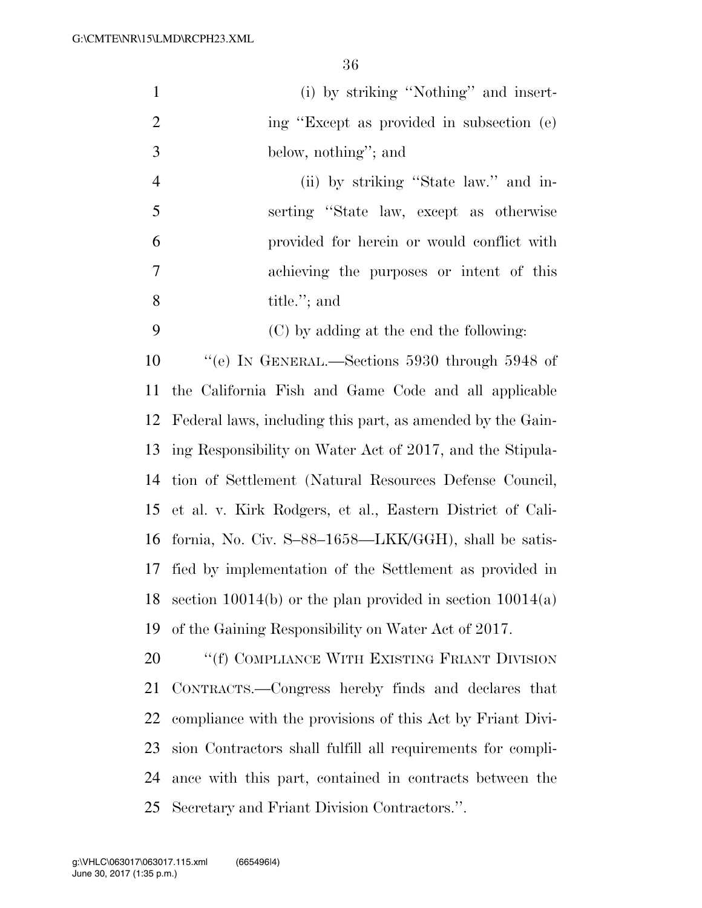| $\mathbf{1}$   | (i) by striking "Nothing" and insert-                         |
|----------------|---------------------------------------------------------------|
| $\overline{2}$ | ing "Except as provided in subsection (e)                     |
| 3              | below, nothing"; and                                          |
| $\overline{4}$ | (ii) by striking "State law." and in-                         |
| 5              | serting "State law, except as otherwise                       |
| 6              | provided for herein or would conflict with                    |
| 7              | achieving the purposes or intent of this                      |
| 8              | title."; and                                                  |
| 9              | (C) by adding at the end the following:                       |
| 10             | "(e) IN GENERAL.—Sections $5930$ through $5948$ of            |
| 11             | the California Fish and Game Code and all applicable          |
| 12             | Federal laws, including this part, as amended by the Gain-    |
| 13             | ing Responsibility on Water Act of 2017, and the Stipula-     |
| 14             | tion of Settlement (Natural Resources Defense Council,        |
| 15             | et al. v. Kirk Rodgers, et al., Eastern District of Cali-     |
| 16             | fornia, No. Civ. $S-88-1658$ —LKK/GGH), shall be satis-       |
| 17             | fied by implementation of the Settlement as provided in       |
| 18             | section $10014(b)$ or the plan provided in section $10014(a)$ |
| 19             | of the Gaining Responsibility on Water Act of 2017.           |
| 20             | "(f) COMPLIANCE WITH EXISTING FRIANT DIVISION                 |
| 21             | CONTRACTS.—Congress hereby finds and declares that            |
| 22             | compliance with the provisions of this Act by Friant Divi-    |
| 23             | sion Contractors shall fulfill all requirements for compli-   |
| 24             | ance with this part, contained in contracts between the       |
| 25             | Secretary and Friant Division Contractors.".                  |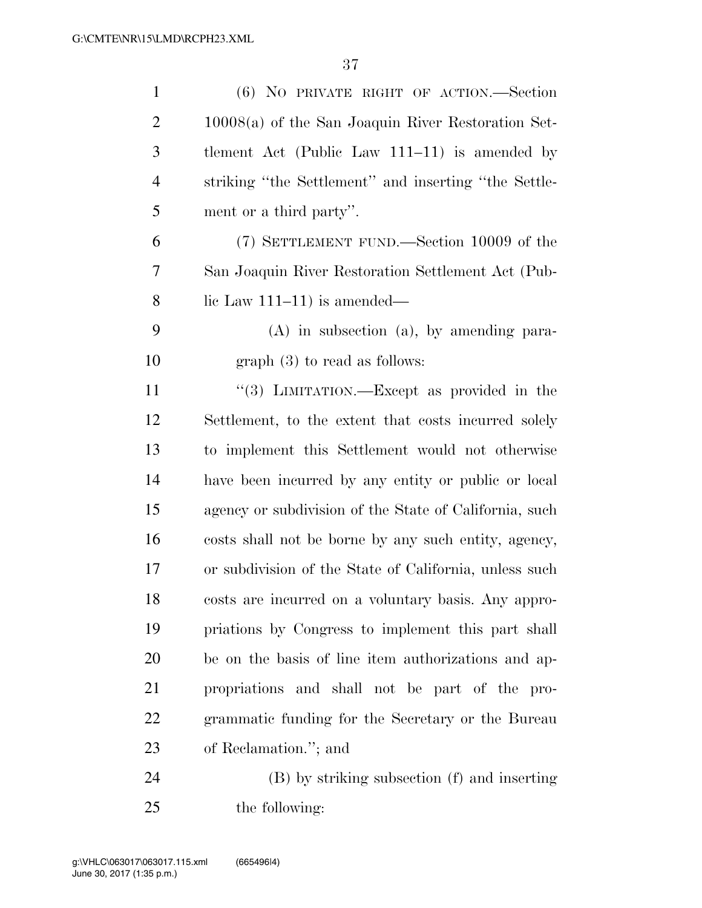| $\mathbf{1}$   | (6) NO PRIVATE RIGHT OF ACTION.—Section                |
|----------------|--------------------------------------------------------|
| $\overline{2}$ | $10008(a)$ of the San Joaquin River Restoration Set-   |
| 3              | tlement Act (Public Law $111-11$ ) is amended by       |
| $\overline{4}$ | striking "the Settlement" and inserting "the Settle-   |
| 5              | ment or a third party".                                |
| 6              | (7) SETTLEMENT FUND.—Section 10009 of the              |
| 7              | San Joaquin River Restoration Settlement Act (Pub-     |
| 8              | lic Law $111-11$ ) is amended—                         |
| 9              | $(A)$ in subsection $(a)$ , by amending para-          |
| 10             | $graph(3)$ to read as follows:                         |
| 11             | "(3) LIMITATION.—Except as provided in the             |
| 12             | Settlement, to the extent that costs incurred solely   |
| 13             | to implement this Settlement would not otherwise       |
| 14             | have been incurred by any entity or public or local    |
| 15             | agency or subdivision of the State of California, such |
| 16             | costs shall not be borne by any such entity, agency,   |
| 17             | or subdivision of the State of California, unless such |
| 18             | costs are incurred on a voluntary basis. Any appro-    |
| 19             | priations by Congress to implement this part shall     |
| 20             | be on the basis of line item authorizations and ap-    |
| 21             | propriations and shall not be part of the pro-         |
| 22             | grammatic funding for the Secretary or the Bureau      |
| 23             | of Reclamation."; and                                  |
| 24             | (B) by striking subsection (f) and inserting           |
|                |                                                        |

25 the following: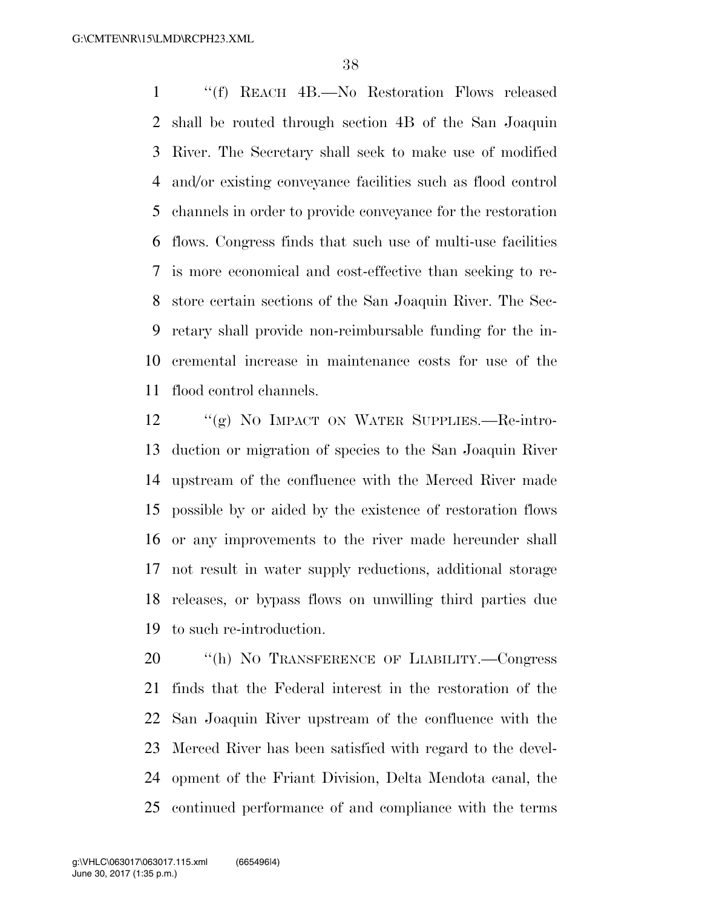''(f) REACH 4B.—No Restoration Flows released shall be routed through section 4B of the San Joaquin River. The Secretary shall seek to make use of modified and/or existing conveyance facilities such as flood control channels in order to provide conveyance for the restoration flows. Congress finds that such use of multi-use facilities is more economical and cost-effective than seeking to re- store certain sections of the San Joaquin River. The Sec- retary shall provide non-reimbursable funding for the in- cremental increase in maintenance costs for use of the flood control channels.

 ''(g) NO IMPACT ON WATER SUPPLIES.—Re-intro- duction or migration of species to the San Joaquin River upstream of the confluence with the Merced River made possible by or aided by the existence of restoration flows or any improvements to the river made hereunder shall not result in water supply reductions, additional storage releases, or bypass flows on unwilling third parties due to such re-introduction.

 ''(h) NO TRANSFERENCE OF LIABILITY.—Congress finds that the Federal interest in the restoration of the San Joaquin River upstream of the confluence with the Merced River has been satisfied with regard to the devel- opment of the Friant Division, Delta Mendota canal, the continued performance of and compliance with the terms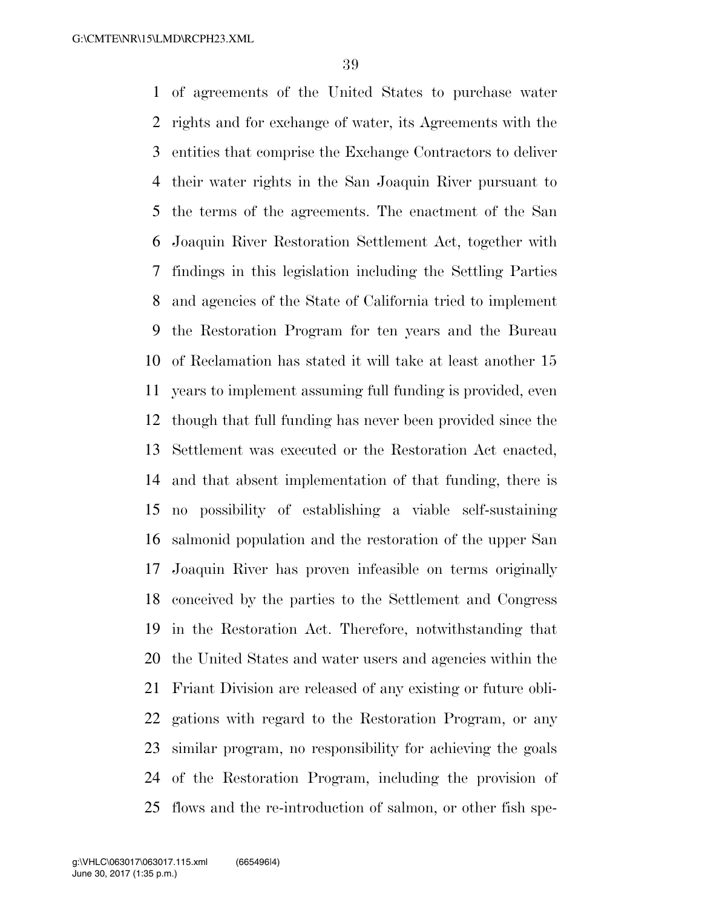of agreements of the United States to purchase water rights and for exchange of water, its Agreements with the entities that comprise the Exchange Contractors to deliver their water rights in the San Joaquin River pursuant to the terms of the agreements. The enactment of the San Joaquin River Restoration Settlement Act, together with findings in this legislation including the Settling Parties and agencies of the State of California tried to implement the Restoration Program for ten years and the Bureau of Reclamation has stated it will take at least another 15 years to implement assuming full funding is provided, even though that full funding has never been provided since the Settlement was executed or the Restoration Act enacted, and that absent implementation of that funding, there is no possibility of establishing a viable self-sustaining salmonid population and the restoration of the upper San Joaquin River has proven infeasible on terms originally conceived by the parties to the Settlement and Congress in the Restoration Act. Therefore, notwithstanding that the United States and water users and agencies within the Friant Division are released of any existing or future obli- gations with regard to the Restoration Program, or any similar program, no responsibility for achieving the goals of the Restoration Program, including the provision of flows and the re-introduction of salmon, or other fish spe-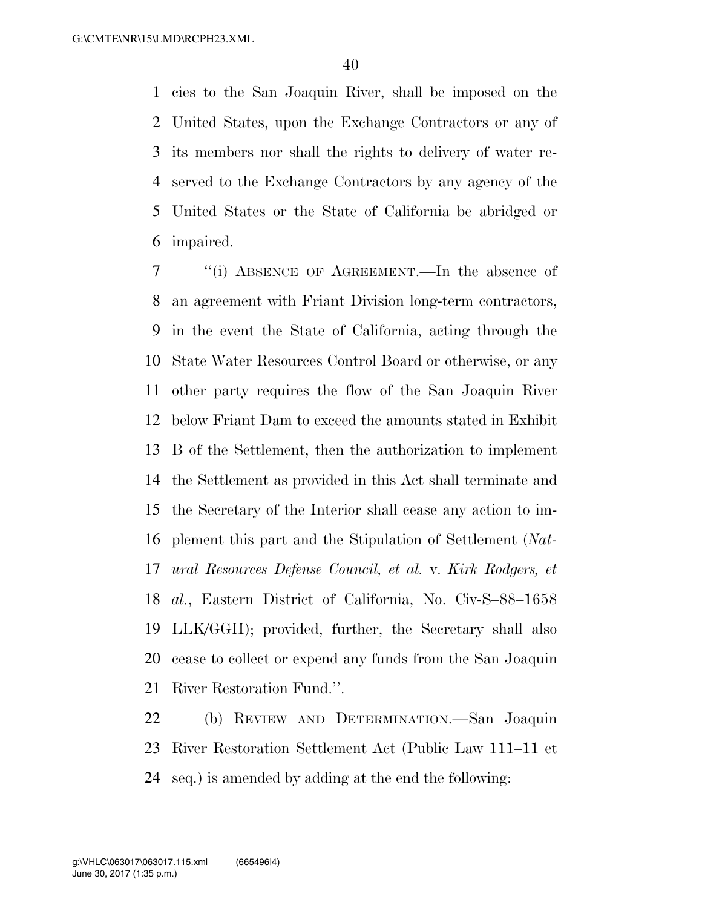cies to the San Joaquin River, shall be imposed on the United States, upon the Exchange Contractors or any of its members nor shall the rights to delivery of water re- served to the Exchange Contractors by any agency of the United States or the State of California be abridged or impaired.

 ''(i) ABSENCE OF AGREEMENT.—In the absence of an agreement with Friant Division long-term contractors, in the event the State of California, acting through the State Water Resources Control Board or otherwise, or any other party requires the flow of the San Joaquin River below Friant Dam to exceed the amounts stated in Exhibit B of the Settlement, then the authorization to implement the Settlement as provided in this Act shall terminate and the Secretary of the Interior shall cease any action to im- plement this part and the Stipulation of Settlement (*Nat- ural Resources Defense Council, et al.* v. *Kirk Rodgers, et al.*, Eastern District of California, No. Civ-S–88–1658 LLK/GGH); provided, further, the Secretary shall also cease to collect or expend any funds from the San Joaquin River Restoration Fund.''.

 (b) REVIEW AND DETERMINATION.—San Joaquin River Restoration Settlement Act (Public Law 111–11 et seq.) is amended by adding at the end the following: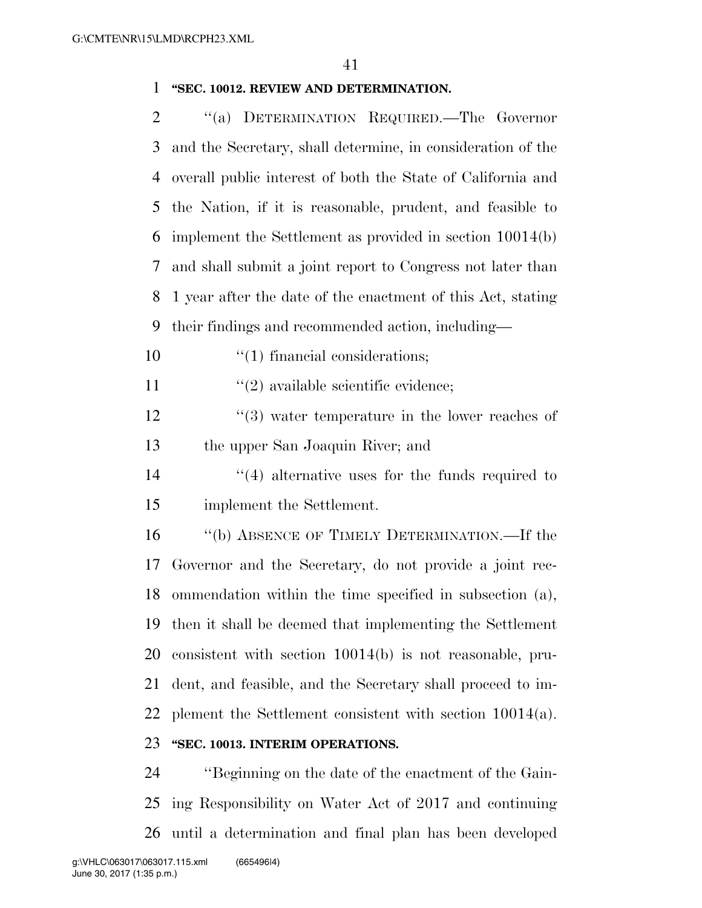### **''SEC. 10012. REVIEW AND DETERMINATION.**

 ''(a) DETERMINATION REQUIRED.—The Governor and the Secretary, shall determine, in consideration of the overall public interest of both the State of California and the Nation, if it is reasonable, prudent, and feasible to implement the Settlement as provided in section 10014(b) and shall submit a joint report to Congress not later than 1 year after the date of the enactment of this Act, stating their findings and recommended action, including—

10  $\frac{1}{1}$  financial considerations;

11  $\frac{1}{2}$  available scientific evidence;

12 ''(3) water temperature in the lower reaches of the upper San Joaquin River; and

14 ''(4) alternative uses for the funds required to implement the Settlement.

 ''(b) ABSENCE OF TIMELY DETERMINATION.—If the Governor and the Secretary, do not provide a joint rec- ommendation within the time specified in subsection (a), then it shall be deemed that implementing the Settlement consistent with section 10014(b) is not reasonable, pru- dent, and feasible, and the Secretary shall proceed to im-plement the Settlement consistent with section 10014(a).

# **''SEC. 10013. INTERIM OPERATIONS.**

 ''Beginning on the date of the enactment of the Gain- ing Responsibility on Water Act of 2017 and continuing until a determination and final plan has been developed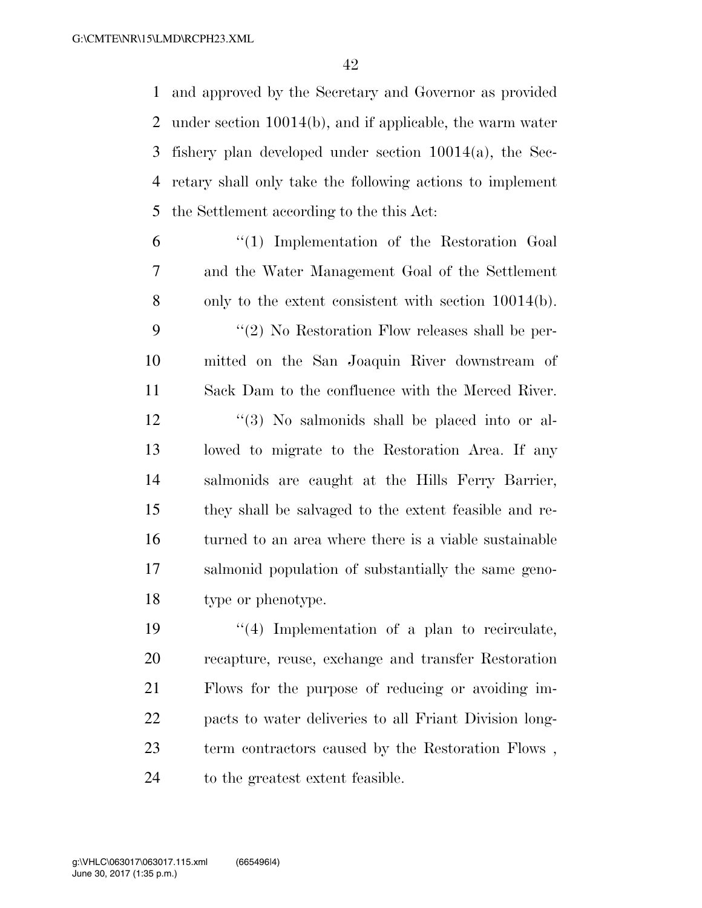and approved by the Secretary and Governor as provided under section 10014(b), and if applicable, the warm water fishery plan developed under section 10014(a), the Sec- retary shall only take the following actions to implement the Settlement according to the this Act:

- ''(1) Implementation of the Restoration Goal and the Water Management Goal of the Settlement only to the extent consistent with section 10014(b). ''(2) No Restoration Flow releases shall be per- mitted on the San Joaquin River downstream of Sack Dam to the confluence with the Merced River. 12 ''(3) No salmonids shall be placed into or al- lowed to migrate to the Restoration Area. If any salmonids are caught at the Hills Ferry Barrier, they shall be salvaged to the extent feasible and re- turned to an area where there is a viable sustainable salmonid population of substantially the same geno-type or phenotype.
- 19  $\frac{1}{4}$  Implementation of a plan to recirculate, recapture, reuse, exchange and transfer Restoration Flows for the purpose of reducing or avoiding im- pacts to water deliveries to all Friant Division long- term contractors caused by the Restoration Flows , 24 to the greatest extent feasible.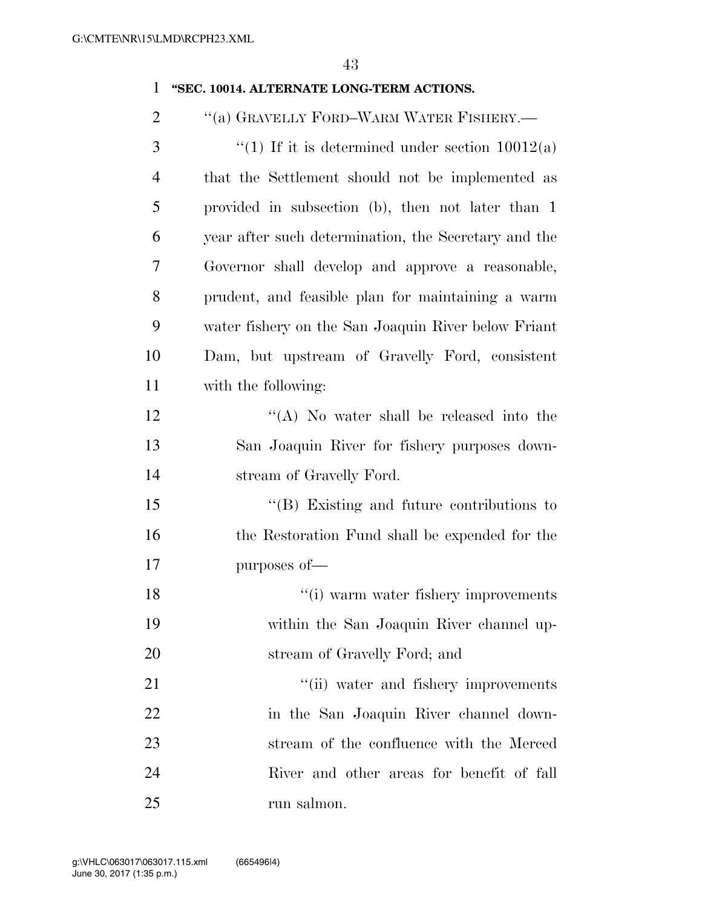# **''SEC. 10014. ALTERNATE LONG-TERM ACTIONS.**

''(a) GRAVELLY FORD–WARM WATER FISHERY.—

| 3              | "(1) If it is determined under section $10012(a)$    |
|----------------|------------------------------------------------------|
| $\overline{4}$ | that the Settlement should not be implemented as     |
| 5              | provided in subsection (b), then not later than 1    |
| 6              | year after such determination, the Secretary and the |
| 7              | Governor shall develop and approve a reasonable,     |
| 8              | prudent, and feasible plan for maintaining a warm    |
| 9              | water fishery on the San Joaquin River below Friant  |
| 10             | Dam, but upstream of Gravelly Ford, consistent       |
| 11             | with the following:                                  |
| 12             | $\lq\lq$ . No water shall be released into the       |
| 13             | San Joaquin River for fishery purposes down-         |
| 14             | stream of Gravelly Ford.                             |
| 15             | $\lq\lq$ (B) Existing and future contributions to    |
| 16             | the Restoration Fund shall be expended for the       |
| 17             | purposes of-                                         |
| 18             | "(i) warm water fishery improvements                 |
| 19             | within the San Joaquin River channel up-             |
| 20             | stream of Gravelly Ford; and                         |
| 21             | "(ii) water and fishery improvements                 |
| 22             | in the San Joaquin River channel down-               |
| 23             | stream of the confluence with the Merced             |
| 24             | River and other areas for benefit of fall            |
| 25             | run salmon.                                          |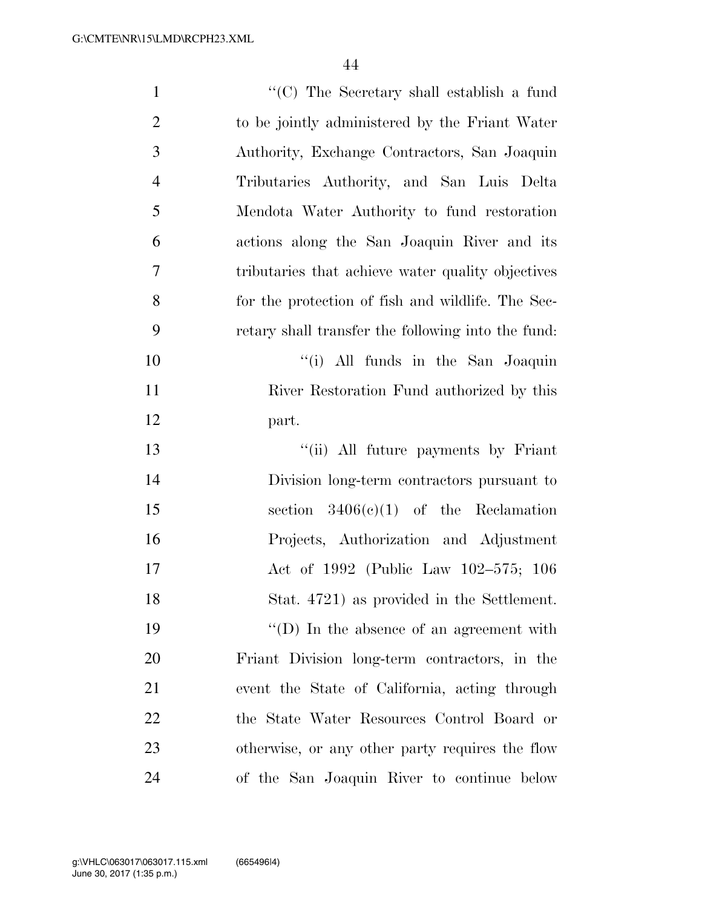| $\mathbf{1}$   | $\lq\lq$ The Secretary shall establish a fund      |
|----------------|----------------------------------------------------|
| $\overline{2}$ | to be jointly administered by the Friant Water     |
| 3              | Authority, Exchange Contractors, San Joaquin       |
| $\overline{4}$ | Tributaries Authority, and San Luis Delta          |
| 5              | Mendota Water Authority to fund restoration        |
| 6              | actions along the San Joaquin River and its        |
| 7              | tributaries that achieve water quality objectives  |
| 8              | for the protection of fish and wildlife. The Sec-  |
| 9              | retary shall transfer the following into the fund: |
| 10             | "(i) All funds in the San Joaquin                  |
| 11             | River Restoration Fund authorized by this          |
| 12             | part.                                              |
| 13             | "(ii) All future payments by Friant                |
| 14             | Division long-term contractors pursuant to         |
| 15             | section $3406(c)(1)$ of the Reclamation            |
| 16             | Projects, Authorization and Adjustment             |
| 17             | Act of 1992 (Public Law 102-575; 106               |
| 18             | Stat. 4721) as provided in the Settlement.         |
| 19             | $\lq\lq$ (D) In the absence of an agreement with   |
| 20             | Friant Division long-term contractors, in the      |
| 21             | event the State of California, acting through      |
| 22             | the State Water Resources Control Board or         |
| 23             | otherwise, or any other party requires the flow    |
| 24             | of the San Joaquin River to continue below         |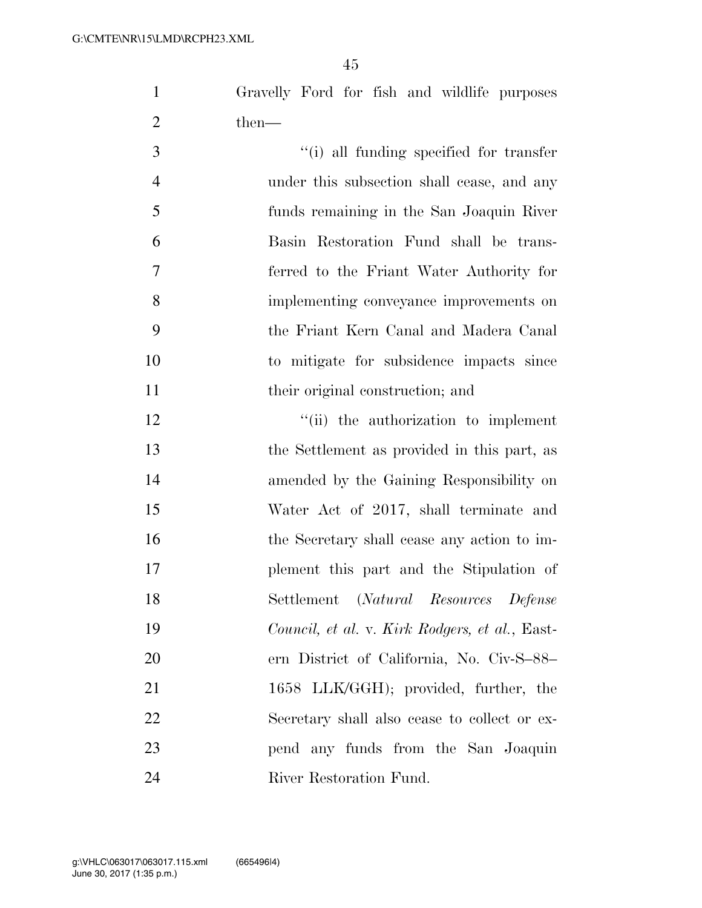Gravelly Ford for fish and wildlife purposes then—

| $\overline{3}$ | "(i) all funding specified for transfer    |
|----------------|--------------------------------------------|
| $\overline{4}$ | under this subsection shall cease, and any |
| $\overline{5}$ | funds remaining in the San Joaquin River   |
| 6              | Basin Restoration Fund shall be trans-     |
| $\overline{7}$ | ferred to the Friant Water Authority for   |
| 8              | implementing conveyance improvements on    |
| -9             | the Friant Kern Canal and Madera Canal     |
| 10             | to mitigate for subsidence impacts since   |
| 11             | their original construction; and           |

 $\qquad$  ''(ii) the authorization to implement the Settlement as provided in this part, as amended by the Gaining Responsibility on Water Act of 2017, shall terminate and 16 the Secretary shall cease any action to im- plement this part and the Stipulation of Settlement (*Natural Resources Defense Council, et al.* v. *Kirk Rodgers, et al.*, East- ern District of California, No. Civ-S–88– 21 1658 LLK/GGH); provided, further, the Secretary shall also cease to collect or ex- pend any funds from the San Joaquin River Restoration Fund.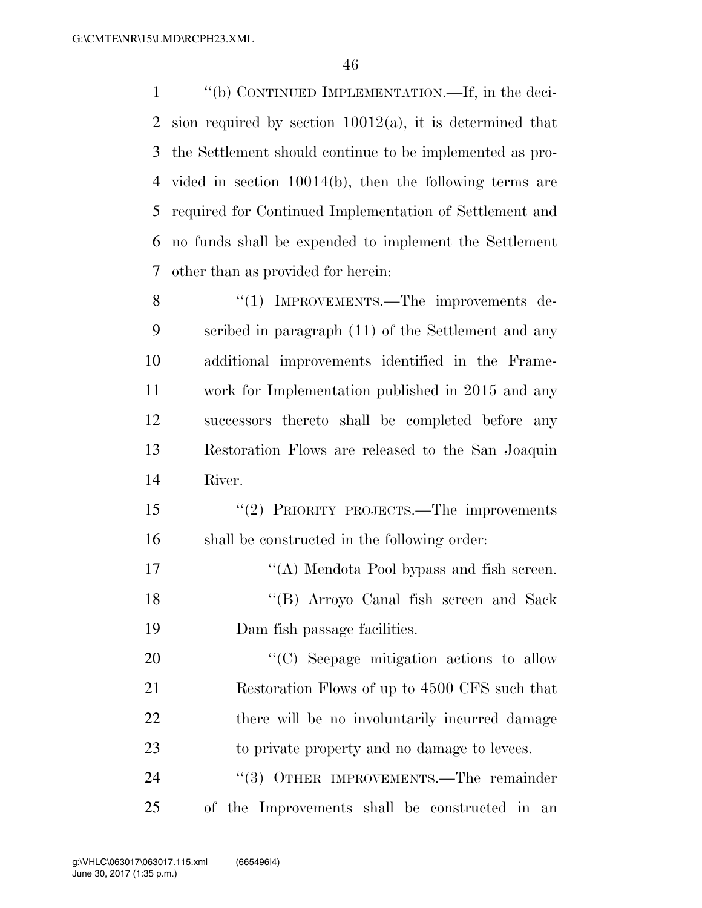''(b) CONTINUED IMPLEMENTATION.—If, in the deci-2 sion required by section  $10012(a)$ , it is determined that the Settlement should continue to be implemented as pro- vided in section 10014(b), then the following terms are required for Continued Implementation of Settlement and no funds shall be expended to implement the Settlement other than as provided for herein: 8 "(1) IMPROVEMENTS.—The improvements de- scribed in paragraph (11) of the Settlement and any additional improvements identified in the Frame- work for Implementation published in 2015 and any successors thereto shall be completed before any Restoration Flows are released to the San Joaquin River. ''(2) PRIORITY PROJECTS.—The improvements

shall be constructed in the following order:

17 ''(A) Mendota Pool bypass and fish screen. ''(B) Arroyo Canal fish screen and Sack Dam fish passage facilities.

20 "'(C) Seepage mitigation actions to allow Restoration Flows of up to 4500 CFS such that 22 there will be no involuntarily incurred damage to private property and no damage to levees.

24 "(3) OTHER IMPROVEMENTS.—The remainder of the Improvements shall be constructed in an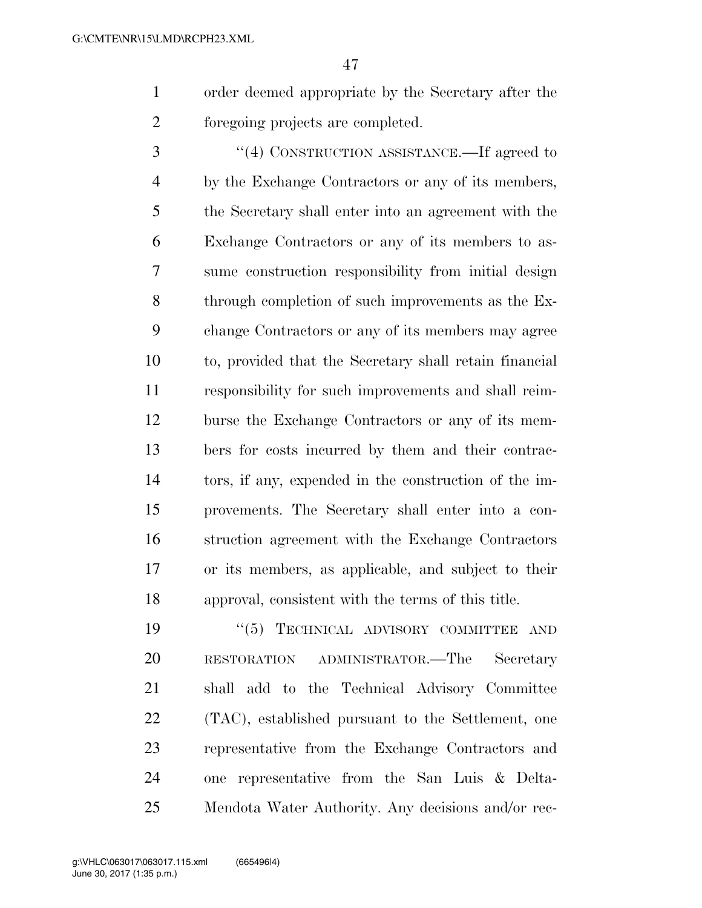order deemed appropriate by the Secretary after the foregoing projects are completed.

 ''(4) CONSTRUCTION ASSISTANCE.—If agreed to by the Exchange Contractors or any of its members, the Secretary shall enter into an agreement with the Exchange Contractors or any of its members to as- sume construction responsibility from initial design through completion of such improvements as the Ex- change Contractors or any of its members may agree to, provided that the Secretary shall retain financial responsibility for such improvements and shall reim- burse the Exchange Contractors or any of its mem- bers for costs incurred by them and their contrac- tors, if any, expended in the construction of the im- provements. The Secretary shall enter into a con- struction agreement with the Exchange Contractors or its members, as applicable, and subject to their approval, consistent with the terms of this title.

 $(5)$  TECHNICAL ADVISORY COMMITTEE AND RESTORATION ADMINISTRATOR.—The Secretary shall add to the Technical Advisory Committee (TAC), established pursuant to the Settlement, one representative from the Exchange Contractors and one representative from the San Luis & Delta-Mendota Water Authority. Any decisions and/or rec-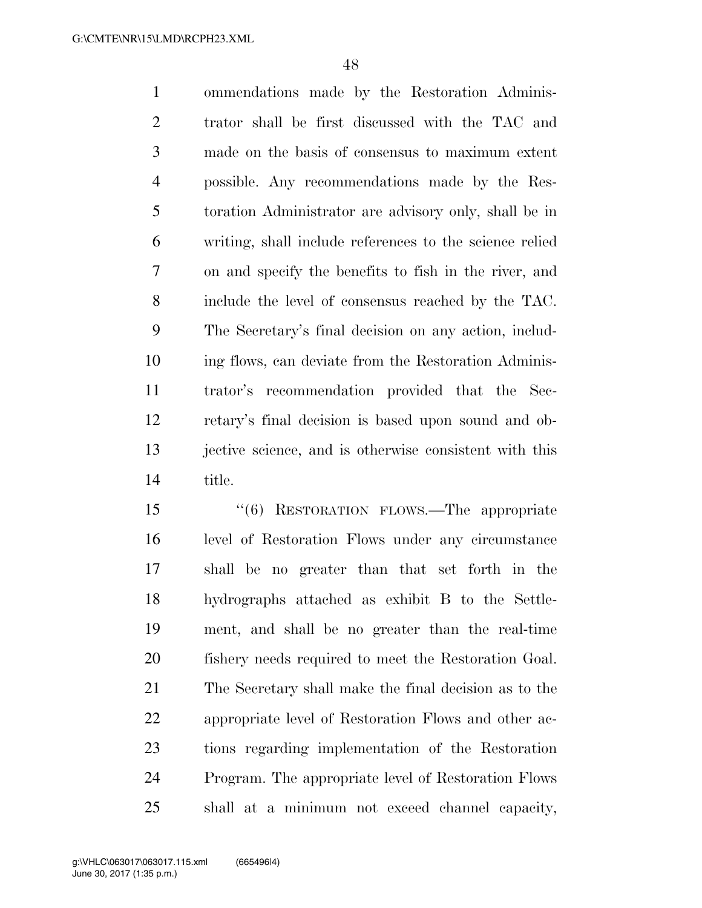ommendations made by the Restoration Adminis- trator shall be first discussed with the TAC and made on the basis of consensus to maximum extent possible. Any recommendations made by the Res- toration Administrator are advisory only, shall be in writing, shall include references to the science relied on and specify the benefits to fish in the river, and include the level of consensus reached by the TAC. The Secretary's final decision on any action, includ- ing flows, can deviate from the Restoration Adminis- trator's recommendation provided that the Sec- retary's final decision is based upon sound and ob- jective science, and is otherwise consistent with this title.

 ''(6) RESTORATION FLOWS.—The appropriate level of Restoration Flows under any circumstance shall be no greater than that set forth in the hydrographs attached as exhibit B to the Settle- ment, and shall be no greater than the real-time fishery needs required to meet the Restoration Goal. The Secretary shall make the final decision as to the appropriate level of Restoration Flows and other ac- tions regarding implementation of the Restoration Program. The appropriate level of Restoration Flows shall at a minimum not exceed channel capacity,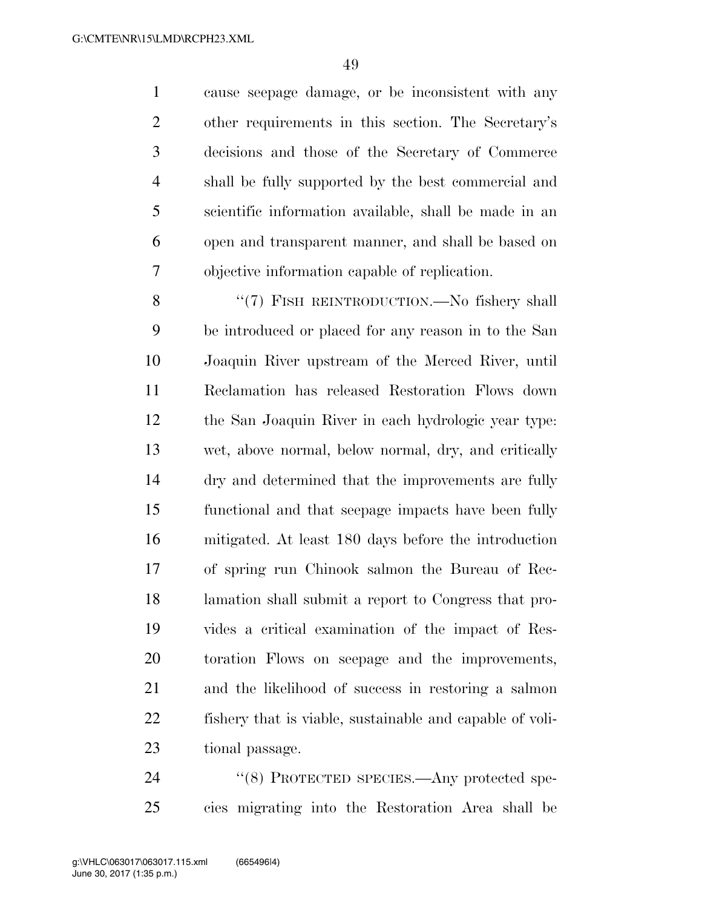cause seepage damage, or be inconsistent with any other requirements in this section. The Secretary's decisions and those of the Secretary of Commerce shall be fully supported by the best commercial and scientific information available, shall be made in an open and transparent manner, and shall be based on objective information capable of replication.

8 "(7) FISH REINTRODUCTION.—No fishery shall be introduced or placed for any reason in to the San Joaquin River upstream of the Merced River, until Reclamation has released Restoration Flows down the San Joaquin River in each hydrologic year type: wet, above normal, below normal, dry, and critically dry and determined that the improvements are fully functional and that seepage impacts have been fully mitigated. At least 180 days before the introduction of spring run Chinook salmon the Bureau of Rec- lamation shall submit a report to Congress that pro- vides a critical examination of the impact of Res- toration Flows on seepage and the improvements, and the likelihood of success in restoring a salmon fishery that is viable, sustainable and capable of voli-tional passage.

24 "(8) PROTECTED SPECIES.—Any protected spe-cies migrating into the Restoration Area shall be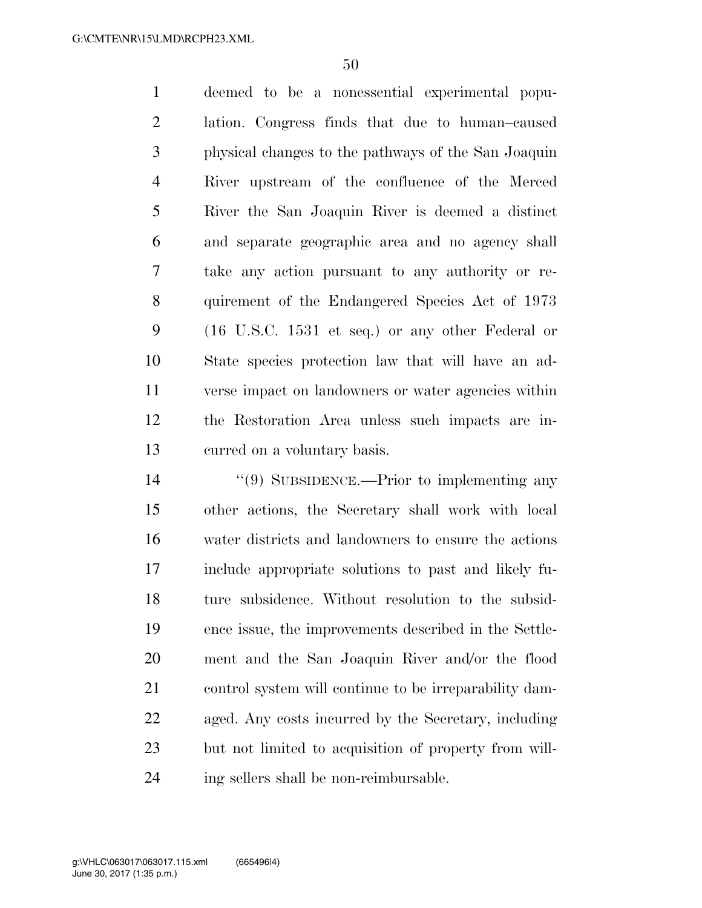deemed to be a nonessential experimental popu- lation. Congress finds that due to human–caused physical changes to the pathways of the San Joaquin River upstream of the confluence of the Merced River the San Joaquin River is deemed a distinct and separate geographic area and no agency shall take any action pursuant to any authority or re- quirement of the Endangered Species Act of 1973 (16 U.S.C. 1531 et seq.) or any other Federal or State species protection law that will have an ad- verse impact on landowners or water agencies within the Restoration Area unless such impacts are in-curred on a voluntary basis.

 ''(9) SUBSIDENCE.—Prior to implementing any other actions, the Secretary shall work with local water districts and landowners to ensure the actions include appropriate solutions to past and likely fu- ture subsidence. Without resolution to the subsid- ence issue, the improvements described in the Settle- ment and the San Joaquin River and/or the flood control system will continue to be irreparability dam- aged. Any costs incurred by the Secretary, including but not limited to acquisition of property from will-ing sellers shall be non-reimbursable.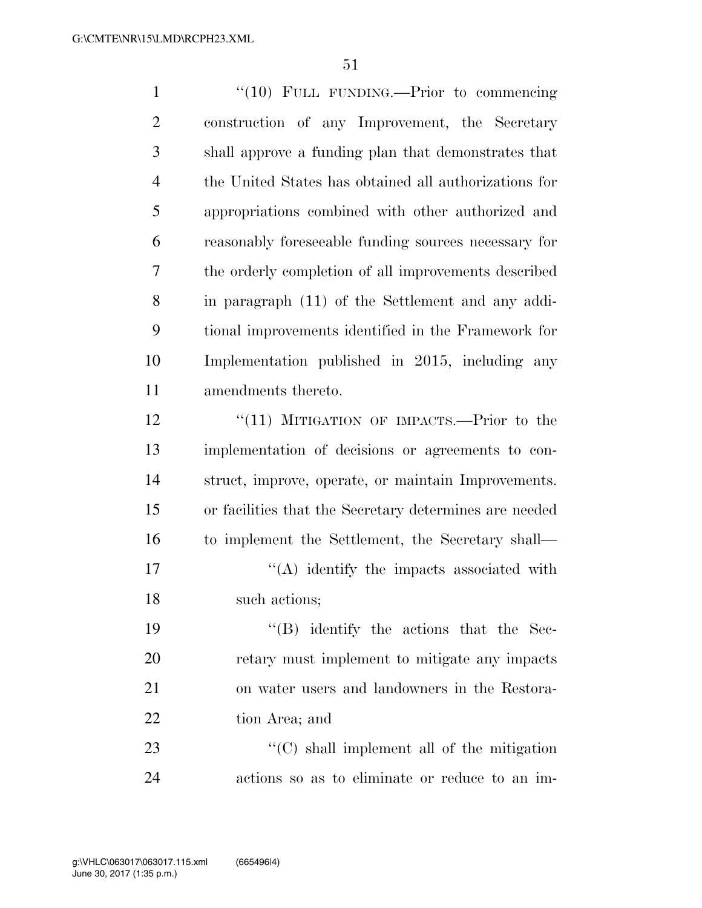| $\mathbf{1}$   | "(10) FULL FUNDING.—Prior to commencing                |
|----------------|--------------------------------------------------------|
| $\overline{2}$ | construction of any Improvement, the Secretary         |
| 3              | shall approve a funding plan that demonstrates that    |
| $\overline{4}$ | the United States has obtained all authorizations for  |
| 5              | appropriations combined with other authorized and      |
| 6              | reasonably foreseeable funding sources necessary for   |
| 7              | the orderly completion of all improvements described   |
| 8              | in paragraph (11) of the Settlement and any addi-      |
| 9              | tional improvements identified in the Framework for    |
| 10             | Implementation published in 2015, including any        |
| 11             | amendments thereto.                                    |
| 12             | " $(11)$ MITIGATION OF IMPACTS.—Prior to the           |
| 13             | implementation of decisions or agreements to con-      |
| 14             | struct, improve, operate, or maintain Improvements.    |
| 15             | or facilities that the Secretary determines are needed |
| 16             | to implement the Settlement, the Secretary shall—      |
| 17             | $\lq\lq$ identify the impacts associated with          |
| 18             | such actions;                                          |
| 19             | $\lq\lq$ identify the actions that the Sec-            |
| 20             | retary must implement to mitigate any impacts          |
| 21             | on water users and landowners in the Restora-          |
| 22             | tion Area; and                                         |
| 23             | "(C) shall implement all of the mitigation             |
| 24             | actions so as to eliminate or reduce to an im-         |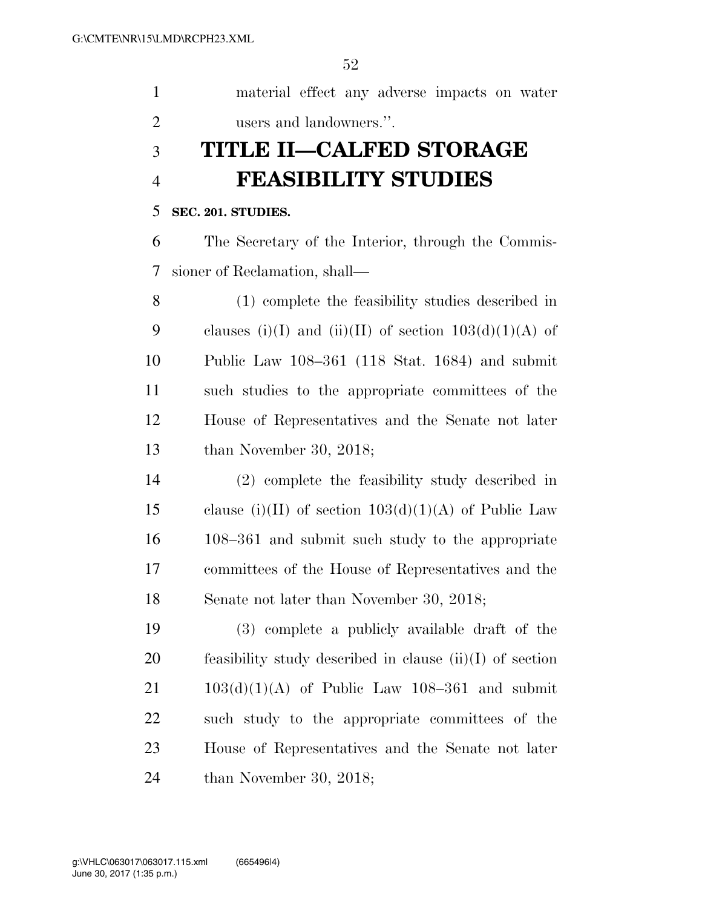material effect any adverse impacts on water users and landowners.''.

# **TITLE II—CALFED STORAGE FEASIBILITY STUDIES**

### **SEC. 201. STUDIES.**

 The Secretary of the Interior, through the Commis-sioner of Reclamation, shall—

 (1) complete the feasibility studies described in 9 clauses (i)(I) and (ii)(II) of section  $103(d)(1)(A)$  of Public Law 108–361 (118 Stat. 1684) and submit such studies to the appropriate committees of the House of Representatives and the Senate not later than November 30, 2018;

 (2) complete the feasibility study described in 15 clause (i)(II) of section  $103(d)(1)(A)$  of Public Law 108–361 and submit such study to the appropriate committees of the House of Representatives and the Senate not later than November 30, 2018;

 (3) complete a publicly available draft of the feasibility study described in clause (ii)(I) of section 103(d)(1)(A) of Public Law 108–361 and submit such study to the appropriate committees of the House of Representatives and the Senate not later than November 30, 2018;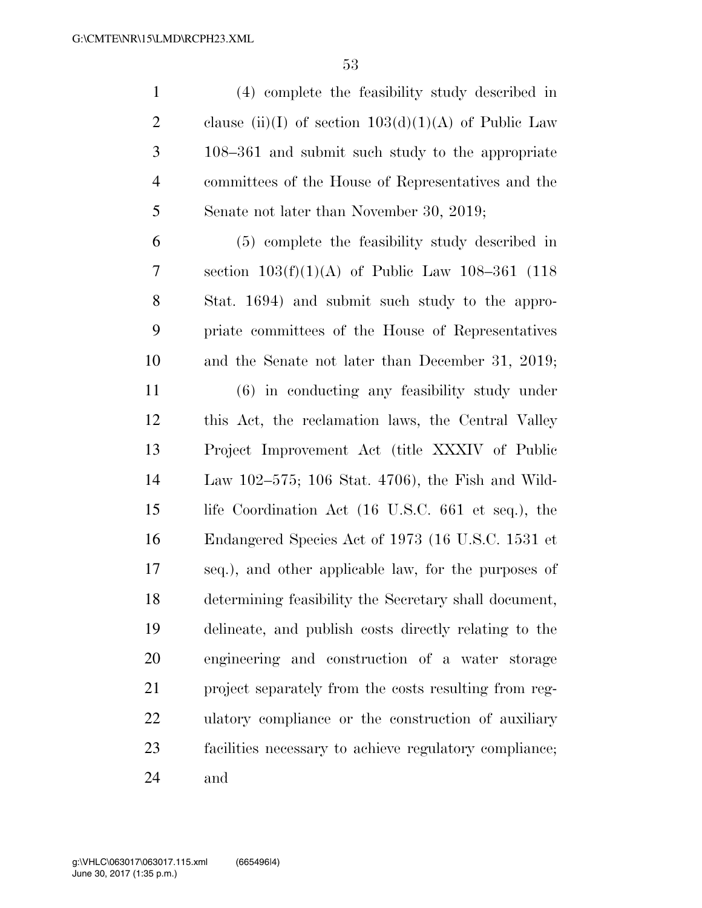(4) complete the feasibility study described in 2 clause (ii)(I) of section  $103(d)(1)(A)$  of Public Law 108–361 and submit such study to the appropriate committees of the House of Representatives and the Senate not later than November 30, 2019;

 (5) complete the feasibility study described in section 103(f)(1)(A) of Public Law 108–361 (118 Stat. 1694) and submit such study to the appro- priate committees of the House of Representatives and the Senate not later than December 31, 2019;

 (6) in conducting any feasibility study under this Act, the reclamation laws, the Central Valley Project Improvement Act (title XXXIV of Public Law 102–575; 106 Stat. 4706), the Fish and Wild- life Coordination Act (16 U.S.C. 661 et seq.), the Endangered Species Act of 1973 (16 U.S.C. 1531 et seq.), and other applicable law, for the purposes of determining feasibility the Secretary shall document, delineate, and publish costs directly relating to the engineering and construction of a water storage project separately from the costs resulting from reg- ulatory compliance or the construction of auxiliary facilities necessary to achieve regulatory compliance; and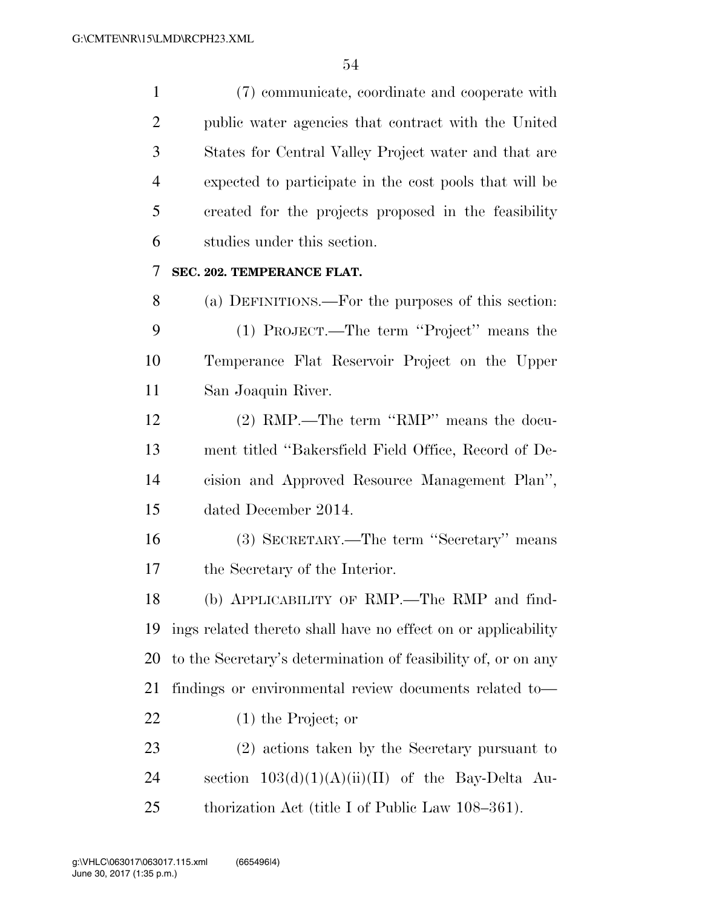(7) communicate, coordinate and cooperate with public water agencies that contract with the United States for Central Valley Project water and that are expected to participate in the cost pools that will be created for the projects proposed in the feasibility studies under this section.

## **SEC. 202. TEMPERANCE FLAT.**

 (a) DEFINITIONS.—For the purposes of this section: (1) PROJECT.—The term ''Project'' means the Temperance Flat Reservoir Project on the Upper San Joaquin River.

 (2) RMP.—The term ''RMP'' means the docu- ment titled ''Bakersfield Field Office, Record of De- cision and Approved Resource Management Plan'', dated December 2014.

 (3) SECRETARY.—The term ''Secretary'' means the Secretary of the Interior.

 (b) APPLICABILITY OF RMP.—The RMP and find- ings related thereto shall have no effect on or applicability to the Secretary's determination of feasibility of, or on any findings or environmental review documents related to— (1) the Project; or

 (2) actions taken by the Secretary pursuant to 24 section  $103(d)(1)(A)(ii)(II)$  of the Bay-Delta Au-thorization Act (title I of Public Law 108–361).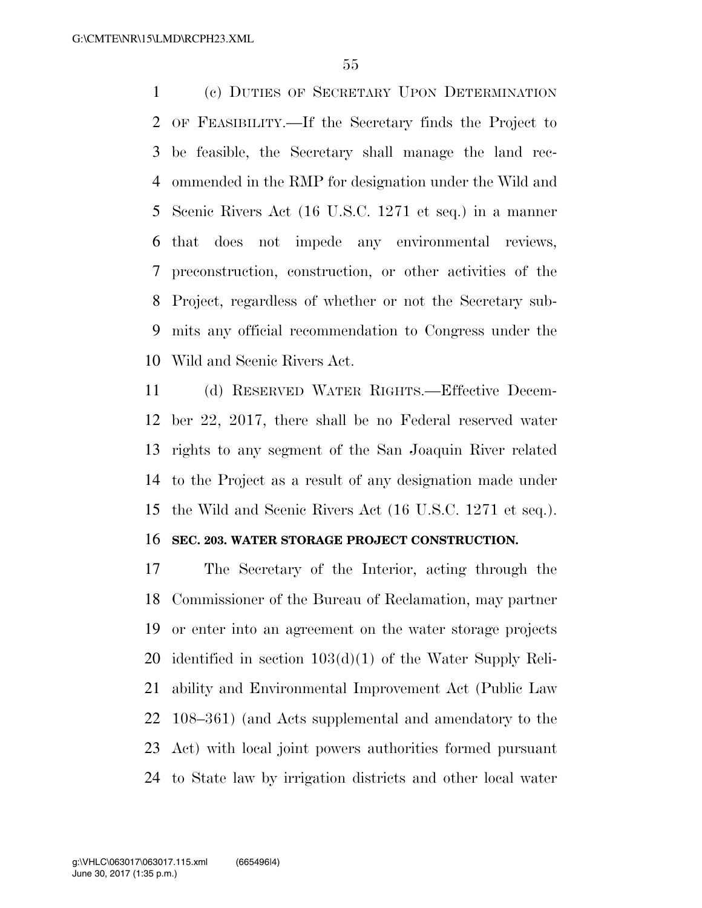(c) DUTIES OF SECRETARY UPON DETERMINATION OF FEASIBILITY.—If the Secretary finds the Project to be feasible, the Secretary shall manage the land rec- ommended in the RMP for designation under the Wild and Scenic Rivers Act (16 U.S.C. 1271 et seq.) in a manner that does not impede any environmental reviews, preconstruction, construction, or other activities of the Project, regardless of whether or not the Secretary sub- mits any official recommendation to Congress under the Wild and Scenic Rivers Act.

 (d) RESERVED WATER RIGHTS.—Effective Decem- ber 22, 2017, there shall be no Federal reserved water rights to any segment of the San Joaquin River related to the Project as a result of any designation made under the Wild and Scenic Rivers Act (16 U.S.C. 1271 et seq.).

### **SEC. 203. WATER STORAGE PROJECT CONSTRUCTION.**

 The Secretary of the Interior, acting through the Commissioner of the Bureau of Reclamation, may partner or enter into an agreement on the water storage projects identified in section 103(d)(1) of the Water Supply Reli- ability and Environmental Improvement Act (Public Law 108–361) (and Acts supplemental and amendatory to the Act) with local joint powers authorities formed pursuant to State law by irrigation districts and other local water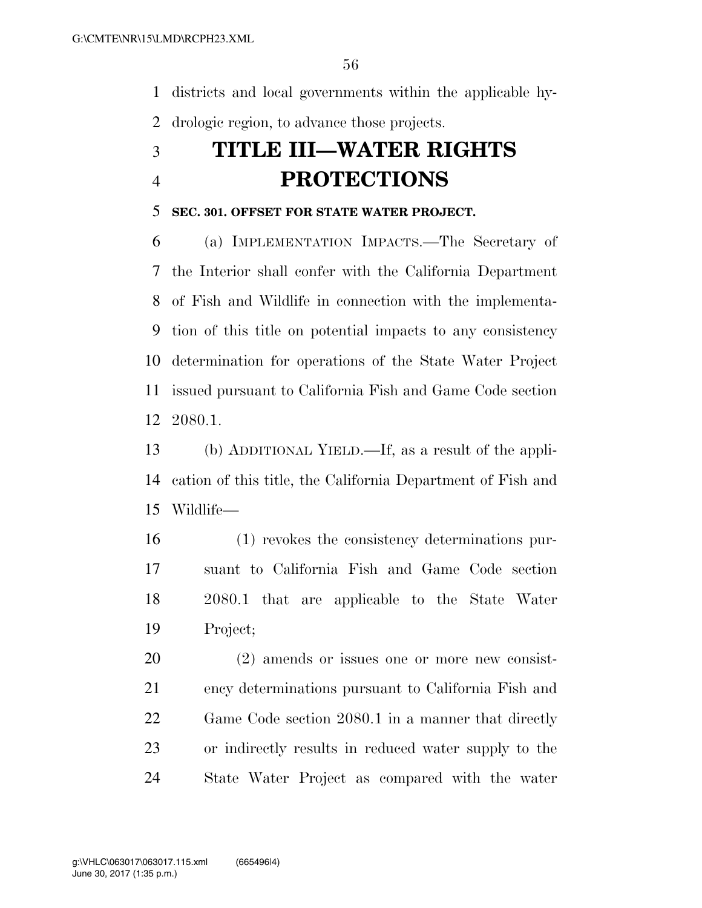districts and local governments within the applicable hy-drologic region, to advance those projects.

# **TITLE III—WATER RIGHTS PROTECTIONS**

### **SEC. 301. OFFSET FOR STATE WATER PROJECT.**

 (a) IMPLEMENTATION IMPACTS.—The Secretary of the Interior shall confer with the California Department of Fish and Wildlife in connection with the implementa- tion of this title on potential impacts to any consistency determination for operations of the State Water Project issued pursuant to California Fish and Game Code section 2080.1.

 (b) ADDITIONAL YIELD.—If, as a result of the appli- cation of this title, the California Department of Fish and Wildlife—

 (1) revokes the consistency determinations pur- suant to California Fish and Game Code section 2080.1 that are applicable to the State Water Project;

 (2) amends or issues one or more new consist- ency determinations pursuant to California Fish and Game Code section 2080.1 in a manner that directly or indirectly results in reduced water supply to the State Water Project as compared with the water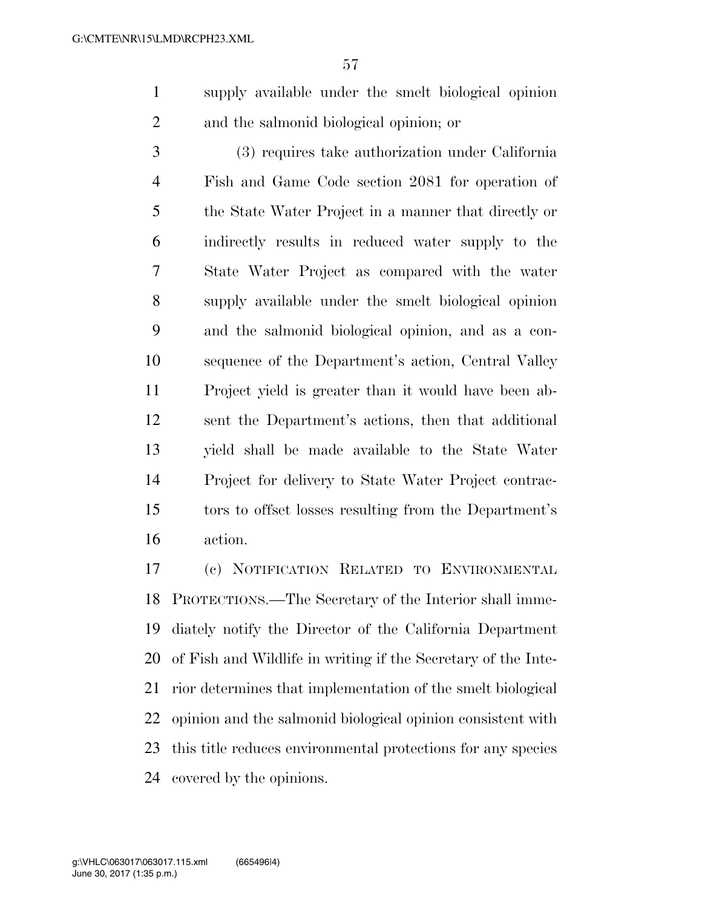- supply available under the smelt biological opinion and the salmonid biological opinion; or
- (3) requires take authorization under California Fish and Game Code section 2081 for operation of the State Water Project in a manner that directly or indirectly results in reduced water supply to the State Water Project as compared with the water supply available under the smelt biological opinion and the salmonid biological opinion, and as a con- sequence of the Department's action, Central Valley Project yield is greater than it would have been ab- sent the Department's actions, then that additional yield shall be made available to the State Water Project for delivery to State Water Project contrac- tors to offset losses resulting from the Department's action.

 (c) NOTIFICATION RELATED TO ENVIRONMENTAL PROTECTIONS.—The Secretary of the Interior shall imme- diately notify the Director of the California Department of Fish and Wildlife in writing if the Secretary of the Inte- rior determines that implementation of the smelt biological opinion and the salmonid biological opinion consistent with this title reduces environmental protections for any species covered by the opinions.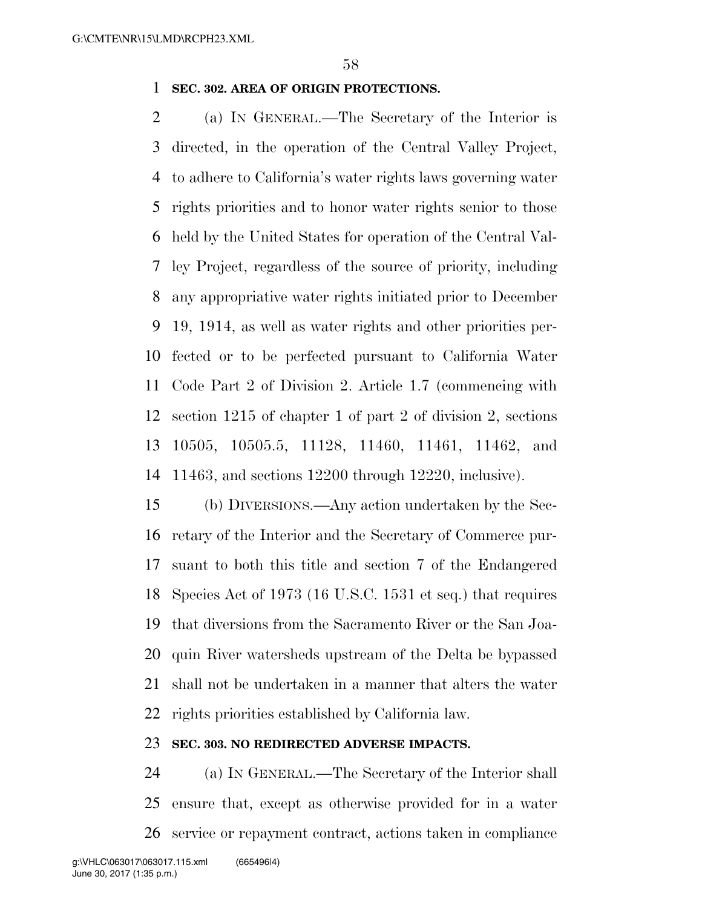## **SEC. 302. AREA OF ORIGIN PROTECTIONS.**

 (a) IN GENERAL.—The Secretary of the Interior is directed, in the operation of the Central Valley Project, to adhere to California's water rights laws governing water rights priorities and to honor water rights senior to those held by the United States for operation of the Central Val- ley Project, regardless of the source of priority, including any appropriative water rights initiated prior to December 19, 1914, as well as water rights and other priorities per- fected or to be perfected pursuant to California Water Code Part 2 of Division 2. Article 1.7 (commencing with section 1215 of chapter 1 of part 2 of division 2, sections 10505, 10505.5, 11128, 11460, 11461, 11462, and 11463, and sections 12200 through 12220, inclusive).

 (b) DIVERSIONS.—Any action undertaken by the Sec- retary of the Interior and the Secretary of Commerce pur- suant to both this title and section 7 of the Endangered Species Act of 1973 (16 U.S.C. 1531 et seq.) that requires that diversions from the Sacramento River or the San Joa- quin River watersheds upstream of the Delta be bypassed shall not be undertaken in a manner that alters the water rights priorities established by California law.

# **SEC. 303. NO REDIRECTED ADVERSE IMPACTS.**

 (a) IN GENERAL.—The Secretary of the Interior shall ensure that, except as otherwise provided for in a water service or repayment contract, actions taken in compliance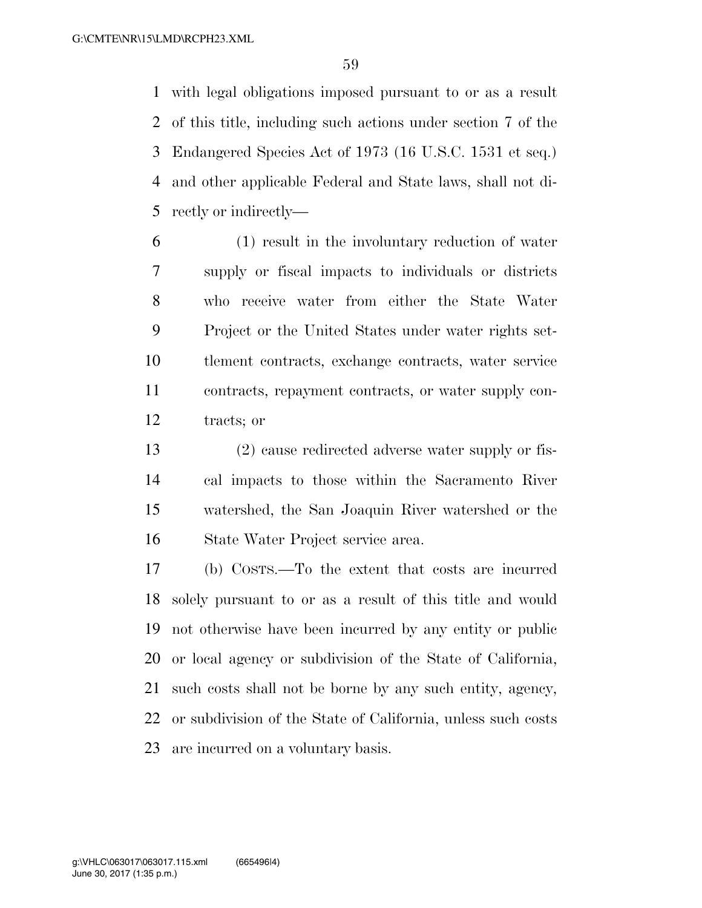with legal obligations imposed pursuant to or as a result of this title, including such actions under section 7 of the Endangered Species Act of 1973 (16 U.S.C. 1531 et seq.) and other applicable Federal and State laws, shall not di-rectly or indirectly—

 (1) result in the involuntary reduction of water supply or fiscal impacts to individuals or districts who receive water from either the State Water Project or the United States under water rights set- tlement contracts, exchange contracts, water service contracts, repayment contracts, or water supply con-tracts; or

 (2) cause redirected adverse water supply or fis- cal impacts to those within the Sacramento River watershed, the San Joaquin River watershed or the State Water Project service area.

 (b) COSTS.—To the extent that costs are incurred solely pursuant to or as a result of this title and would not otherwise have been incurred by any entity or public or local agency or subdivision of the State of California, such costs shall not be borne by any such entity, agency, or subdivision of the State of California, unless such costs are incurred on a voluntary basis.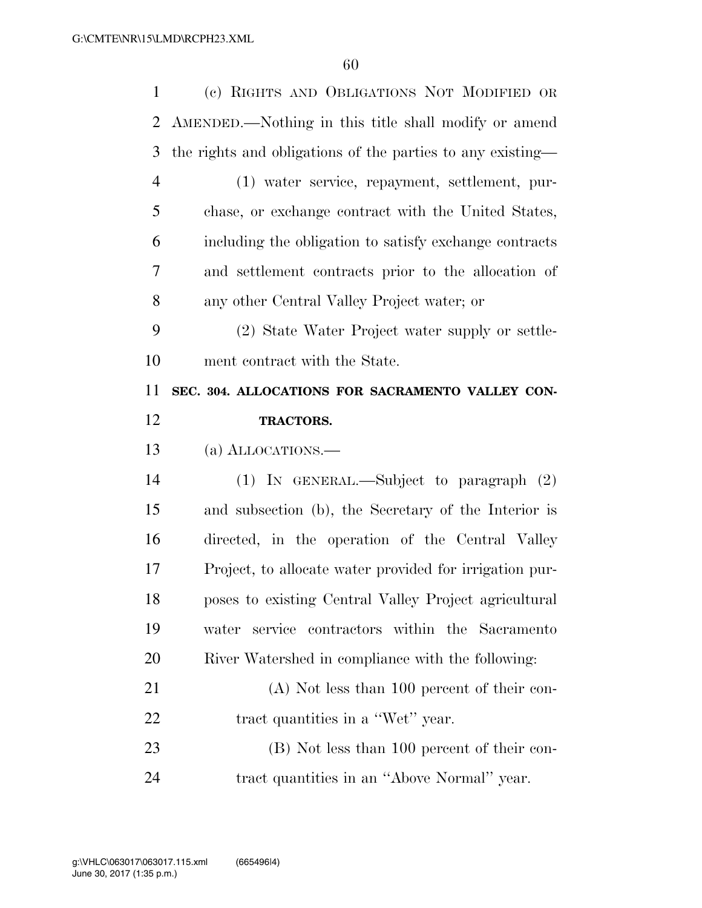| $\mathbf{1}$   | (c) RIGHTS AND OBLIGATIONS NOT MODIFIED OR                 |
|----------------|------------------------------------------------------------|
| 2              | AMENDED.—Nothing in this title shall modify or amend       |
| 3              | the rights and obligations of the parties to any existing— |
| $\overline{4}$ | (1) water service, repayment, settlement, pur-             |
| 5              | chase, or exchange contract with the United States,        |
| 6              | including the obligation to satisfy exchange contracts     |
| 7              | and settlement contracts prior to the allocation of        |
| 8              | any other Central Valley Project water; or                 |
| 9              | (2) State Water Project water supply or settle-            |
| 10             | ment contract with the State.                              |
| 11             | SEC. 304. ALLOCATIONS FOR SACRAMENTO VALLEY CON-           |
| 12             | <b>TRACTORS.</b>                                           |
|                |                                                            |
| 13             | (a) ALLOCATIONS.—                                          |
| 14             | (1) IN GENERAL.—Subject to paragraph $(2)$                 |
| 15             | and subsection (b), the Secretary of the Interior is       |
| 16             | directed, in the operation of the Central Valley           |
| 17             | Project, to allocate water provided for irrigation pur-    |
| 18             | poses to existing Central Valley Project agricultural      |
| 19             | service contractors within the Sacramento<br>water         |
| 20             | River Watershed in compliance with the following:          |
| 21             | $(A)$ Not less than 100 percent of their con-              |
| 22             | tract quantities in a "Wet" year.                          |
| 23             | (B) Not less than 100 percent of their con-                |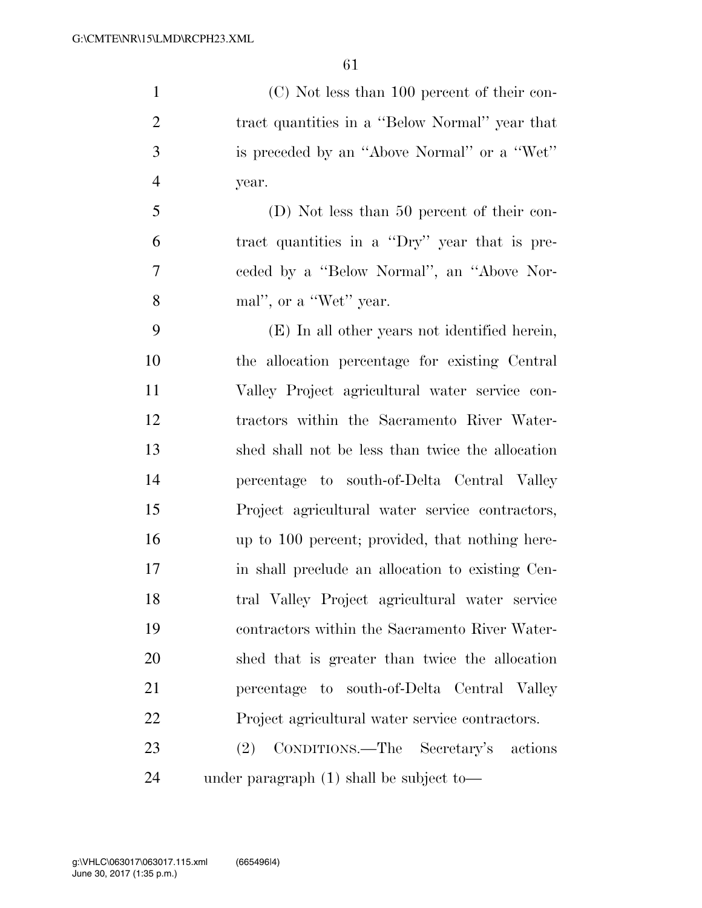(C) Not less than 100 percent of their con- tract quantities in a ''Below Normal'' year that is preceded by an ''Above Normal'' or a ''Wet'' year.

 (D) Not less than 50 percent of their con- tract quantities in a ''Dry'' year that is pre- ceded by a ''Below Normal'', an ''Above Nor-mal'', or a ''Wet'' year.

 (E) In all other years not identified herein, the allocation percentage for existing Central Valley Project agricultural water service con- tractors within the Sacramento River Water- shed shall not be less than twice the allocation percentage to south-of-Delta Central Valley Project agricultural water service contractors, up to 100 percent; provided, that nothing here- in shall preclude an allocation to existing Cen- tral Valley Project agricultural water service contractors within the Sacramento River Water- shed that is greater than twice the allocation percentage to south-of-Delta Central Valley Project agricultural water service contractors. (2) CONDITIONS.—The Secretary's actions

under paragraph (1) shall be subject to—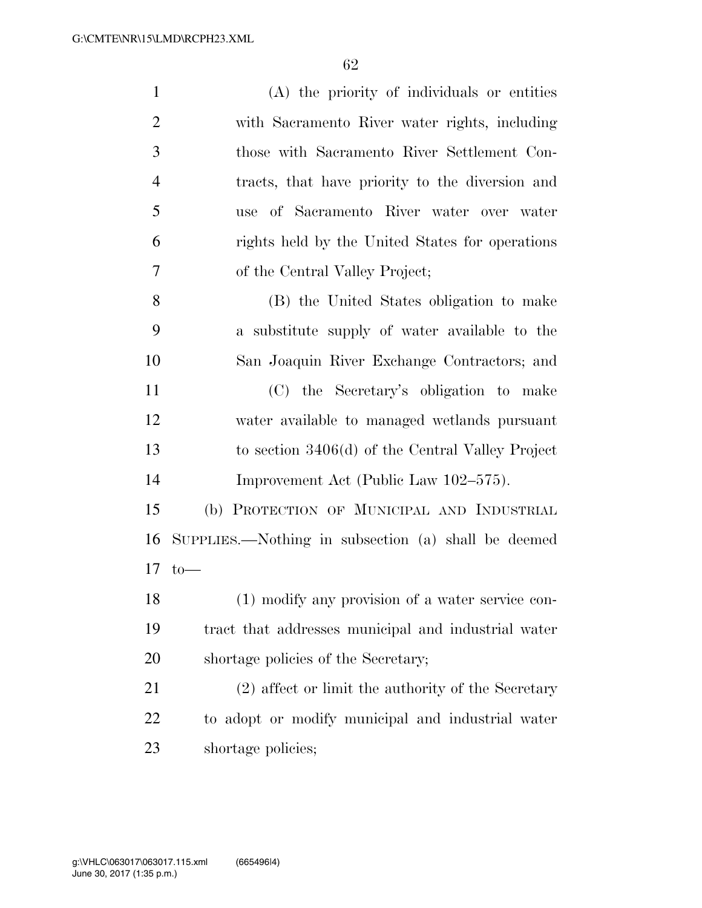| $\mathbf{1}$   | (A) the priority of individuals or entities         |
|----------------|-----------------------------------------------------|
| $\overline{2}$ | with Sacramento River water rights, including       |
| 3              | those with Sacramento River Settlement Con-         |
| $\overline{4}$ | tracts, that have priority to the diversion and     |
| 5              | use of Sacramento River water over water            |
| 6              | rights held by the United States for operations     |
| 7              | of the Central Valley Project;                      |
| 8              | (B) the United States obligation to make            |
| 9              | a substitute supply of water available to the       |
| 10             | San Joaquin River Exchange Contractors; and         |
| 11             | (C) the Secretary's obligation to make              |
| 12             | water available to managed wetlands pursuant        |
| 13             | to section $3406(d)$ of the Central Valley Project  |
| 14             | Improvement Act (Public Law 102–575).               |
| 15             | (b) PROTECTION OF MUNICIPAL AND INDUSTRIAL          |
| 16             | SUPPLIES.—Nothing in subsection (a) shall be deemed |
| 17             | $to-$                                               |
| 18             | (1) modify any provision of a water service con-    |
| 19             | tract that addresses municipal and industrial water |
| 20             | shortage policies of the Secretary;                 |
| 21             | (2) affect or limit the authority of the Secretary  |
| 22             | to adopt or modify municipal and industrial water   |
| 23             | shortage policies;                                  |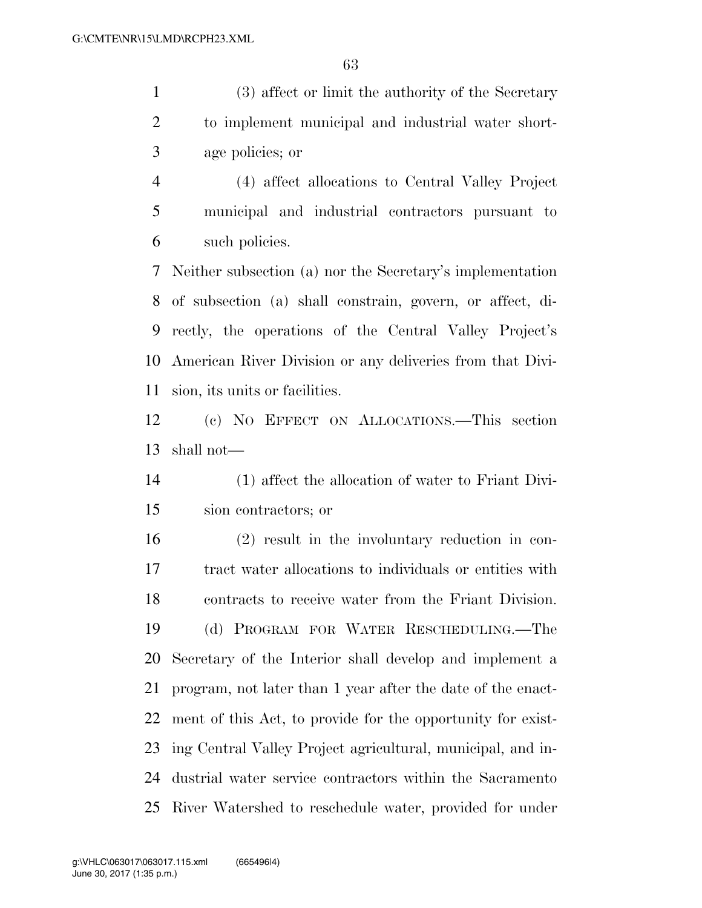(3) affect or limit the authority of the Secretary to implement municipal and industrial water short-age policies; or

 (4) affect allocations to Central Valley Project municipal and industrial contractors pursuant to such policies.

 Neither subsection (a) nor the Secretary's implementation of subsection (a) shall constrain, govern, or affect, di- rectly, the operations of the Central Valley Project's American River Division or any deliveries from that Divi-sion, its units or facilities.

 (c) NO EFFECT ON ALLOCATIONS.—This section shall not—

(1) affect the allocation of water to Friant Divi-

sion contractors; or

 (2) result in the involuntary reduction in con- tract water allocations to individuals or entities with contracts to receive water from the Friant Division. (d) PROGRAM FOR WATER RESCHEDULING.—The Secretary of the Interior shall develop and implement a program, not later than 1 year after the date of the enact- ment of this Act, to provide for the opportunity for exist- ing Central Valley Project agricultural, municipal, and in- dustrial water service contractors within the Sacramento River Watershed to reschedule water, provided for under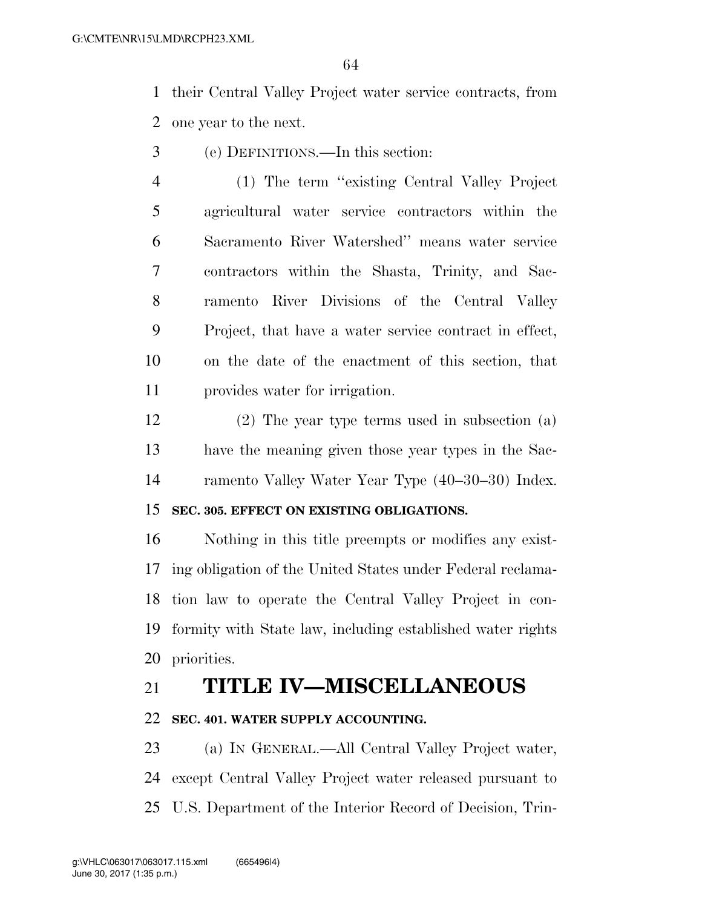their Central Valley Project water service contracts, from one year to the next.

- (e) DEFINITIONS.—In this section:
- (1) The term ''existing Central Valley Project agricultural water service contractors within the Sacramento River Watershed'' means water service contractors within the Shasta, Trinity, and Sac- ramento River Divisions of the Central Valley Project, that have a water service contract in effect, on the date of the enactment of this section, that provides water for irrigation.
- (2) The year type terms used in subsection (a) have the meaning given those year types in the Sac-ramento Valley Water Year Type (40–30–30) Index.

# **SEC. 305. EFFECT ON EXISTING OBLIGATIONS.**

 Nothing in this title preempts or modifies any exist- ing obligation of the United States under Federal reclama- tion law to operate the Central Valley Project in con- formity with State law, including established water rights priorities.

# **TITLE IV—MISCELLANEOUS**

# **SEC. 401. WATER SUPPLY ACCOUNTING.**

 (a) IN GENERAL.—All Central Valley Project water, except Central Valley Project water released pursuant to U.S. Department of the Interior Record of Decision, Trin-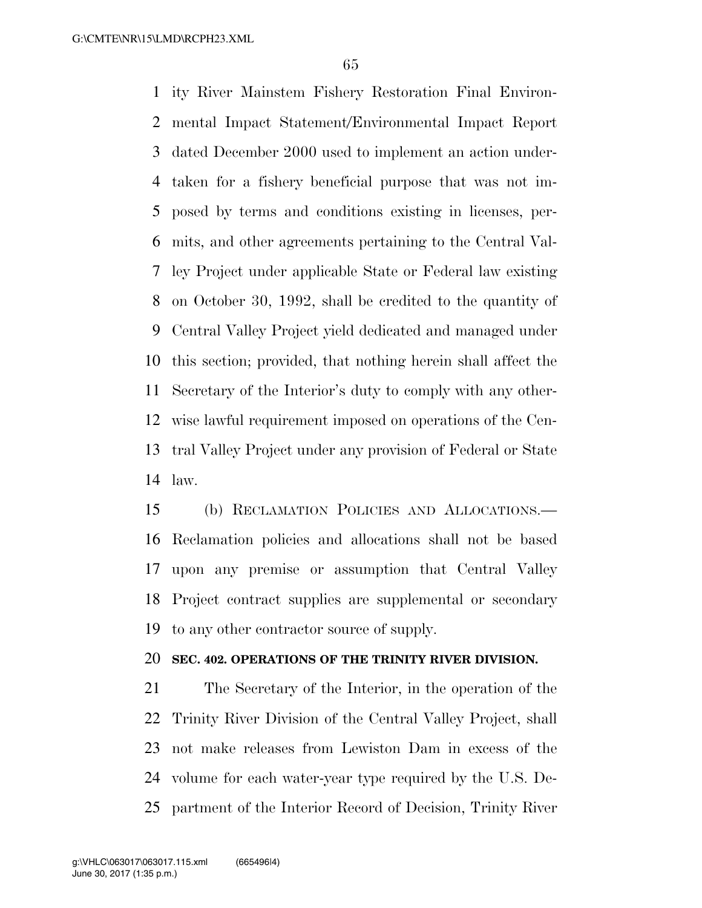ity River Mainstem Fishery Restoration Final Environ- mental Impact Statement/Environmental Impact Report dated December 2000 used to implement an action under- taken for a fishery beneficial purpose that was not im- posed by terms and conditions existing in licenses, per- mits, and other agreements pertaining to the Central Val- ley Project under applicable State or Federal law existing on October 30, 1992, shall be credited to the quantity of Central Valley Project yield dedicated and managed under this section; provided, that nothing herein shall affect the Secretary of the Interior's duty to comply with any other- wise lawful requirement imposed on operations of the Cen- tral Valley Project under any provision of Federal or State law.

 (b) RECLAMATION POLICIES AND ALLOCATIONS.— Reclamation policies and allocations shall not be based upon any premise or assumption that Central Valley Project contract supplies are supplemental or secondary to any other contractor source of supply.

# **SEC. 402. OPERATIONS OF THE TRINITY RIVER DIVISION.**

 The Secretary of the Interior, in the operation of the Trinity River Division of the Central Valley Project, shall not make releases from Lewiston Dam in excess of the volume for each water-year type required by the U.S. De-partment of the Interior Record of Decision, Trinity River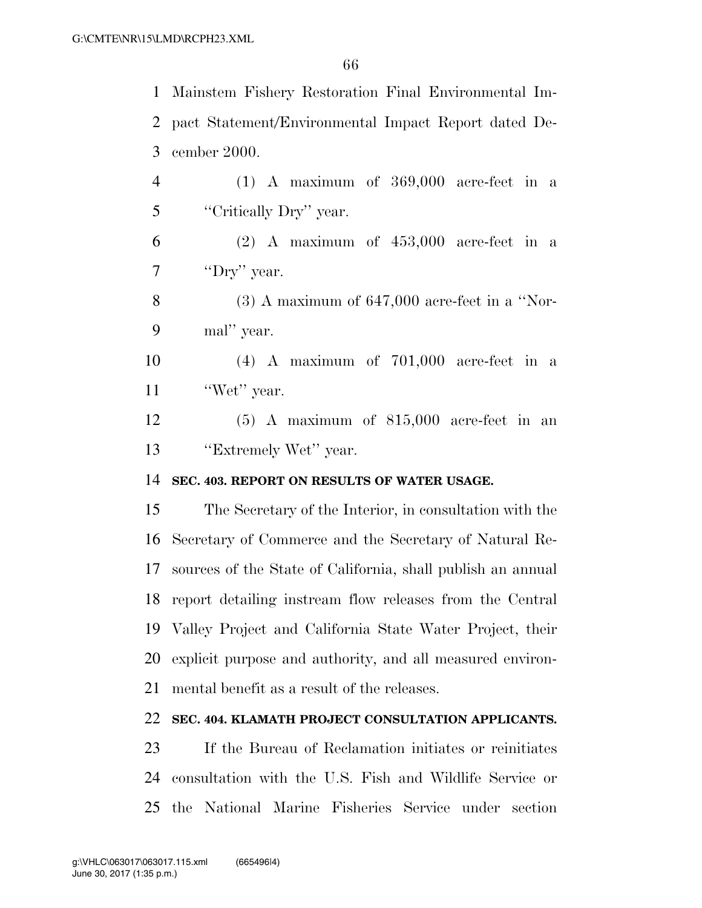Mainstem Fishery Restoration Final Environmental Im- pact Statement/Environmental Impact Report dated De-cember 2000.

 (1) A maximum of 369,000 acre-feet in a ''Critically Dry'' year.

 (2) A maximum of  $453,000$  acre-feet in a 7 "Dry" year.

8 (3) A maximum of  $647,000$  acre-feet in a "Nor-mal'' year.

 (4) A maximum of 701,000 acre-feet in a 11 'Wet'' year.

 (5) A maximum of 815,000 acre-feet in an 13 "Extremely Wet" year.

### **SEC. 403. REPORT ON RESULTS OF WATER USAGE.**

 The Secretary of the Interior, in consultation with the Secretary of Commerce and the Secretary of Natural Re- sources of the State of California, shall publish an annual report detailing instream flow releases from the Central Valley Project and California State Water Project, their explicit purpose and authority, and all measured environ-mental benefit as a result of the releases.

# **SEC. 404. KLAMATH PROJECT CONSULTATION APPLICANTS.**

 If the Bureau of Reclamation initiates or reinitiates consultation with the U.S. Fish and Wildlife Service or the National Marine Fisheries Service under section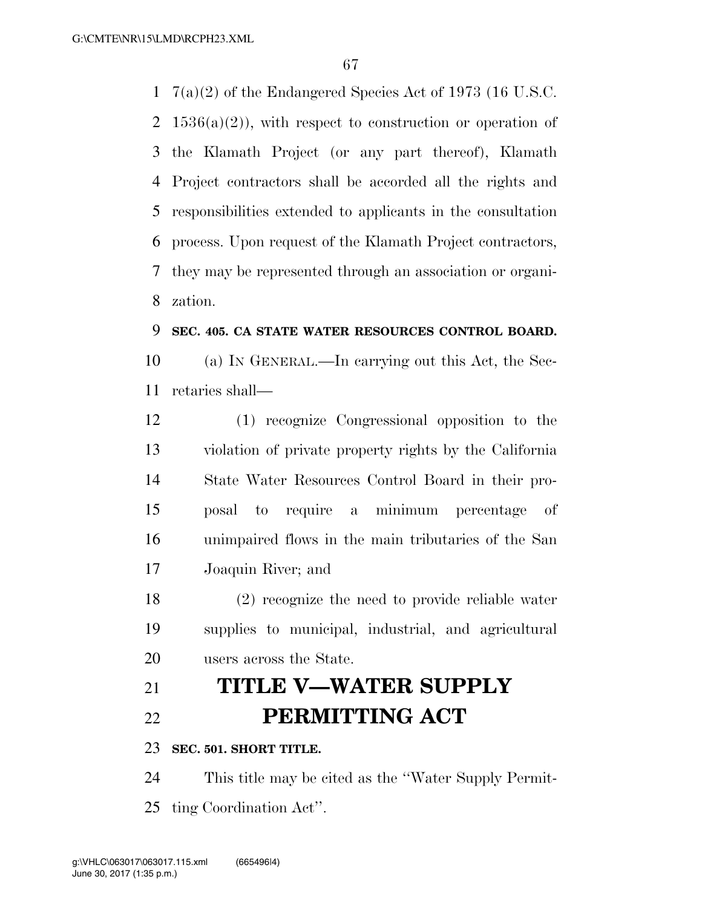7(a)(2) of the Endangered Species Act of 1973 (16 U.S.C. 2 1536(a)(2)), with respect to construction or operation of the Klamath Project (or any part thereof), Klamath Project contractors shall be accorded all the rights and responsibilities extended to applicants in the consultation process. Upon request of the Klamath Project contractors, they may be represented through an association or organi-zation.

### **SEC. 405. CA STATE WATER RESOURCES CONTROL BOARD.**

 (a) IN GENERAL.—In carrying out this Act, the Sec-retaries shall—

 (1) recognize Congressional opposition to the violation of private property rights by the California State Water Resources Control Board in their pro- posal to require a minimum percentage of unimpaired flows in the main tributaries of the San Joaquin River; and

 (2) recognize the need to provide reliable water supplies to municipal, industrial, and agricultural users across the State.

# **TITLE V—WATER SUPPLY PERMITTING ACT**

### **SEC. 501. SHORT TITLE.**

 This title may be cited as the ''Water Supply Permit-ting Coordination Act''.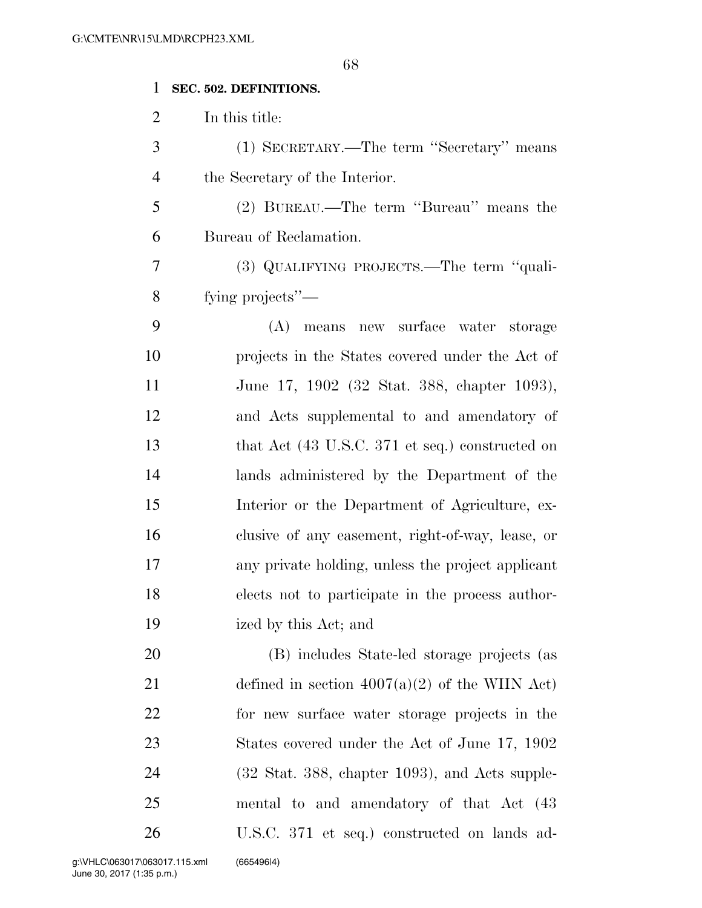# **SEC. 502. DEFINITIONS.**

In this title:

 (1) SECRETARY.—The term ''Secretary'' means the Secretary of the Interior.

 (2) BUREAU.—The term ''Bureau'' means the Bureau of Reclamation.

 (3) QUALIFYING PROJECTS.—The term ''quali-fying projects''—

 (A) means new surface water storage projects in the States covered under the Act of June 17, 1902 (32 Stat. 388, chapter 1093), and Acts supplemental to and amendatory of 13 that Act (43 U.S.C. 371 et seq.) constructed on lands administered by the Department of the Interior or the Department of Agriculture, ex- clusive of any easement, right-of-way, lease, or any private holding, unless the project applicant elects not to participate in the process author-ized by this Act; and

 (B) includes State-led storage projects (as 21 defined in section  $4007(a)(2)$  of the WIIN Act) for new surface water storage projects in the 23 States covered under the Act of June 17, 1902 (32 Stat. 388, chapter 1093), and Acts supple- mental to and amendatory of that Act (43 U.S.C. 371 et seq.) constructed on lands ad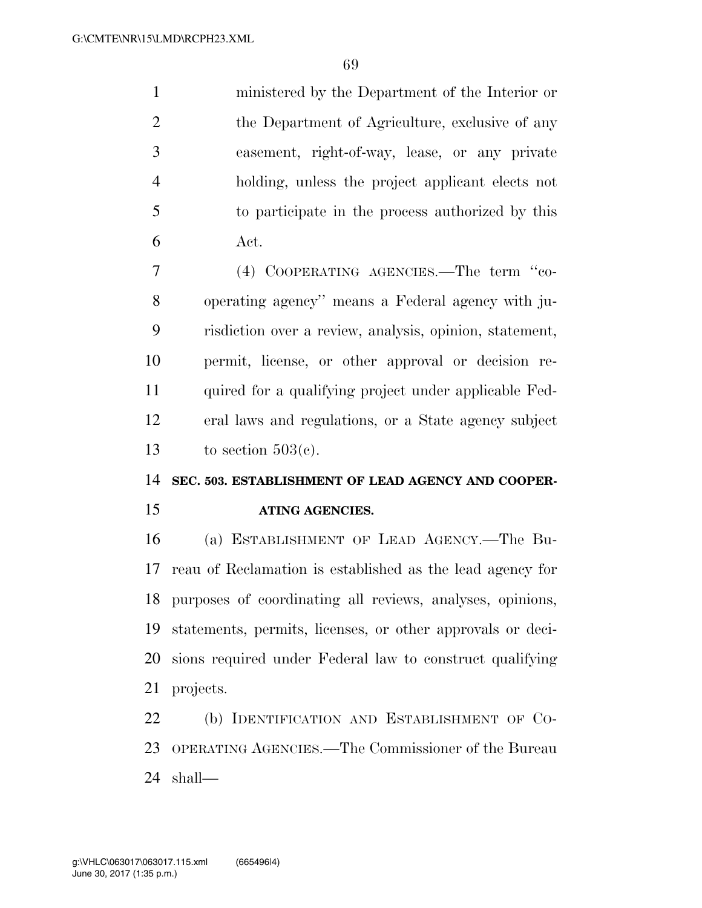ministered by the Department of the Interior or 2 the Department of Agriculture, exclusive of any easement, right-of-way, lease, or any private holding, unless the project applicant elects not to participate in the process authorized by this Act.

 (4) COOPERATING AGENCIES.—The term ''co- operating agency'' means a Federal agency with ju- risdiction over a review, analysis, opinion, statement, permit, license, or other approval or decision re- quired for a qualifying project under applicable Fed- eral laws and regulations, or a State agency subject 13 to section  $503(c)$ .

### **SEC. 503. ESTABLISHMENT OF LEAD AGENCY AND COOPER-**

#### **ATING AGENCIES.**

 (a) ESTABLISHMENT OF LEAD AGENCY.—The Bu- reau of Reclamation is established as the lead agency for purposes of coordinating all reviews, analyses, opinions, statements, permits, licenses, or other approvals or deci- sions required under Federal law to construct qualifying projects.

 (b) IDENTIFICATION AND ESTABLISHMENT OF CO- OPERATING AGENCIES.—The Commissioner of the Bureau shall—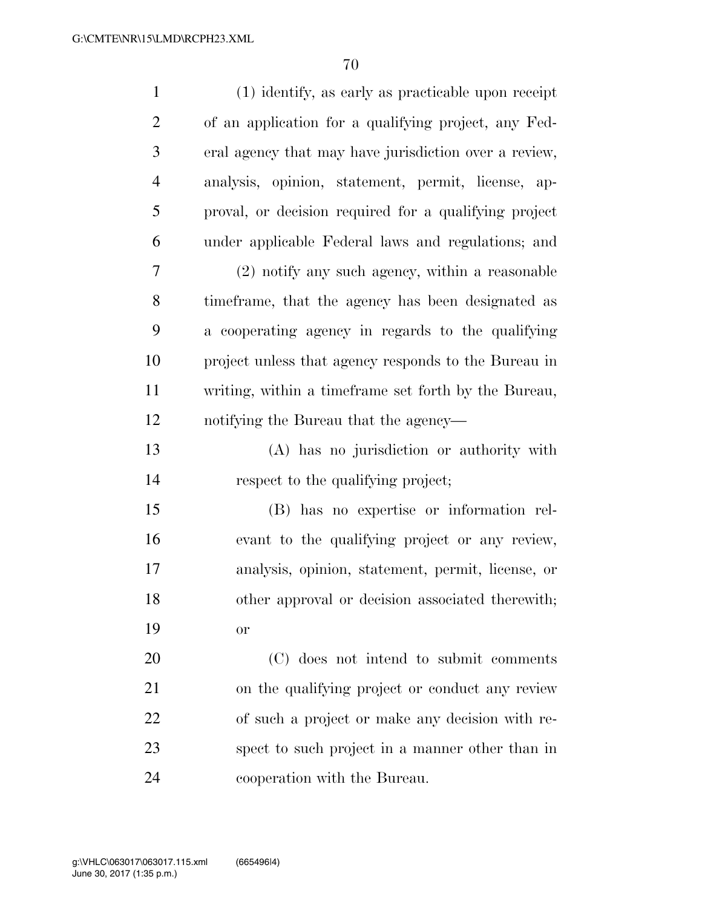| $\mathbf{1}$   | (1) identify, as early as practicable upon receipt    |
|----------------|-------------------------------------------------------|
| $\overline{2}$ | of an application for a qualifying project, any Fed-  |
| 3              | eral agency that may have jurisdiction over a review, |
| $\overline{4}$ | analysis, opinion, statement, permit, license, ap-    |
| 5              | proval, or decision required for a qualifying project |
| 6              | under applicable Federal laws and regulations; and    |
| 7              | (2) notify any such agency, within a reasonable       |
| 8              | time frame, that the agency has been designated as    |
| 9              | a cooperating agency in regards to the qualifying     |
| 10             | project unless that agency responds to the Bureau in  |
| 11             | writing, within a time frame set forth by the Bureau, |
| 12             | notifying the Bureau that the agency—                 |
| 13             | (A) has no jurisdiction or authority with             |
| 14             | respect to the qualifying project;                    |
| 15             | (B) has no expertise or information rel-              |
| 16             | evant to the qualifying project or any review,        |
| 17             | analysis, opinion, statement, permit, license, or     |
| 18             | other approval or decision associated therewith;      |
| 19             | <b>or</b>                                             |
| 20             | (C) does not intend to submit comments                |
| 21             | on the qualifying project or conduct any review       |
| 22             | of such a project or make any decision with re-       |
| 23             | spect to such project in a manner other than in       |
| 24             | cooperation with the Bureau.                          |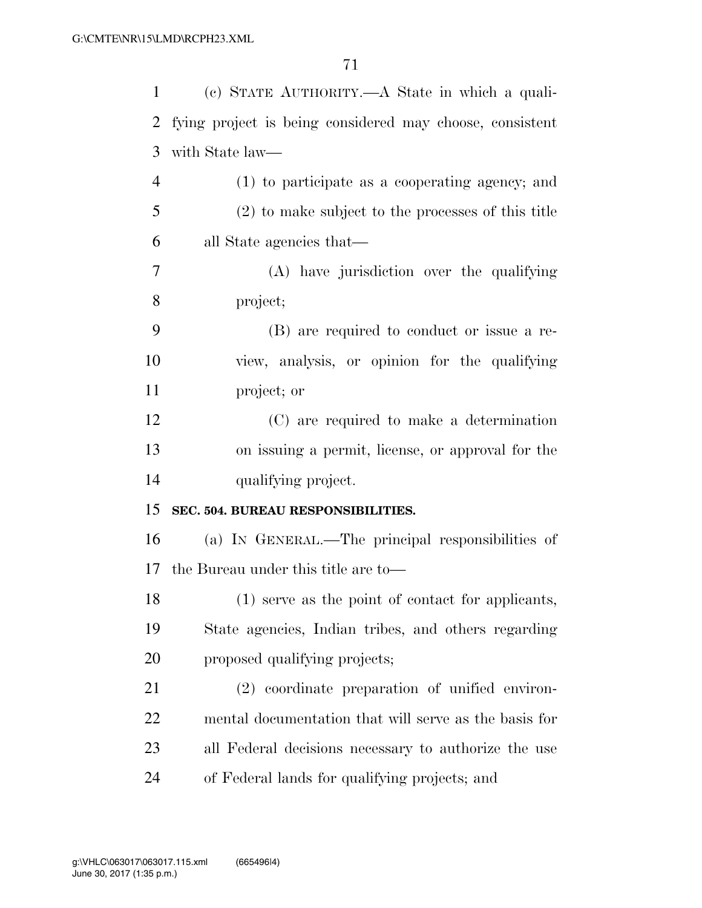| $\mathbf{1}$   | (c) STATE AUTHORITY.—A State in which a quali-           |
|----------------|----------------------------------------------------------|
| 2              | fying project is being considered may choose, consistent |
| 3              | with State law—                                          |
| $\overline{4}$ | (1) to participate as a cooperating agency; and          |
| 5              | (2) to make subject to the processes of this title       |
| 6              | all State agencies that—                                 |
| 7              | (A) have jurisdiction over the qualifying                |
| 8              | project;                                                 |
| 9              | (B) are required to conduct or issue a re-               |
| 10             | view, analysis, or opinion for the qualifying            |
| 11             | project; or                                              |
| 12             | (C) are required to make a determination                 |
| 13             | on issuing a permit, license, or approval for the        |
| 14             | qualifying project.                                      |
| 15             | SEC. 504. BUREAU RESPONSIBILITIES.                       |
| 16             | (a) IN GENERAL.—The principal responsibilities of        |
| 17             | the Bureau under this title are to-                      |
| 18             | (1) serve as the point of contact for applicants,        |
| 19             | State agencies, Indian tribes, and others regarding      |
| 20             | proposed qualifying projects;                            |
| 21             | (2) coordinate preparation of unified environ-           |
| 22             | mental documentation that will serve as the basis for    |
| 23             | all Federal decisions necessary to authorize the use     |
| 24             | of Federal lands for qualifying projects; and            |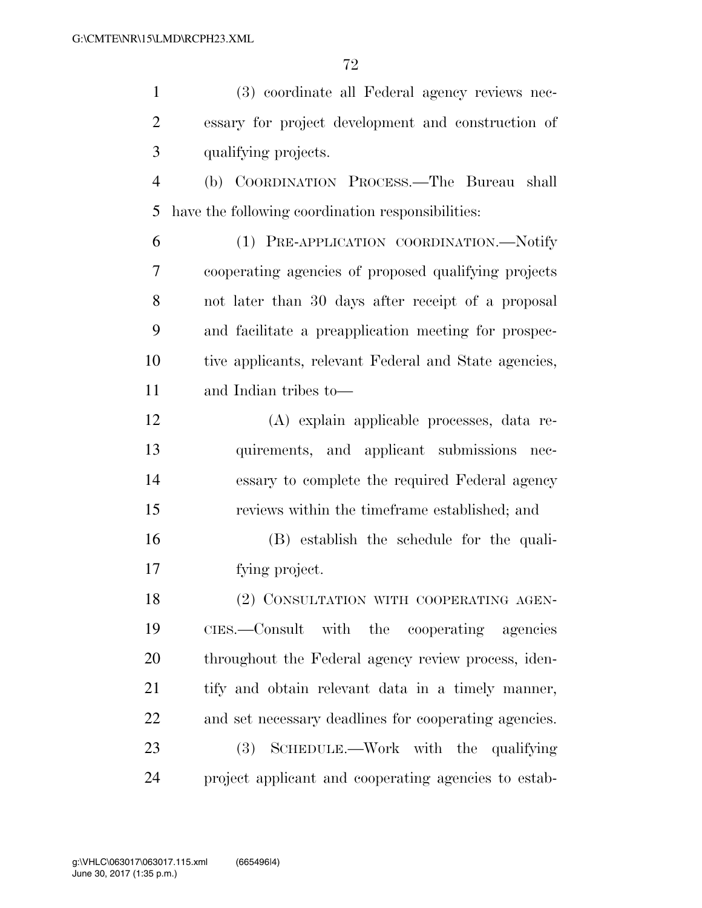(3) coordinate all Federal agency reviews nec- essary for project development and construction of qualifying projects. (b) COORDINATION PROCESS.—The Bureau shall have the following coordination responsibilities: (1) PRE-APPLICATION COORDINATION.—Notify cooperating agencies of proposed qualifying projects not later than 30 days after receipt of a proposal and facilitate a preapplication meeting for prospec- tive applicants, relevant Federal and State agencies, and Indian tribes to— (A) explain applicable processes, data re- quirements, and applicant submissions nec- essary to complete the required Federal agency reviews within the timeframe established; and (B) establish the schedule for the quali- fying project. 18 (2) CONSULTATION WITH COOPERATING AGEN- CIES.—Consult with the cooperating agencies throughout the Federal agency review process, iden- tify and obtain relevant data in a timely manner, and set necessary deadlines for cooperating agencies. (3) SCHEDULE.—Work with the qualifying project applicant and cooperating agencies to estab-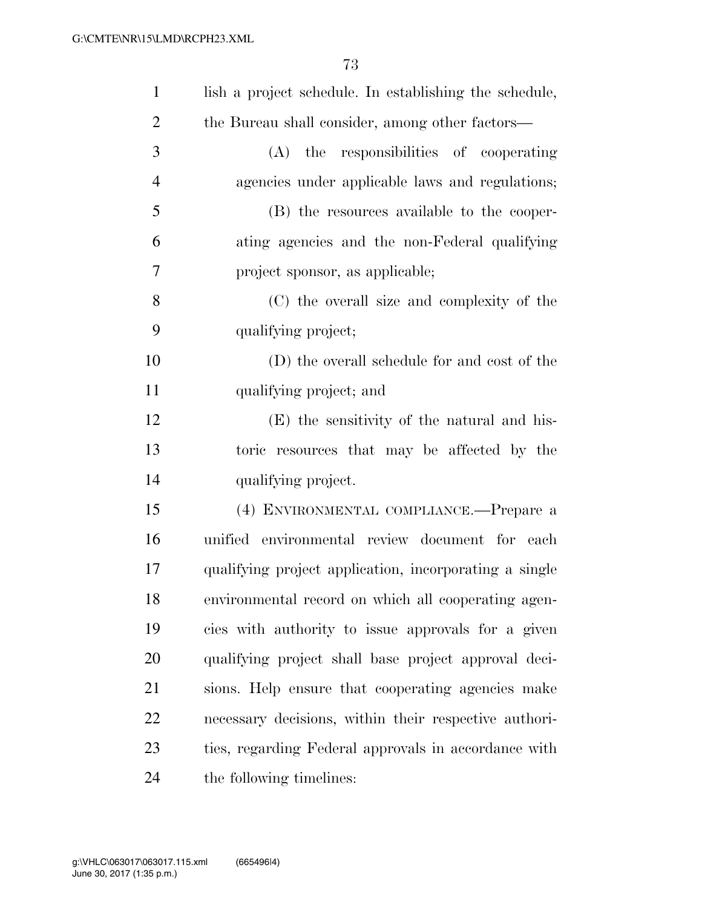| $\mathbf{1}$   | lish a project schedule. In establishing the schedule, |
|----------------|--------------------------------------------------------|
| $\overline{2}$ | the Bureau shall consider, among other factors—        |
| 3              | (A) the responsibilities of cooperating                |
| $\overline{4}$ | agencies under applicable laws and regulations;        |
| 5              | (B) the resources available to the cooper-             |
| 6              | ating agencies and the non-Federal qualifying          |
| $\overline{7}$ | project sponsor, as applicable;                        |
| 8              | (C) the overall size and complexity of the             |
| 9              | qualifying project;                                    |
| 10             | (D) the overall schedule for and cost of the           |
| 11             | qualifying project; and                                |
| 12             | (E) the sensitivity of the natural and his-            |
| 13             | toric resources that may be affected by the            |
| 14             | qualifying project.                                    |
| 15             | (4) ENVIRONMENTAL COMPLIANCE.—Prepare a                |
| 16             | unified environmental review document for each         |
| 17             | qualifying project application, incorporating a single |
| 18             | environmental record on which all cooperating agen-    |
| 19             | cies with authority to issue approvals for a given     |
| 20             | qualifying project shall base project approval deci-   |
| 21             | sions. Help ensure that cooperating agencies make      |
| 22             | necessary decisions, within their respective authori-  |
| 23             | ties, regarding Federal approvals in accordance with   |
| 24             | the following timelines:                               |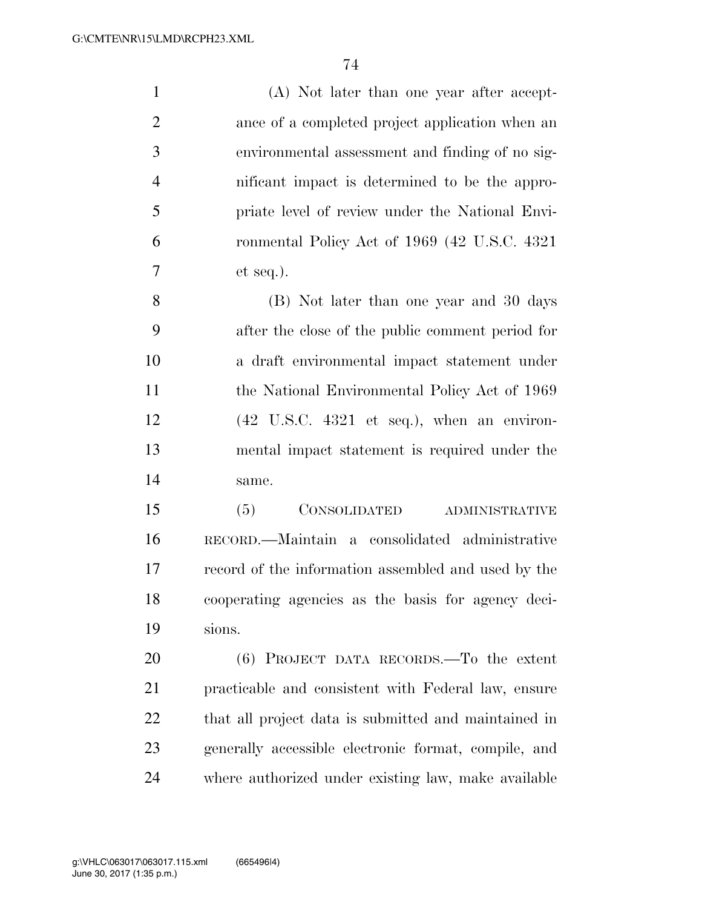| $\mathbf{1}$   | (A) Not later than one year after accept-                             |
|----------------|-----------------------------------------------------------------------|
| $\overline{2}$ | ance of a completed project application when an                       |
| 3              | environmental assessment and finding of no sig-                       |
| $\overline{4}$ | nificant impact is determined to be the appro-                        |
| 5              | priate level of review under the National Envi-                       |
| 6              | ronmental Policy Act of 1969 (42 U.S.C. 4321)                         |
| $\overline{7}$ | et seq.).                                                             |
| 8              | (B) Not later than one year and 30 days                               |
| 9              | after the close of the public comment period for                      |
| 10             | a draft environmental impact statement under                          |
| 11             | the National Environmental Policy Act of 1969                         |
| 12             | $(42 \text{ U.S.C. } 4321 \text{ et seq.}), \text{ when an environ-}$ |
| 13             | mental impact statement is required under the                         |
| 14             | same.                                                                 |
| 15             | (5)<br>CONSOLIDATED<br><b>ADMINISTRATIVE</b>                          |
| 16             | RECORD.—Maintain a consolidated administrative                        |
| 17             | record of the information assembled and used by the                   |
|                |                                                                       |

 cooperating agencies as the basis for agency deci-sions.

 (6) PROJECT DATA RECORDS.—To the extent practicable and consistent with Federal law, ensure that all project data is submitted and maintained in generally accessible electronic format, compile, and where authorized under existing law, make available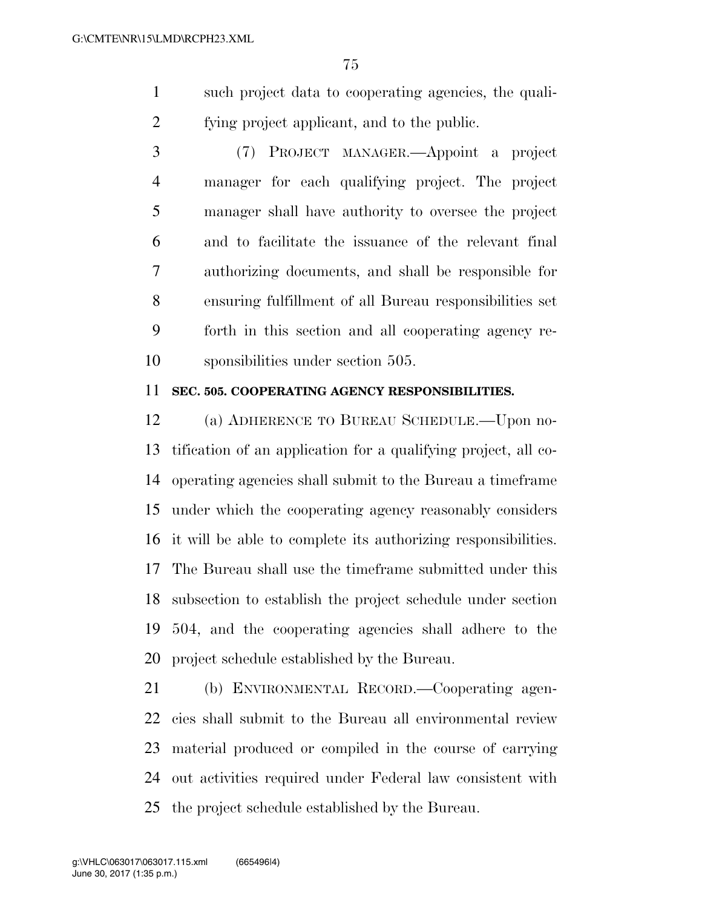- such project data to cooperating agencies, the quali-fying project applicant, and to the public.
- (7) PROJECT MANAGER.—Appoint a project manager for each qualifying project. The project manager shall have authority to oversee the project and to facilitate the issuance of the relevant final authorizing documents, and shall be responsible for ensuring fulfillment of all Bureau responsibilities set forth in this section and all cooperating agency re-sponsibilities under section 505.

## **SEC. 505. COOPERATING AGENCY RESPONSIBILITIES.**

 (a) ADHERENCE TO BUREAU SCHEDULE.—Upon no- tification of an application for a qualifying project, all co- operating agencies shall submit to the Bureau a timeframe under which the cooperating agency reasonably considers it will be able to complete its authorizing responsibilities. The Bureau shall use the timeframe submitted under this subsection to establish the project schedule under section 504, and the cooperating agencies shall adhere to the project schedule established by the Bureau.

 (b) ENVIRONMENTAL RECORD.—Cooperating agen- cies shall submit to the Bureau all environmental review material produced or compiled in the course of carrying out activities required under Federal law consistent with the project schedule established by the Bureau.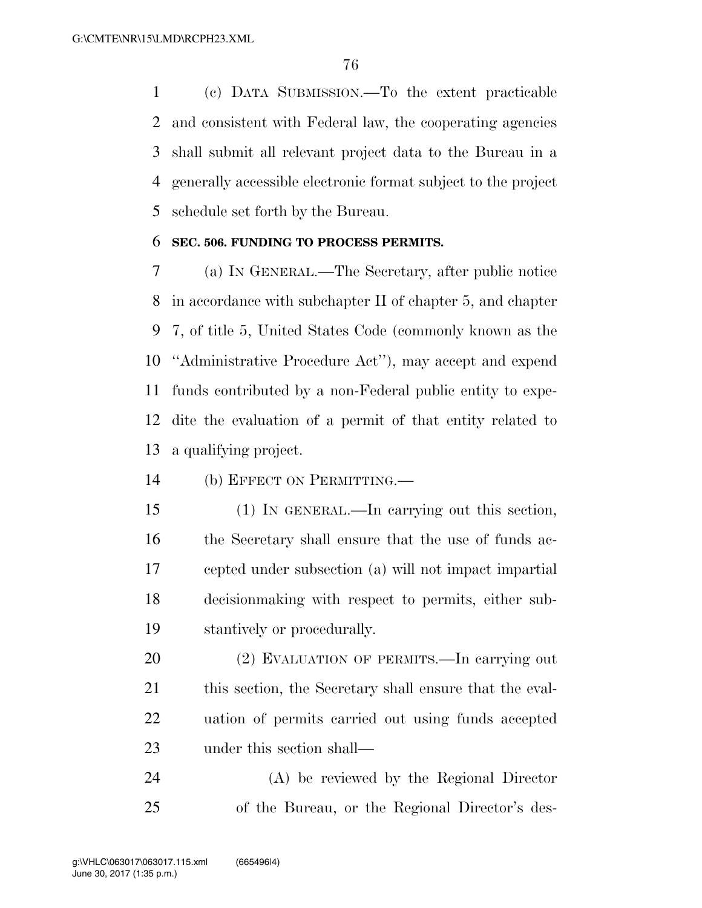(c) DATA SUBMISSION.—To the extent practicable and consistent with Federal law, the cooperating agencies shall submit all relevant project data to the Bureau in a generally accessible electronic format subject to the project schedule set forth by the Bureau.

#### **SEC. 506. FUNDING TO PROCESS PERMITS.**

 (a) IN GENERAL.—The Secretary, after public notice in accordance with subchapter II of chapter 5, and chapter 7, of title 5, United States Code (commonly known as the ''Administrative Procedure Act''), may accept and expend funds contributed by a non-Federal public entity to expe- dite the evaluation of a permit of that entity related to a qualifying project.

(b) EFFECT ON PERMITTING.—

 (1) IN GENERAL.—In carrying out this section, the Secretary shall ensure that the use of funds ac- cepted under subsection (a) will not impact impartial decisionmaking with respect to permits, either sub-stantively or procedurally.

 (2) EVALUATION OF PERMITS.—In carrying out 21 this section, the Secretary shall ensure that the eval- uation of permits carried out using funds accepted under this section shall—

 (A) be reviewed by the Regional Director of the Bureau, or the Regional Director's des-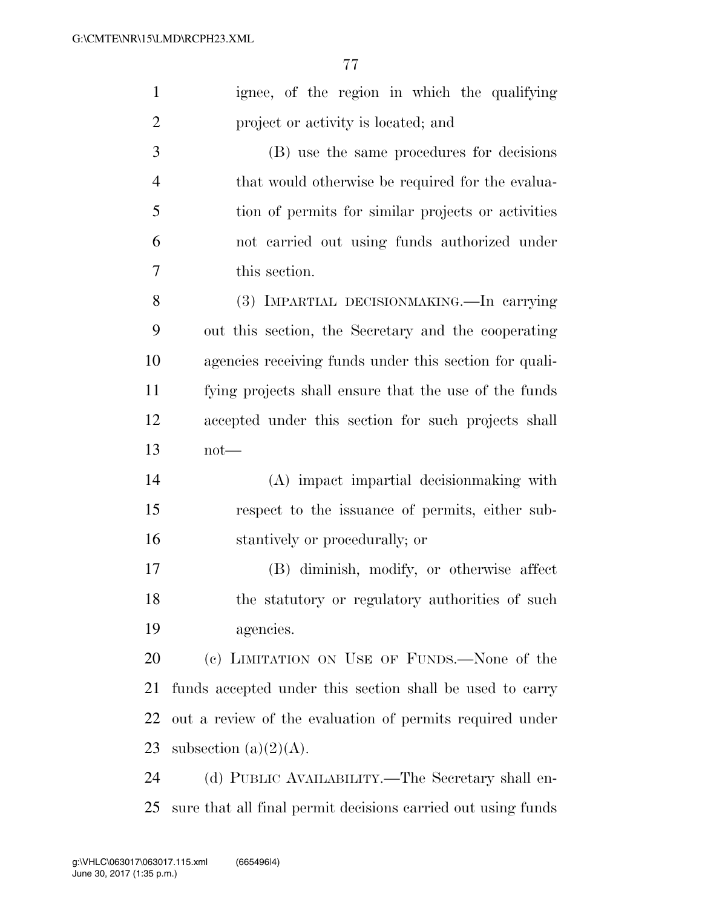| $\mathbf{1}$   | ignee, of the region in which the qualifying                 |
|----------------|--------------------------------------------------------------|
| $\overline{2}$ | project or activity is located; and                          |
| 3              | (B) use the same procedures for decisions                    |
| $\overline{4}$ | that would otherwise be required for the evalua-             |
| 5              | tion of permits for similar projects or activities           |
| 6              | not carried out using funds authorized under                 |
| $\overline{7}$ | this section.                                                |
| 8              | (3) IMPARTIAL DECISIONMAKING.—In carrying                    |
| 9              | out this section, the Secretary and the cooperating          |
| 10             | agencies receiving funds under this section for quali-       |
| 11             | fying projects shall ensure that the use of the funds        |
| 12             | accepted under this section for such projects shall          |
| 13             | $not$ —                                                      |
| 14             | (A) impact impartial decision making with                    |
| 15             | respect to the issuance of permits, either sub-              |
| 16             | stantively or procedurally; or                               |
| $17\,$         | (B) diminish, modify, or otherwise affect                    |
| 18             | the statutory or regulatory authorities of such              |
| 19             | agencies.                                                    |
| 20             | (c) LIMITATION ON USE OF FUNDS.—None of the                  |
| 21             | funds accepted under this section shall be used to carry     |
| 22             | out a review of the evaluation of permits required under     |
| 23             | subsection $(a)(2)(A)$ .                                     |
| 24             | (d) PUBLIC AVAILABILITY.—The Secretary shall en-             |
| 25             | sure that all final permit decisions carried out using funds |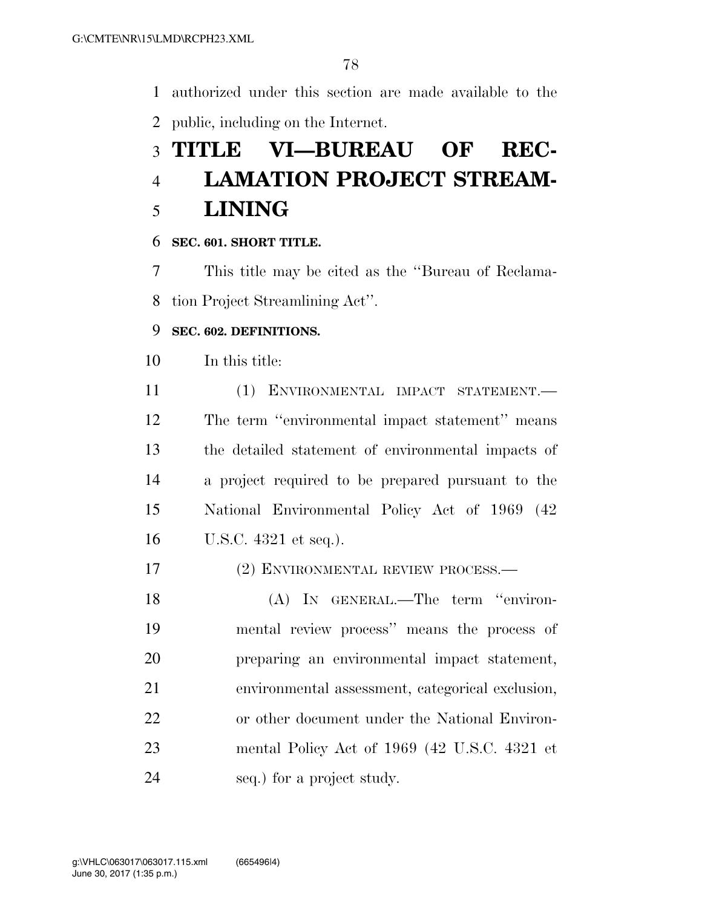authorized under this section are made available to the public, including on the Internet.

# **TITLE VI—BUREAU OF REC- LAMATION PROJECT STREAM-LINING**

## **SEC. 601. SHORT TITLE.**

 This title may be cited as the ''Bureau of Reclama-tion Project Streamlining Act''.

## **SEC. 602. DEFINITIONS.**

In this title:

 (1) ENVIRONMENTAL IMPACT STATEMENT.— The term ''environmental impact statement'' means the detailed statement of environmental impacts of a project required to be prepared pursuant to the National Environmental Policy Act of 1969 (42 U.S.C. 4321 et seq.).

## (2) ENVIRONMENTAL REVIEW PROCESS.—

 (A) IN GENERAL.—The term ''environ- mental review process'' means the process of preparing an environmental impact statement, environmental assessment, categorical exclusion, or other document under the National Environ- mental Policy Act of 1969 (42 U.S.C. 4321 et seq.) for a project study.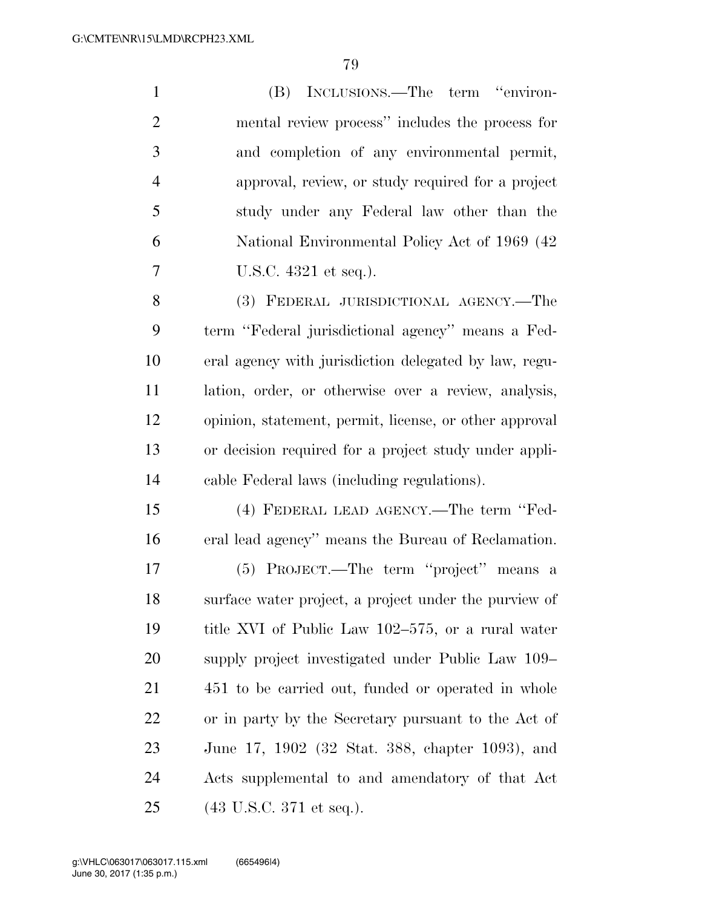(B) INCLUSIONS.—The term ''environ- mental review process'' includes the process for and completion of any environmental permit, approval, review, or study required for a project study under any Federal law other than the National Environmental Policy Act of 1969 (42 U.S.C. 4321 et seq.). (3) FEDERAL JURISDICTIONAL AGENCY.—The term ''Federal jurisdictional agency'' means a Fed- eral agency with jurisdiction delegated by law, regu- lation, order, or otherwise over a review, analysis, opinion, statement, permit, license, or other approval or decision required for a project study under appli- cable Federal laws (including regulations). (4) FEDERAL LEAD AGENCY.—The term ''Fed- eral lead agency'' means the Bureau of Reclamation. (5) PROJECT.—The term ''project'' means a surface water project, a project under the purview of title XVI of Public Law 102–575, or a rural water supply project investigated under Public Law 109– 451 to be carried out, funded or operated in whole or in party by the Secretary pursuant to the Act of June 17, 1902 (32 Stat. 388, chapter 1093), and Acts supplemental to and amendatory of that Act

(43 U.S.C. 371 et seq.).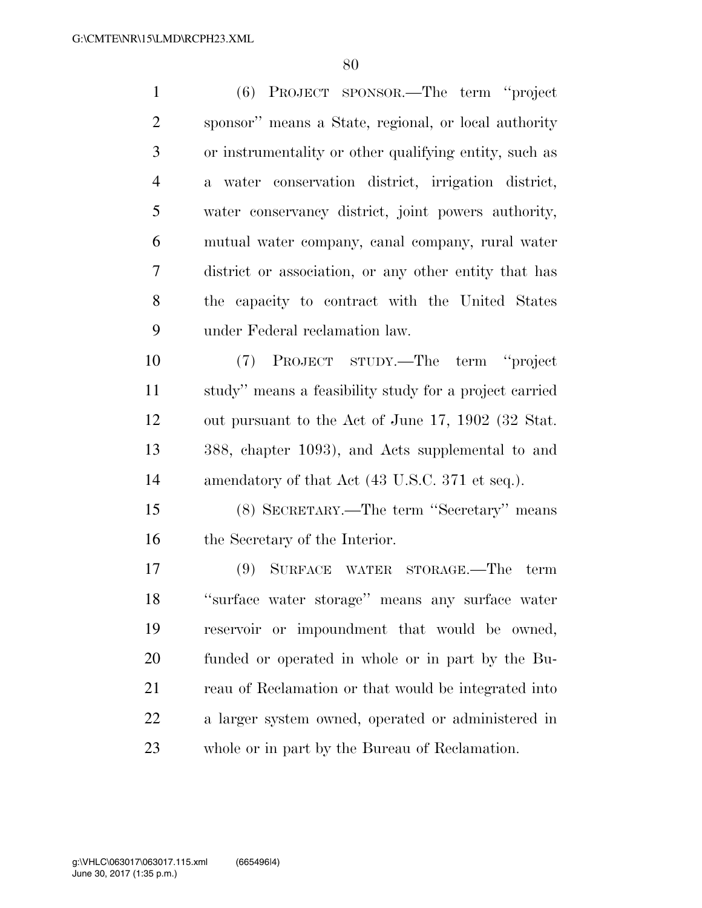(6) PROJECT SPONSOR.—The term ''project sponsor'' means a State, regional, or local authority or instrumentality or other qualifying entity, such as a water conservation district, irrigation district, water conservancy district, joint powers authority, mutual water company, canal company, rural water district or association, or any other entity that has the capacity to contract with the United States under Federal reclamation law. (7) PROJECT STUDY.—The term ''project study'' means a feasibility study for a project carried out pursuant to the Act of June 17, 1902 (32 Stat.

 388, chapter 1093), and Acts supplemental to and 14 amendatory of that Act (43 U.S.C. 371 et seq.).

 (8) SECRETARY.—The term ''Secretary'' means the Secretary of the Interior.

 (9) SURFACE WATER STORAGE.—The term ''surface water storage'' means any surface water reservoir or impoundment that would be owned, funded or operated in whole or in part by the Bu-21 reau of Reclamation or that would be integrated into a larger system owned, operated or administered in whole or in part by the Bureau of Reclamation.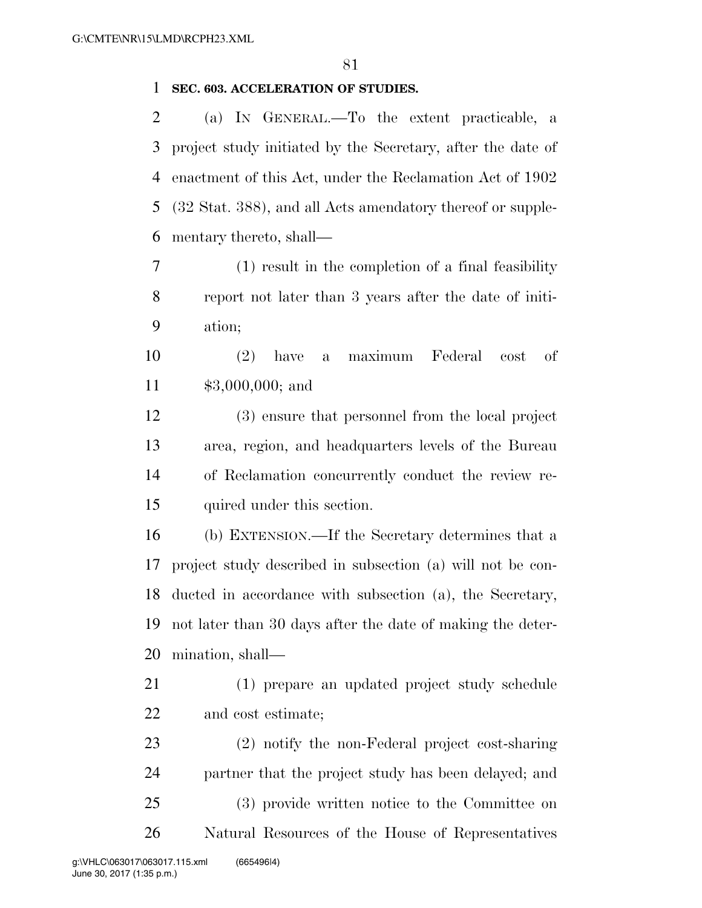#### **SEC. 603. ACCELERATION OF STUDIES.**

 (a) IN GENERAL.—To the extent practicable, a project study initiated by the Secretary, after the date of enactment of this Act, under the Reclamation Act of 1902 (32 Stat. 388), and all Acts amendatory thereof or supple-mentary thereto, shall—

 (1) result in the completion of a final feasibility report not later than 3 years after the date of initi-ation;

 (2) have a maximum Federal cost of \$3,000,000; and

 (3) ensure that personnel from the local project area, region, and headquarters levels of the Bureau of Reclamation concurrently conduct the review re-quired under this section.

 (b) EXTENSION.—If the Secretary determines that a project study described in subsection (a) will not be con- ducted in accordance with subsection (a), the Secretary, not later than 30 days after the date of making the deter-mination, shall—

- (1) prepare an updated project study schedule and cost estimate;
- (2) notify the non-Federal project cost-sharing partner that the project study has been delayed; and (3) provide written notice to the Committee on Natural Resources of the House of Representatives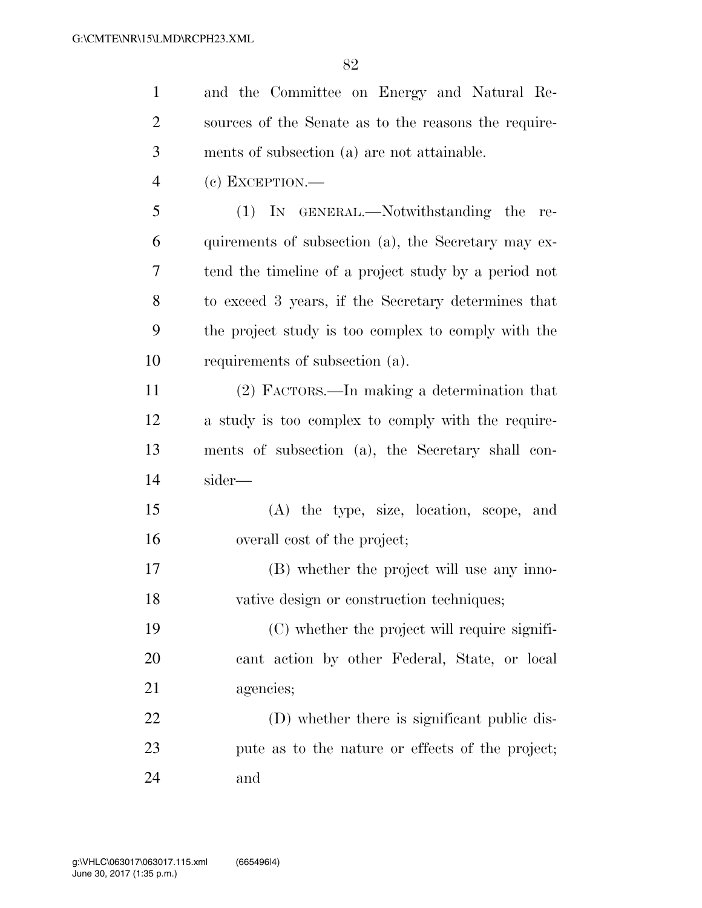| $\mathbf{1}$   | and the Committee on Energy and Natural Re-          |
|----------------|------------------------------------------------------|
| $\overline{2}$ | sources of the Senate as to the reasons the require- |
| 3              | ments of subsection (a) are not attainable.          |
| $\overline{4}$ | $(e)$ EXCEPTION.—                                    |
| 5              | (1) IN GENERAL.—Notwithstanding the<br>re-           |
| 6              | quirements of subsection (a), the Secretary may ex-  |
| 7              | tend the timeline of a project study by a period not |
| 8              | to exceed 3 years, if the Secretary determines that  |
| 9              | the project study is too complex to comply with the  |
| 10             | requirements of subsection (a).                      |
| 11             | $(2)$ FACTORS.—In making a determination that        |
| 12             | a study is too complex to comply with the require-   |
| 13             | ments of subsection (a), the Secretary shall con-    |
| 14             | sider—                                               |
| 15             | (A) the type, size, location, scope, and             |
| 16             | overall cost of the project;                         |
| 17             | (B) whether the project will use any inno-           |
| 18             | vative design or construction techniques;            |
| 19             | (C) whether the project will require signifi-        |
| 20             | cant action by other Federal, State, or local        |
| 21             | agencies;                                            |
| 22             | (D) whether there is significant public dis-         |
| 23             | pute as to the nature or effects of the project;     |
| 24             | and                                                  |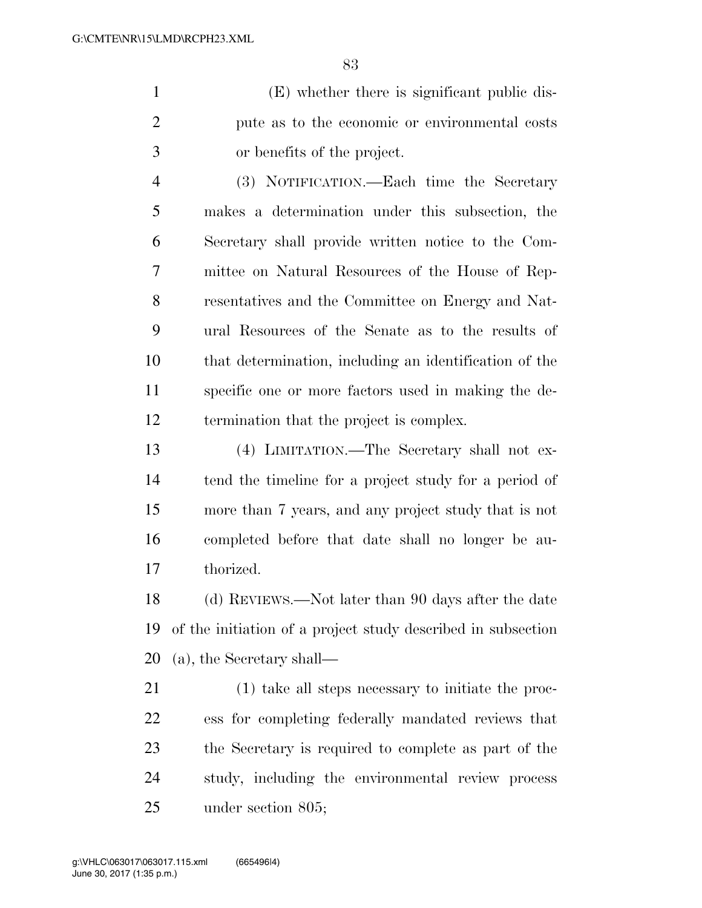(E) whether there is significant public dis- pute as to the economic or environmental costs or benefits of the project.

 (3) NOTIFICATION.—Each time the Secretary makes a determination under this subsection, the Secretary shall provide written notice to the Com- mittee on Natural Resources of the House of Rep- resentatives and the Committee on Energy and Nat- ural Resources of the Senate as to the results of that determination, including an identification of the specific one or more factors used in making the de-termination that the project is complex.

 (4) LIMITATION.—The Secretary shall not ex- tend the timeline for a project study for a period of more than 7 years, and any project study that is not completed before that date shall no longer be au-thorized.

 (d) REVIEWS.—Not later than 90 days after the date of the initiation of a project study described in subsection (a), the Secretary shall—

 (1) take all steps necessary to initiate the proc- ess for completing federally mandated reviews that the Secretary is required to complete as part of the study, including the environmental review process under section 805;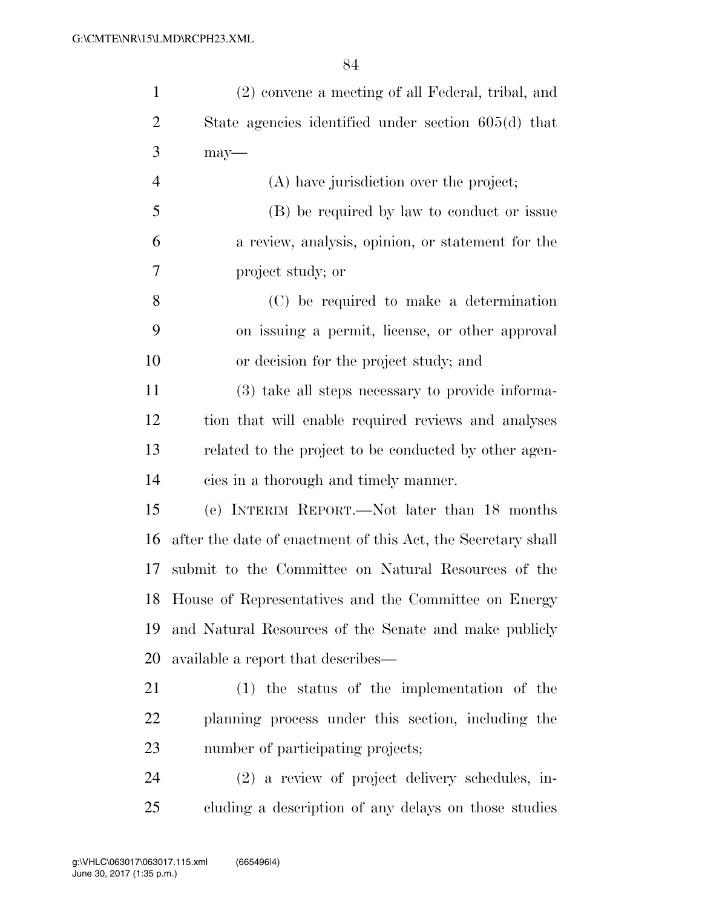| $\mathbf{1}$   | (2) convene a meeting of all Federal, tribal, and            |
|----------------|--------------------------------------------------------------|
| 2              | State agencies identified under section 605(d) that          |
| 3              | $may-$                                                       |
| $\overline{4}$ | (A) have jurisdiction over the project;                      |
| 5              | (B) be required by law to conduct or issue                   |
| 6              | a review, analysis, opinion, or statement for the            |
| 7              | project study; or                                            |
| 8              | (C) be required to make a determination                      |
| 9              | on issuing a permit, license, or other approval              |
| 10             | or decision for the project study; and                       |
| 11             | (3) take all steps necessary to provide informa-             |
| 12             | tion that will enable required reviews and analyses          |
| 13             | related to the project to be conducted by other agen-        |
| 14             | cies in a thorough and timely manner.                        |
| 15             | (e) INTERIM REPORT.—Not later than 18 months                 |
| 16             | after the date of enactment of this Act, the Secretary shall |
| 17             | submit to the Committee on Natural Resources of the          |
|                | 18 House of Representatives and the Committee on Energy      |
| 19             | and Natural Resources of the Senate and make publicly        |
| 20             | available a report that describes—                           |
| 21             | $(1)$ the status of the implementation of the                |
| 22             | planning process under this section, including the           |
| 23             | number of participating projects;                            |
| 24             | (2) a review of project delivery schedules, in-              |
| 25             | cluding a description of any delays on those studies         |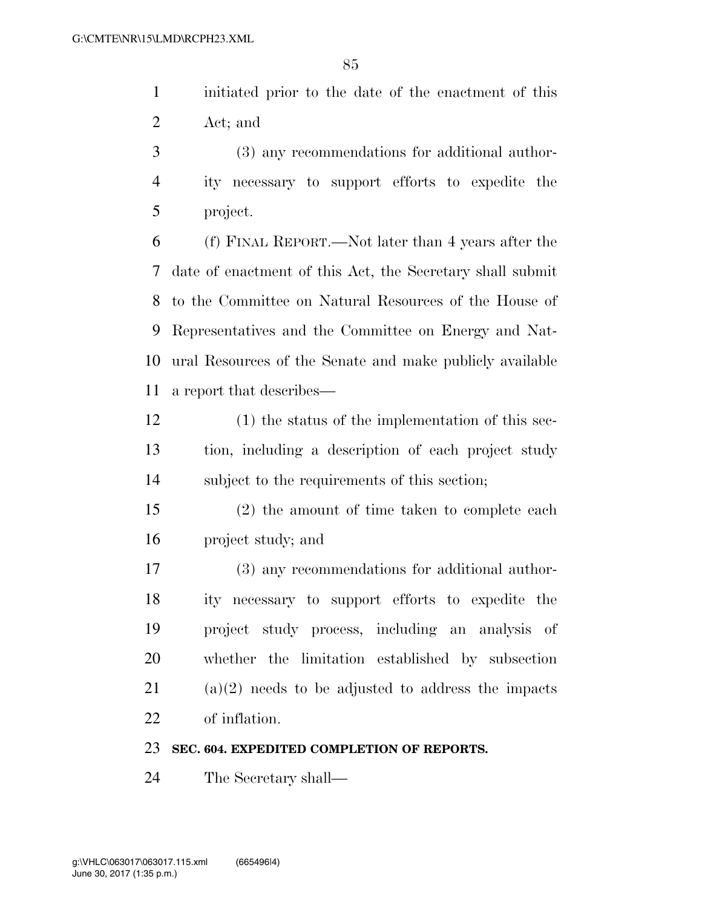initiated prior to the date of the enactment of this Act; and

 (3) any recommendations for additional author- ity necessary to support efforts to expedite the project.

 (f) FINAL REPORT.—Not later than 4 years after the date of enactment of this Act, the Secretary shall submit to the Committee on Natural Resources of the House of Representatives and the Committee on Energy and Nat- ural Resources of the Senate and make publicly available a report that describes—

- (1) the status of the implementation of this sec- tion, including a description of each project study subject to the requirements of this section;
- (2) the amount of time taken to complete each project study; and

 (3) any recommendations for additional author- ity necessary to support efforts to expedite the project study process, including an analysis of whether the limitation established by subsection (a)(2) needs to be adjusted to address the impacts of inflation.

#### **SEC. 604. EXPEDITED COMPLETION OF REPORTS.**

The Secretary shall—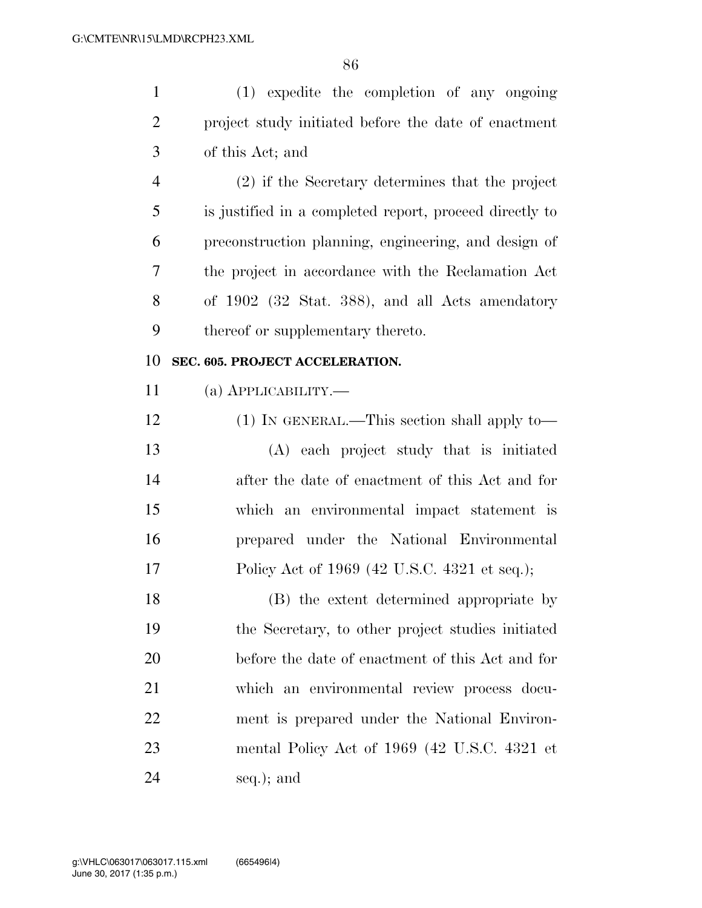(1) expedite the completion of any ongoing

| $\overline{2}$ | project study initiated before the date of enactment    |
|----------------|---------------------------------------------------------|
| 3              | of this Act; and                                        |
| $\overline{4}$ | (2) if the Secretary determines that the project        |
| 5              | is justified in a completed report, proceed directly to |
| 6              | preconstruction planning, engineering, and design of    |
| 7              | the project in accordance with the Reclamation Act      |
| 8              | of 1902 (32 Stat. 388), and all Acts amendatory         |
| 9              | thereof or supplementary thereto.                       |
| 10             | SEC. 605. PROJECT ACCELERATION.                         |
| 11             | (а) <b>АРР</b> ЫСАВШТҮ.—                                |
| 12             | (1) IN GENERAL.—This section shall apply to—            |
| 13             | (A) each project study that is initiated                |
| 14             | after the date of enactment of this Act and for         |
| 15             | which an environmental impact statement is              |
| 16             | prepared under the National Environmental               |
| 17             | Policy Act of 1969 (42 U.S.C. 4321 et seq.);            |
| 18             | (B) the extent determined appropriate by                |
| 19             | the Secretary, to other project studies initiated       |
| 20             | before the date of enactment of this Act and for        |
| 21             | which an environmental review process docu-             |
| 22             | ment is prepared under the National Environ-            |
| 23             | mental Policy Act of 1969 (42 U.S.C. 4321 et            |
| 24             | seq.); and                                              |
|                |                                                         |
|                |                                                         |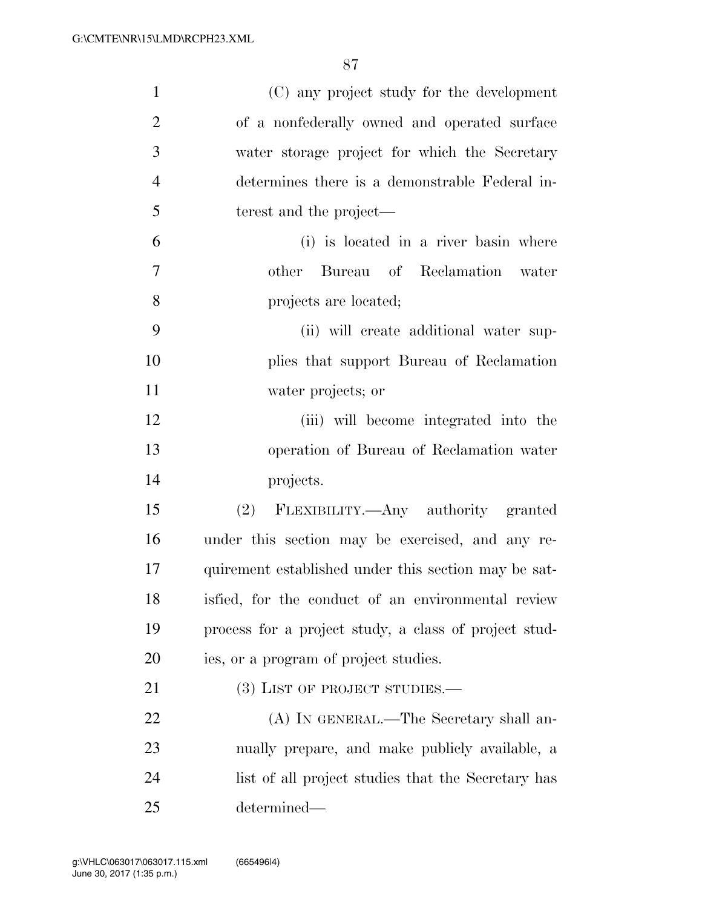| $\mathbf{1}$   | (C) any project study for the development             |
|----------------|-------------------------------------------------------|
| $\overline{2}$ | of a nonfederally owned and operated surface          |
| 3              | water storage project for which the Secretary         |
| $\overline{4}$ | determines there is a demonstrable Federal in-        |
| 5              | terest and the project—                               |
| 6              | (i) is located in a river basin where                 |
| $\overline{7}$ | other Bureau of Reclamation water                     |
| 8              | projects are located;                                 |
| 9              | (ii) will create additional water sup-                |
| 10             | plies that support Bureau of Reclamation              |
| 11             | water projects; or                                    |
| 12             | (iii) will become integrated into the                 |
| 13             | operation of Bureau of Reclamation water              |
| 14             | projects.                                             |
| 15             | (2) FLEXIBILITY.—Any authority granted                |
| 16             | under this section may be exercised, and any re-      |
| 17             | quirement established under this section may be sat-  |
| 18             | isfied, for the conduct of an environmental review    |
| 19             | process for a project study, a class of project stud- |
| 20             | ies, or a program of project studies.                 |
| 21             | $(3)$ LIST OF PROJECT STUDIES.—                       |
| 22             | (A) IN GENERAL.—The Secretary shall an-               |
| 23             | nually prepare, and make publicly available, a        |
| 24             | list of all project studies that the Secretary has    |
| 25             | determined—                                           |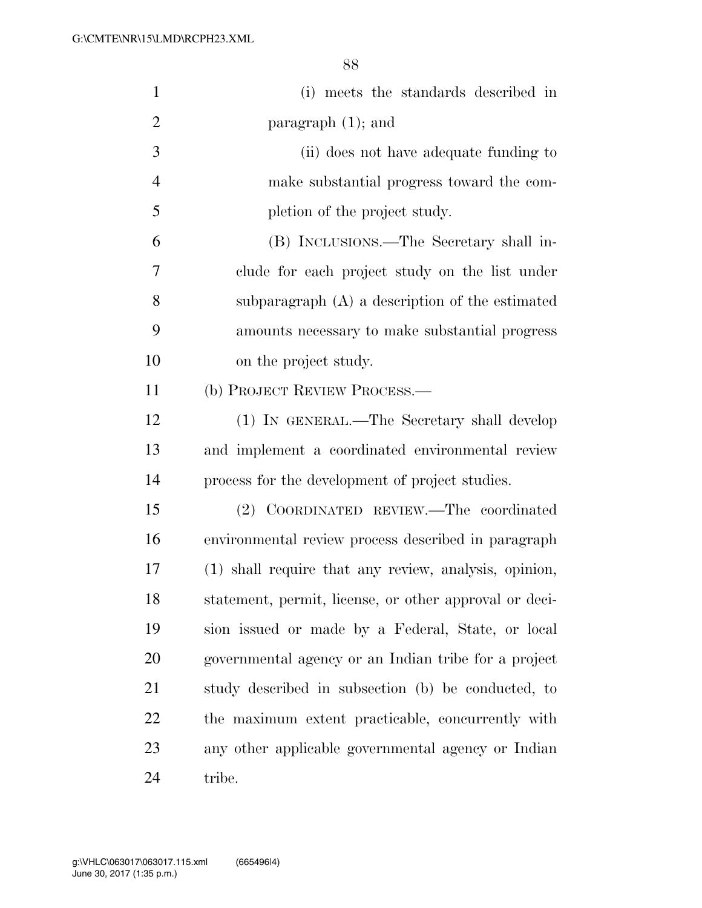| $\mathbf{1}$   | (i) meets the standards described in                   |
|----------------|--------------------------------------------------------|
| $\overline{2}$ | paragraph $(1)$ ; and                                  |
| 3              | (ii) does not have adequate funding to                 |
| $\overline{4}$ | make substantial progress toward the com-              |
| 5              | pletion of the project study.                          |
| 6              | (B) INCLUSIONS.—The Secretary shall in-                |
| 7              | clude for each project study on the list under         |
| 8              | subparagraph (A) a description of the estimated        |
| 9              | amounts necessary to make substantial progress         |
| 10             | on the project study.                                  |
| 11             | (b) PROJECT REVIEW PROCESS.—                           |
| 12             | (1) IN GENERAL.—The Secretary shall develop            |
| 13             | and implement a coordinated environmental review       |
| 14             | process for the development of project studies.        |
| 15             | (2) COORDINATED REVIEW.—The coordinated                |
| 16             | environmental review process described in paragraph    |
| 17             | (1) shall require that any review, analysis, opinion,  |
| 18             | statement, permit, license, or other approval or deci- |
| 19             | sion issued or made by a Federal, State, or local      |
| 20             | governmental agency or an Indian tribe for a project   |
| 21             | study described in subsection (b) be conducted, to     |
| 22             | the maximum extent practicable, concurrently with      |
| 23             | any other applicable governmental agency or Indian     |
| 24             | tribe.                                                 |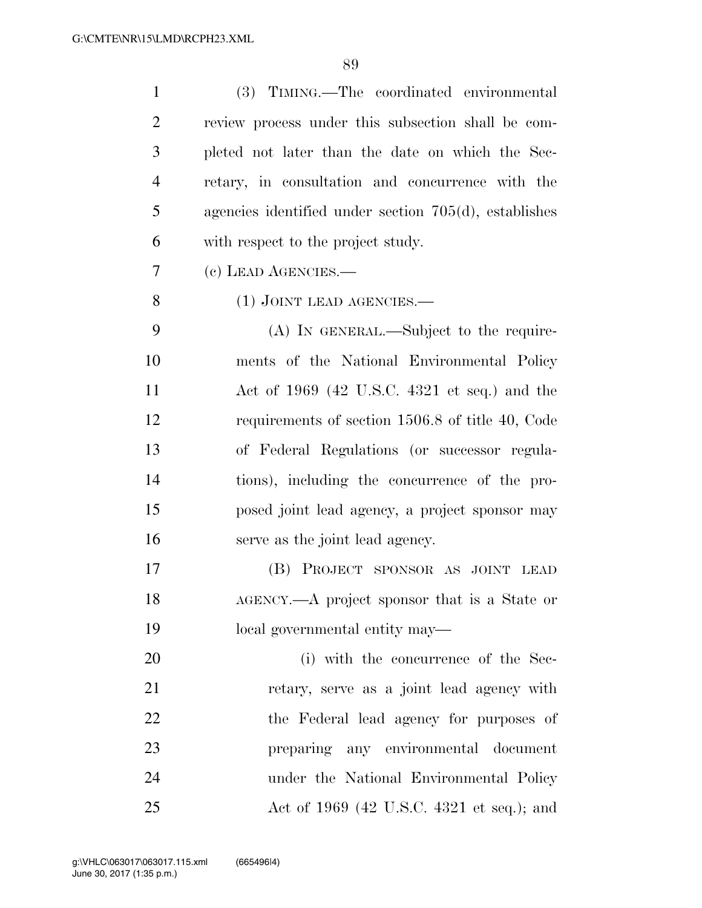| $\mathbf{1}$   | (3) TIMING.—The coordinated environmental                |
|----------------|----------------------------------------------------------|
| $\overline{2}$ | review process under this subsection shall be com-       |
| 3              | pleted not later than the date on which the Sec-         |
| $\overline{4}$ | retary, in consultation and concurrence with the         |
| 5              | agencies identified under section $705(d)$ , establishes |
| 6              | with respect to the project study.                       |
| 7              | (c) LEAD AGENCIES.—                                      |
| 8              | (1) JOINT LEAD AGENCIES.                                 |
| 9              | (A) IN GENERAL.—Subject to the require-                  |
| 10             | ments of the National Environmental Policy               |
| 11             | Act of $1969$ (42 U.S.C. 4321 et seq.) and the           |
| 12             | requirements of section 1506.8 of title 40, Code         |
| 13             | of Federal Regulations (or successor regula-             |
| 14             | tions), including the concurrence of the pro-            |
| 15             | posed joint lead agency, a project sponsor may           |
| 16             | serve as the joint lead agency.                          |
| 17             | (B) PROJECT SPONSOR AS JOINT LEAD                        |
| 18             | AGENCY.—A project sponsor that is a State or             |
| 19             | local governmental entity may—                           |
| 20             | (i) with the concurrence of the Sec-                     |
| 21             | retary, serve as a joint lead agency with                |
| 22             | the Federal lead agency for purposes of                  |
| 23             | preparing any environmental document                     |
| 24             | under the National Environmental Policy                  |
| 25             | Act of 1969 (42 U.S.C. 4321 et seq.); and                |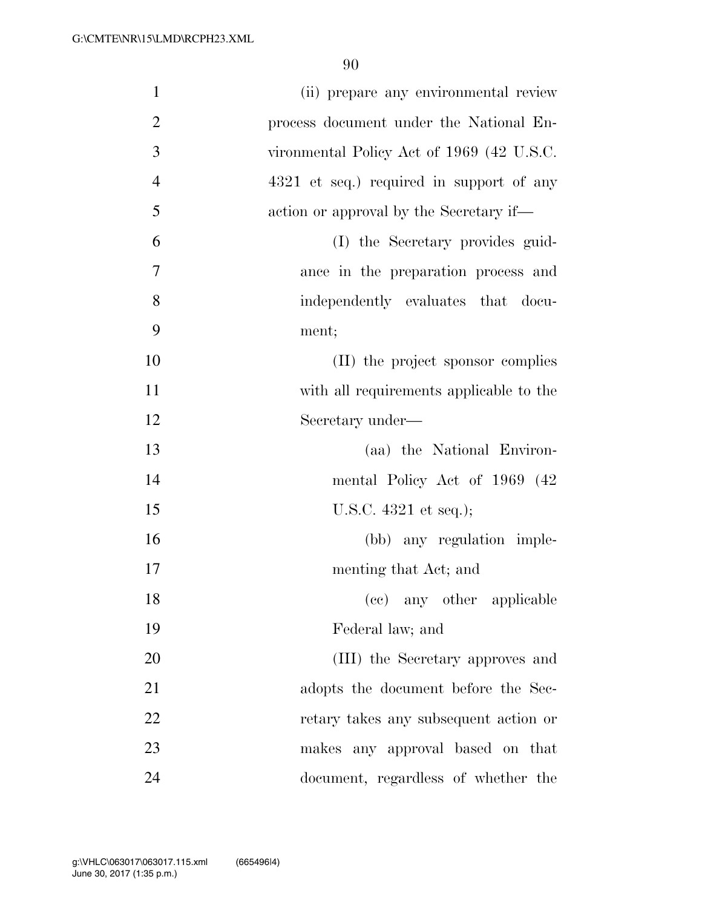| $\mathbf{1}$   | (ii) prepare any environmental review     |
|----------------|-------------------------------------------|
| $\overline{2}$ | process document under the National En-   |
| 3              | vironmental Policy Act of 1969 (42 U.S.C. |
| $\overline{4}$ | 4321 et seq.) required in support of any  |
| 5              | action or approval by the Secretary if—   |
| 6              | (I) the Secretary provides guid-          |
| $\tau$         | ance in the preparation process and       |
| 8              | independently evaluates that docu-        |
| 9              | ment;                                     |
| 10             | (II) the project sponsor complies         |
| 11             | with all requirements applicable to the   |
| 12             | Secretary under—                          |
| 13             | (aa) the National Environ-                |
| 14             | mental Policy Act of 1969 (42)            |
| 15             | U.S.C. $4321$ et seq.);                   |
| 16             | (bb) any regulation imple-                |
| 17             | menting that Act; and                     |
| 18             | (cc) any other applicable                 |
| 19             | Federal law; and                          |
| 20             | (III) the Secretary approves and          |
| 21             | adopts the document before the Sec-       |
| 22             | retary takes any subsequent action or     |
| 23             | makes any approval based on that          |
| 24             | document, regardless of whether the       |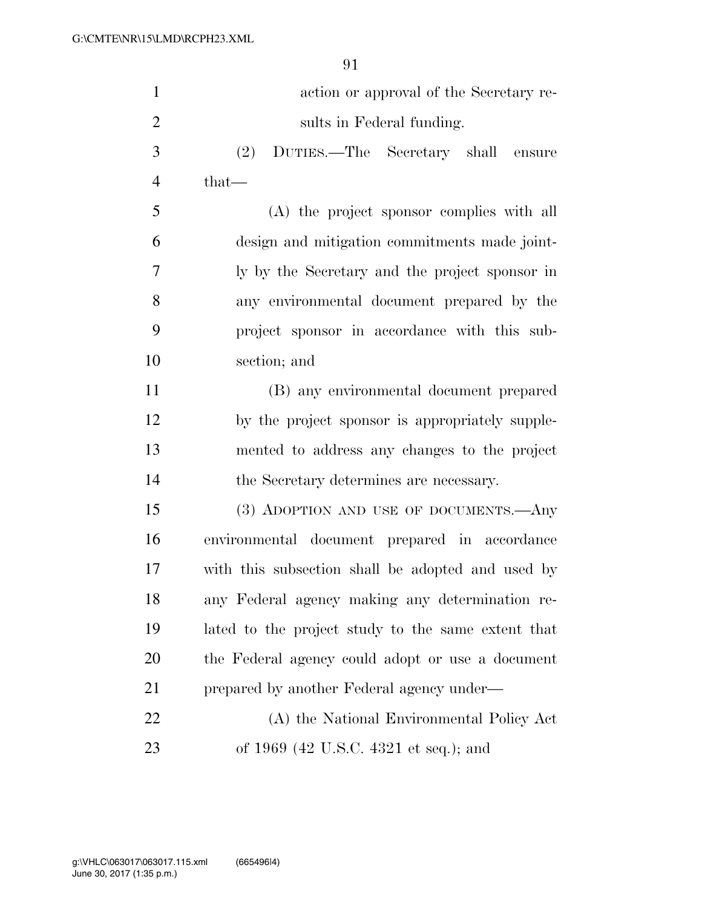| $\mathbf{1}$   | action or approval of the Secretary re-            |
|----------------|----------------------------------------------------|
| $\overline{2}$ | sults in Federal funding.                          |
| 3              | (2)<br>DUTIES.—The Secretary shall ensure          |
| $\overline{4}$ | $that-$                                            |
| 5              | (A) the project sponsor complies with all          |
| 6              | design and mitigation commitments made joint-      |
| 7              | ly by the Secretary and the project sponsor in     |
| 8              | any environmental document prepared by the         |
| 9              | project sponsor in accordance with this sub-       |
| 10             | section; and                                       |
| 11             | (B) any environmental document prepared            |
| 12             | by the project sponsor is appropriately supple-    |
| 13             | mented to address any changes to the project       |
| 14             | the Secretary determines are necessary.            |
| 15             | (3) ADOPTION AND USE OF DOCUMENTS.- Any            |
| 16             | environmental document prepared in accordance      |
| 17             | with this subsection shall be adopted and used by  |
| 18             | any Federal agency making any determination re-    |
| 19             | lated to the project study to the same extent that |
| 20             | the Federal agency could adopt or use a document   |
| 21             | prepared by another Federal agency under—          |
| 22             | (A) the National Environmental Policy Act          |
| 23             | of 1969 (42 U.S.C. 4321 et seq.); and              |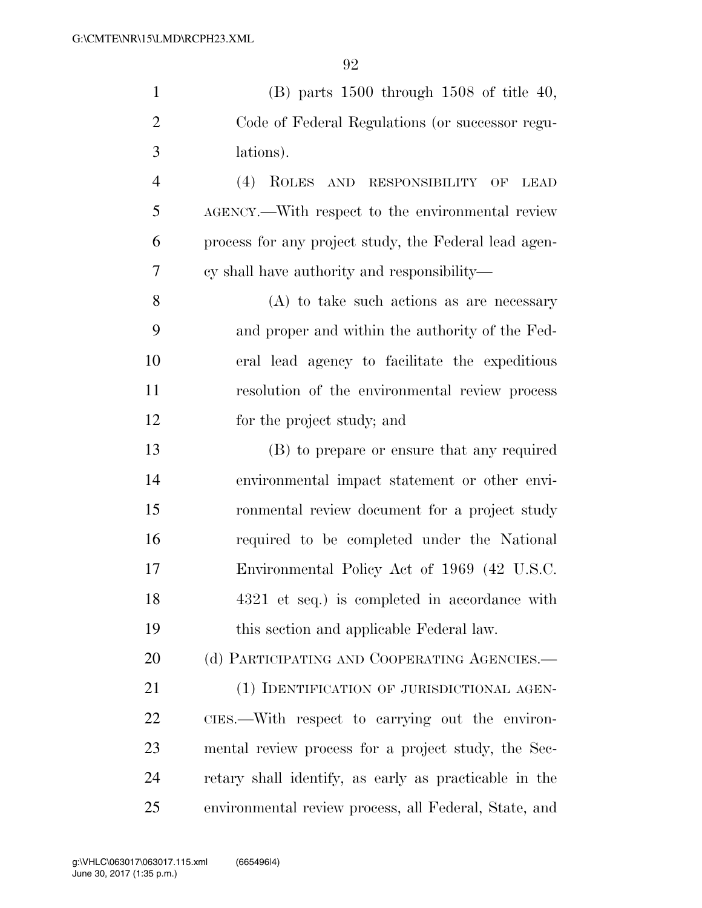| $\mathbf{1}$   | $(B)$ parts 1500 through 1508 of title 40,                  |
|----------------|-------------------------------------------------------------|
| $\overline{2}$ | Code of Federal Regulations (or successor regu-             |
| 3              | lations).                                                   |
| $\overline{4}$ | (4)<br>ROLES AND RESPONSIBILITY<br>$\rm{OF}$<br><b>LEAD</b> |
| 5              | AGENCY.—With respect to the environmental review            |
| 6              | process for any project study, the Federal lead agen-       |
| 7              | cy shall have authority and responsibility—                 |
| 8              | $(A)$ to take such actions as are necessary                 |
| 9              | and proper and within the authority of the Fed-             |
| 10             | eral lead agency to facilitate the expeditious              |
| 11             | resolution of the environmental review process              |
| 12             | for the project study; and                                  |
| 13             | (B) to prepare or ensure that any required                  |
| 14             | environmental impact statement or other envi-               |
| 15             | ronmental review document for a project study               |
| 16             | required to be completed under the National                 |
| 17             | Environmental Policy Act of 1969 (42 U.S.C.                 |
| 18             | 4321 et seq.) is completed in accordance with               |
| 19             | this section and applicable Federal law.                    |
| 20             | (d) PARTICIPATING AND COOPERATING AGENCIES.-                |
| 21             | (1) IDENTIFICATION OF JURISDICTIONAL AGEN-                  |
| 22             | CIES.—With respect to carrying out the environ-             |
| 23             | mental review process for a project study, the Sec-         |
| 24             | retary shall identify, as early as practicable in the       |
| 25             | environmental review process, all Federal, State, and       |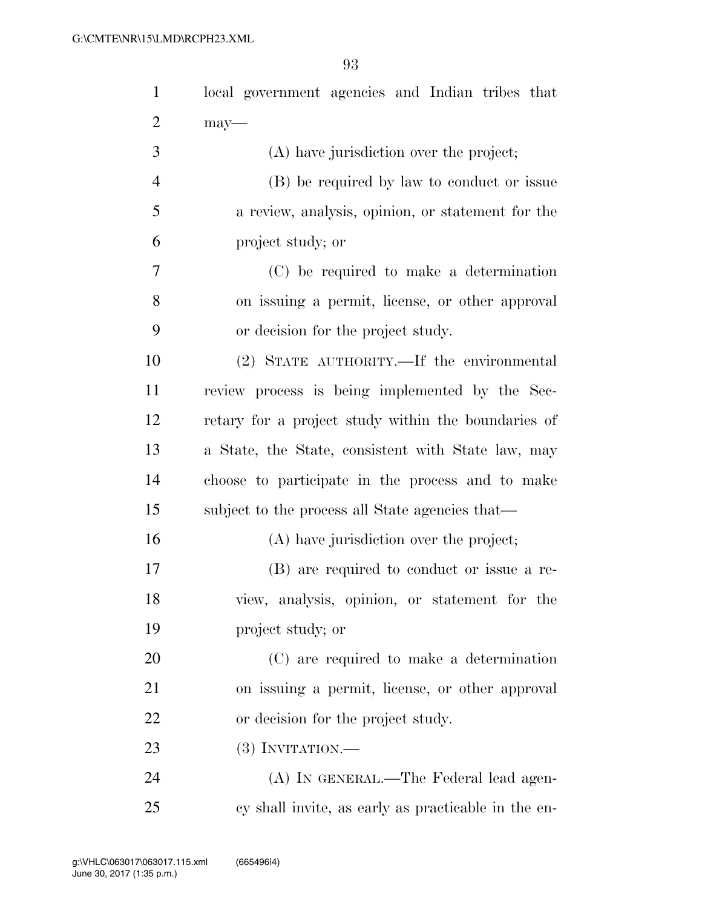| $\mathbf{1}$   | local government agencies and Indian tribes that    |
|----------------|-----------------------------------------------------|
| $\overline{2}$ | $may$ —                                             |
| 3              | (A) have jurisdiction over the project;             |
| $\overline{4}$ | (B) be required by law to conduct or issue          |
| 5              | a review, analysis, opinion, or statement for the   |
| 6              | project study; or                                   |
| 7              | (C) be required to make a determination             |
| 8              | on issuing a permit, license, or other approval     |
| 9              | or decision for the project study.                  |
| 10             | (2) STATE AUTHORITY.—If the environmental           |
| 11             | review process is being implemented by the Sec-     |
| 12             | retary for a project study within the boundaries of |
| 13             | a State, the State, consistent with State law, may  |
| 14             | choose to participate in the process and to make    |
| 15             | subject to the process all State agencies that—     |
| 16             | (A) have jurisdiction over the project;             |
| 17             | (B) are required to conduct or issue a re-          |
| 18             | view, analysis, opinion, or statement for the       |
| 19             | project study; or                                   |
| 20             | (C) are required to make a determination            |
| 21             | on issuing a permit, license, or other approval     |
| 22             | or decision for the project study.                  |
| 23             | $(3)$ INVITATION.—                                  |
| 24             | (A) IN GENERAL.—The Federal lead agen-              |
| 25             | cy shall invite, as early as practicable in the en- |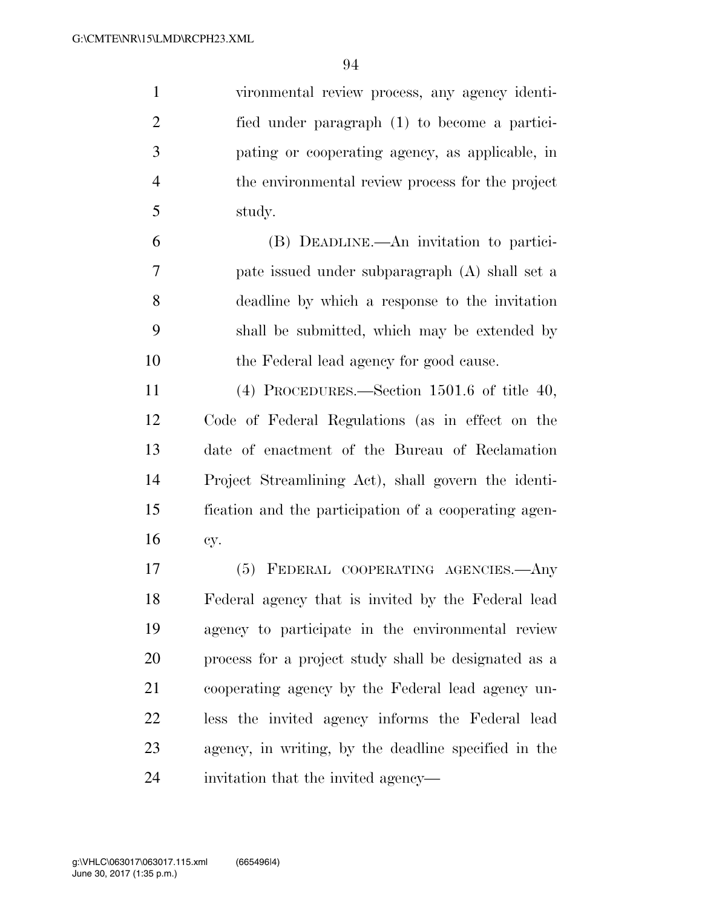vironmental review process, any agency identi- fied under paragraph (1) to become a partici- pating or cooperating agency, as applicable, in the environmental review process for the project study. (B) DEADLINE.—An invitation to partici-

 pate issued under subparagraph (A) shall set a deadline by which a response to the invitation shall be submitted, which may be extended by the Federal lead agency for good cause.

 (4) PROCEDURES.—Section 1501.6 of title 40, Code of Federal Regulations (as in effect on the date of enactment of the Bureau of Reclamation Project Streamlining Act), shall govern the identi- fication and the participation of a cooperating agen-cy.

 (5) FEDERAL COOPERATING AGENCIES.—Any Federal agency that is invited by the Federal lead agency to participate in the environmental review process for a project study shall be designated as a cooperating agency by the Federal lead agency un- less the invited agency informs the Federal lead agency, in writing, by the deadline specified in the invitation that the invited agency—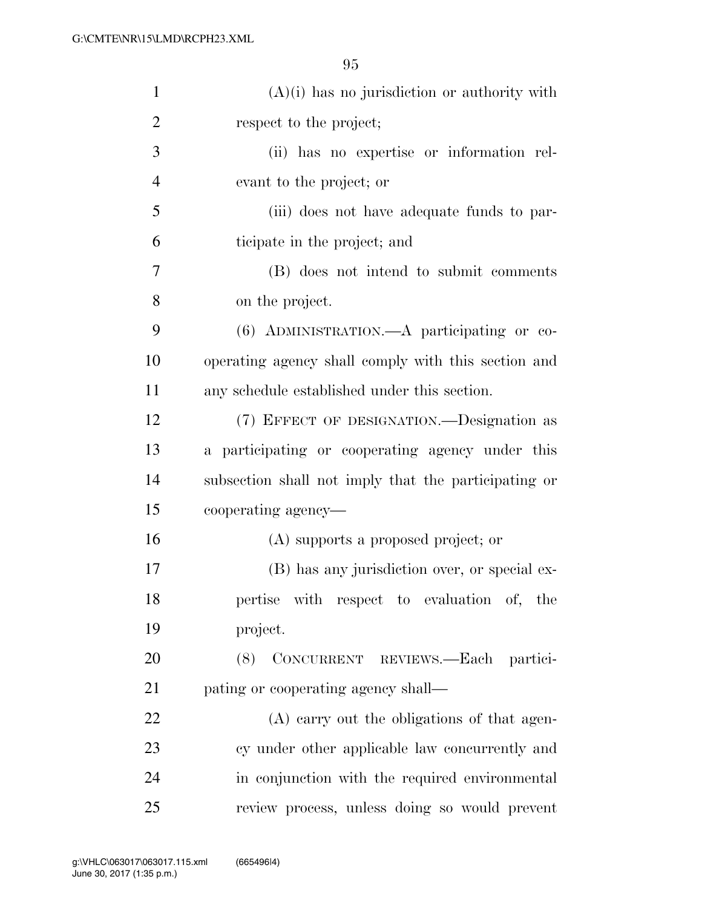| $\mathbf{1}$   | $(A)(i)$ has no jurisdiction or authority with       |
|----------------|------------------------------------------------------|
| $\overline{2}$ | respect to the project;                              |
| 3              | (ii) has no expertise or information rel-            |
| $\overline{4}$ | evant to the project; or                             |
| 5              | (iii) does not have adequate funds to par-           |
| 6              | ticipate in the project; and                         |
| 7              | (B) does not intend to submit comments               |
| 8              | on the project.                                      |
| 9              | (6) ADMINISTRATION.—A participating or co-           |
| 10             | operating agency shall comply with this section and  |
| 11             | any schedule established under this section.         |
| 12             | (7) EFFECT OF DESIGNATION.—Designation as            |
| 13             | a participating or cooperating agency under this     |
| 14             | subsection shall not imply that the participating or |
| 15             | cooperating agency—                                  |
| 16             | (A) supports a proposed project; or                  |
| 17             | (B) has any jurisdiction over, or special ex-        |
| 18             | pertise with respect to evaluation of, the           |
| 19             | project.                                             |
| 20             | CONCURRENT REVIEWS.-Each partici-<br>(8)             |
| 21             | pating or cooperating agency shall—                  |
| 22             | (A) carry out the obligations of that agen-          |
| 23             | cy under other applicable law concurrently and       |
| 24             | in conjunction with the required environmental       |
| 25             | review process, unless doing so would prevent        |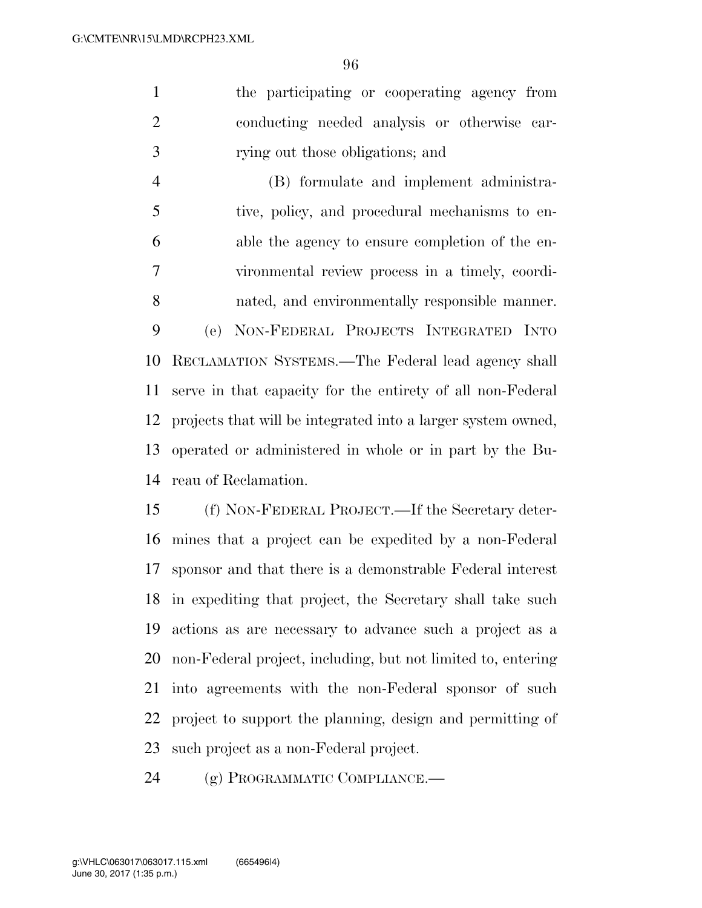the participating or cooperating agency from conducting needed analysis or otherwise car-rying out those obligations; and

 (B) formulate and implement administra- tive, policy, and procedural mechanisms to en- able the agency to ensure completion of the en- vironmental review process in a timely, coordi- nated, and environmentally responsible manner. (e) NON-FEDERAL PROJECTS INTEGRATED INTO RECLAMATION SYSTEMS.—The Federal lead agency shall serve in that capacity for the entirety of all non-Federal projects that will be integrated into a larger system owned, operated or administered in whole or in part by the Bu-reau of Reclamation.

 (f) NON-FEDERAL PROJECT.—If the Secretary deter- mines that a project can be expedited by a non-Federal sponsor and that there is a demonstrable Federal interest in expediting that project, the Secretary shall take such actions as are necessary to advance such a project as a non-Federal project, including, but not limited to, entering into agreements with the non-Federal sponsor of such project to support the planning, design and permitting of such project as a non-Federal project.

(g) PROGRAMMATIC COMPLIANCE.—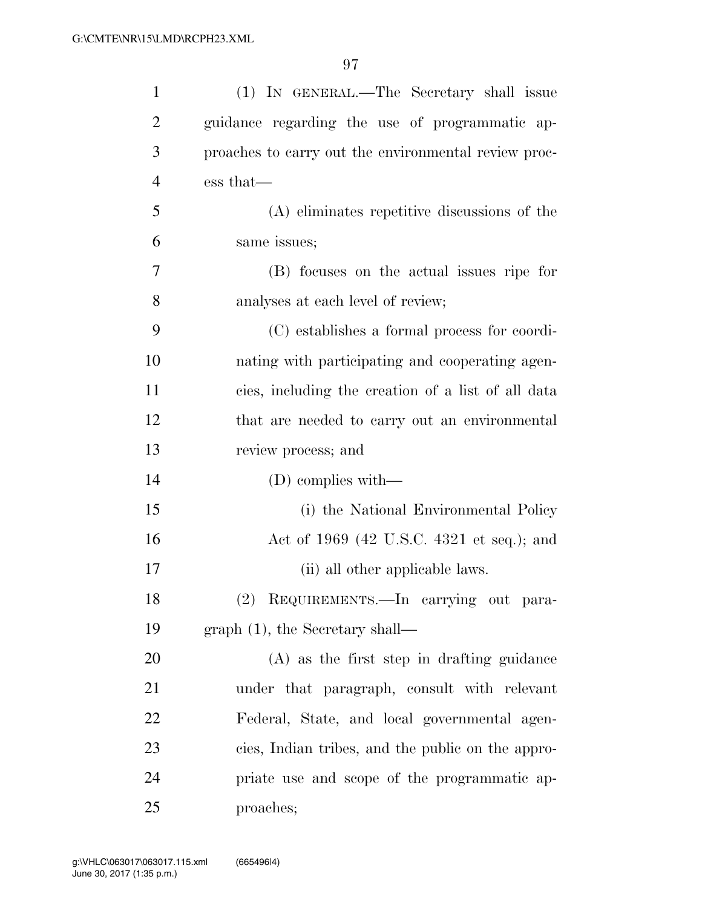| $\mathbf{1}$   | (1) IN GENERAL.—The Secretary shall issue            |
|----------------|------------------------------------------------------|
| $\overline{2}$ | guidance regarding the use of programmatic ap-       |
| 3              | proaches to carry out the environmental review proc- |
| $\overline{4}$ | ess that—                                            |
| 5              | (A) eliminates repetitive discussions of the         |
| 6              | same issues;                                         |
| 7              | (B) focuses on the actual issues ripe for            |
| 8              | analyses at each level of review;                    |
| 9              | (C) establishes a formal process for coordi-         |
| 10             | nating with participating and cooperating agen-      |
| 11             | cies, including the creation of a list of all data   |
| 12             | that are needed to carry out an environmental        |
| 13             | review process; and                                  |
| 14             | $(D)$ complies with—                                 |
| 15             | (i) the National Environmental Policy                |
| 16             | Act of 1969 (42 U.S.C. 4321 et seq.); and            |
| 17             | (ii) all other applicable laws.                      |
| 18             | (2) REQUIREMENTS. - In carrying out para-            |
| 19             | $graph(1)$ , the Secretary shall—                    |
| 20             | $(A)$ as the first step in drafting guidance         |
| 21             | under that paragraph, consult with relevant          |
| 22             | Federal, State, and local governmental agen-         |
| 23             | cies, Indian tribes, and the public on the appro-    |
| 24             | priate use and scope of the programmatic ap-         |
| 25             | proaches;                                            |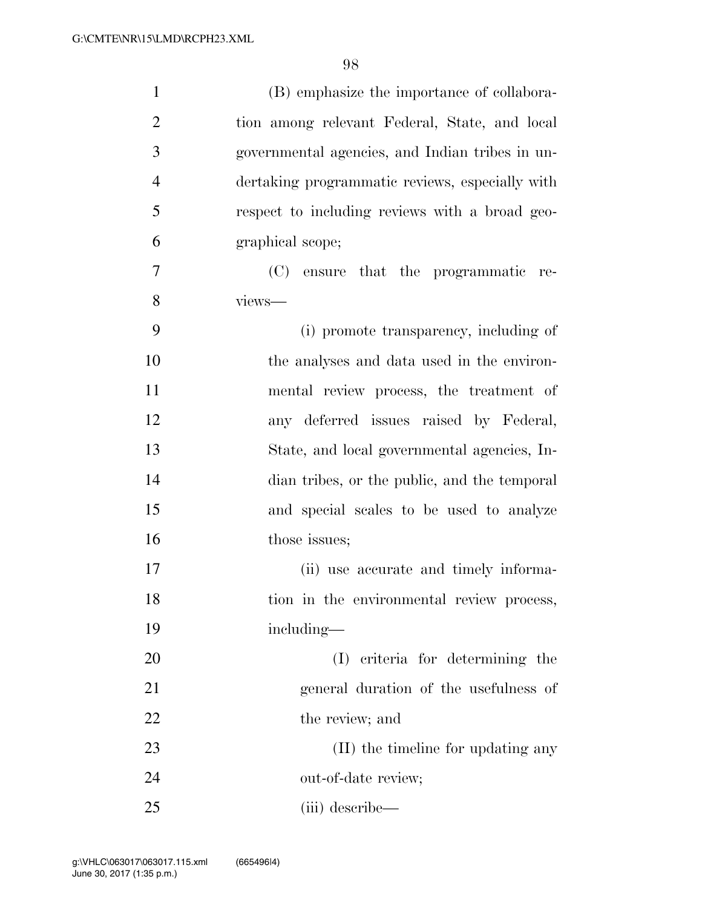| $\mathbf{1}$   | (B) emphasize the importance of collabora-      |
|----------------|-------------------------------------------------|
| $\overline{2}$ | tion among relevant Federal, State, and local   |
| 3              | governmental agencies, and Indian tribes in un- |
| $\overline{4}$ | dertaking programmatic reviews, especially with |
| 5              | respect to including reviews with a broad geo-  |
| 6              | graphical scope;                                |
| 7              | (C) ensure that the programmatic re-            |
| 8              | views-                                          |
| 9              | (i) promote transparency, including of          |
| 10             | the analyses and data used in the environ-      |
| 11             | mental review process, the treatment of         |
| 12             | any deferred issues raised by Federal,          |
| 13             | State, and local governmental agencies, In-     |
| 14             | dian tribes, or the public, and the temporal    |
| 15             | and special scales to be used to analyze        |
| 16             | those issues;                                   |
| 17             | (ii) use accurate and timely informa-           |
| 18             | tion in the environmental review process,       |
| 19             | including—                                      |
| 20             | (I) criteria for determining the                |
| 21             | general duration of the usefulness of           |
| 22             | the review; and                                 |
| $23\,$         | (II) the timeline for updating any              |
| 24             | out-of-date review;                             |
| 25             | (iii) describe—                                 |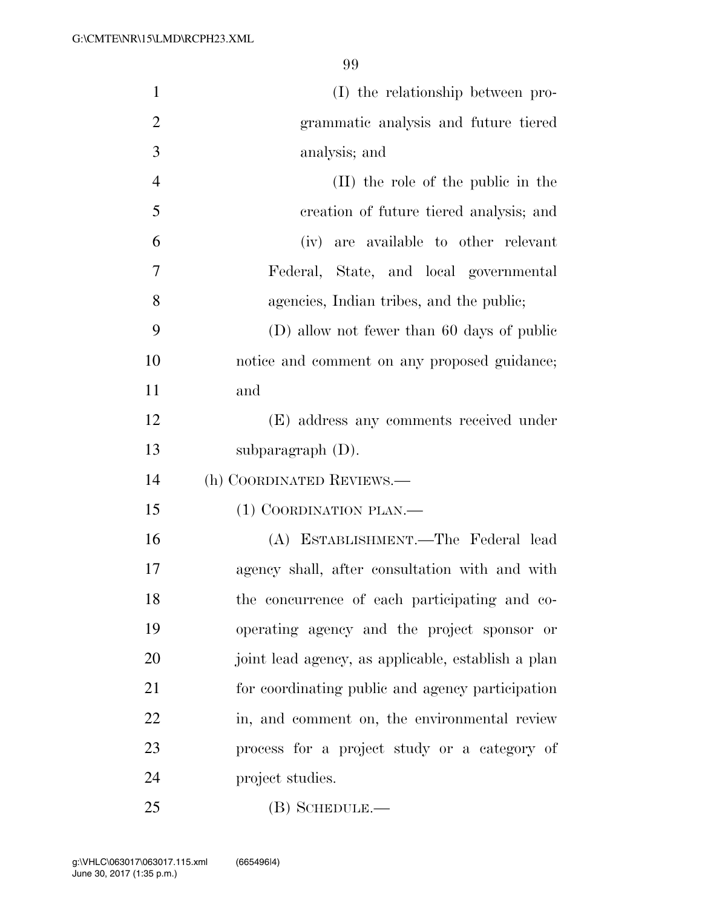| $\mathbf{1}$   | (I) the relationship between pro-                  |
|----------------|----------------------------------------------------|
| $\overline{2}$ | grammatic analysis and future tiered               |
| 3              | analysis; and                                      |
| $\overline{4}$ | (II) the role of the public in the                 |
| 5              | creation of future tiered analysis; and            |
| 6              | (iv) are available to other relevant               |
| 7              | Federal, State, and local governmental             |
| 8              | agencies, Indian tribes, and the public;           |
| 9              | (D) allow not fewer than 60 days of public         |
| 10             | notice and comment on any proposed guidance;       |
| 11             | and                                                |
| 12             | (E) address any comments received under            |
| 13             | subparagraph $(D)$ .                               |
| 14             | (h) COORDINATED REVIEWS.—                          |
| 15             | (1) COORDINATION PLAN.—                            |
| 16             | (A) ESTABLISHMENT.—The Federal lead                |
| 17             | agency shall, after consultation with and with     |
| 18             | the concurrence of each participating and co-      |
| 19             | operating agency and the project sponsor or        |
| 20             | joint lead agency, as applicable, establish a plan |
| 21             | for coordinating public and agency participation   |
| 22             | in, and comment on, the environmental review       |
| 23             | process for a project study or a category of       |
| 24             | project studies.                                   |
| 25             | $(B)$ SCHEDULE.—                                   |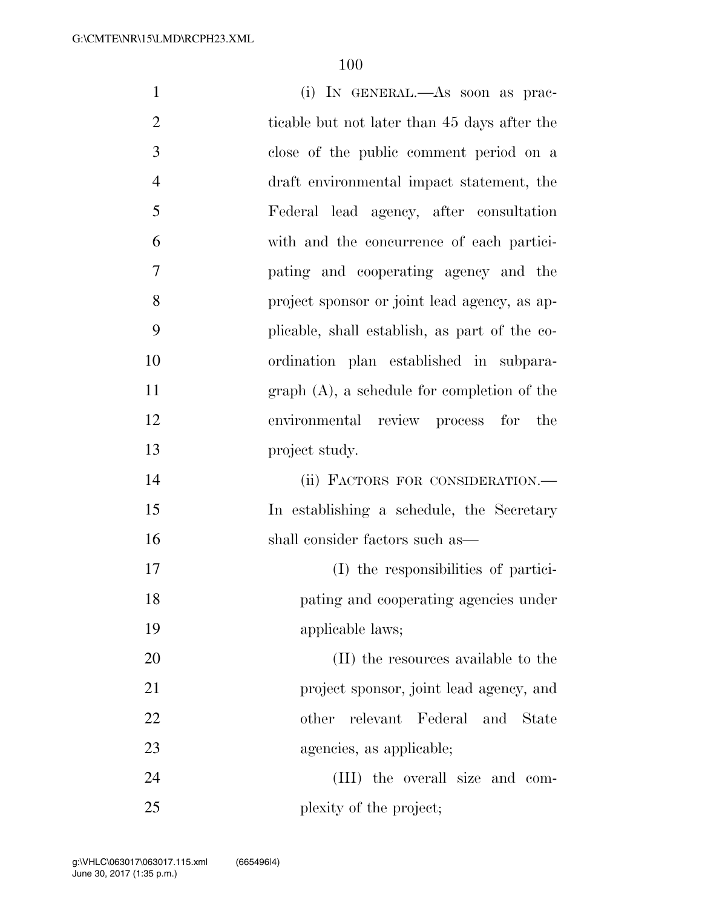| $\mathbf{1}$   | (i) IN GENERAL.—As soon as prac-              |
|----------------|-----------------------------------------------|
| $\overline{2}$ | ticable but not later than 45 days after the  |
| 3              | close of the public comment period on a       |
| $\overline{4}$ | draft environmental impact statement, the     |
| 5              | Federal lead agency, after consultation       |
| 6              | with and the concurrence of each partici-     |
| $\overline{7}$ | pating and cooperating agency and the         |
| 8              | project sponsor or joint lead agency, as ap-  |
| 9              | plicable, shall establish, as part of the co- |
| 10             | ordination plan established in subpara-       |
| 11             | $graph(A)$ , a schedule for completion of the |
| 12             | environmental review process for the          |
| 13             | project study.                                |
| 14             | (ii) FACTORS FOR CONSIDERATION.-              |
| 15             | In establishing a schedule, the Secretary     |
| 16             | shall consider factors such as—               |
| 17             | (I) the responsibilities of partici-          |
| 18             | pating and cooperating agencies under         |
| 19             | applicable laws;                              |
| 20             | (II) the resources available to the           |
| 21             | project sponsor, joint lead agency, and       |
| 22             | relevant Federal and<br>other<br>State        |
| 23             | agencies, as applicable;                      |
| 24             | (III) the overall size and com-               |
| 25             | plexity of the project;                       |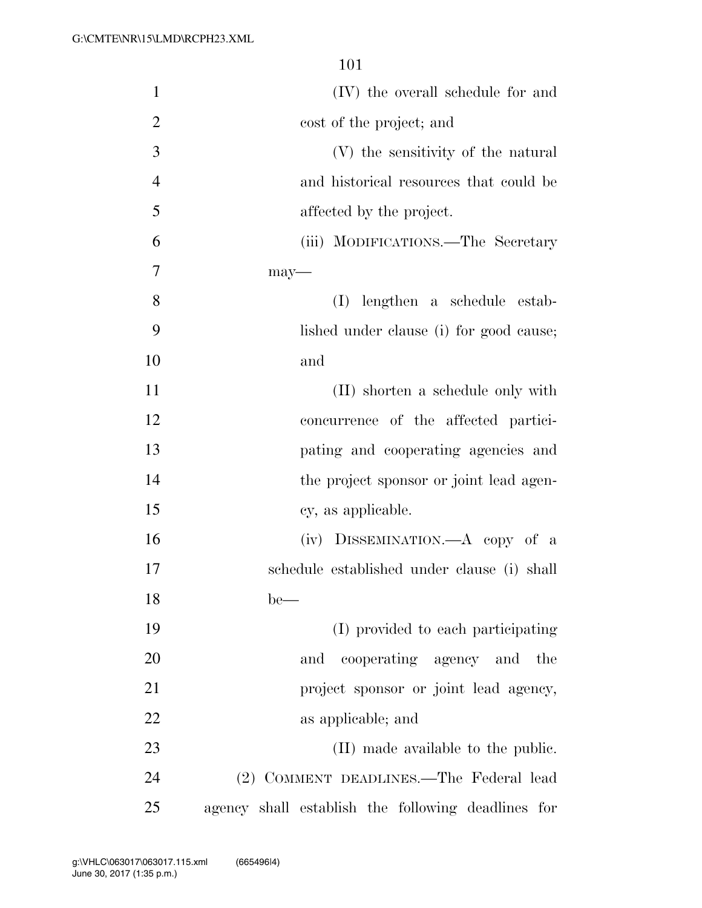| $\mathbf{1}$   | (IV) the overall schedule for and                  |
|----------------|----------------------------------------------------|
| $\overline{2}$ | cost of the project; and                           |
| 3              | (V) the sensitivity of the natural                 |
| $\overline{4}$ | and historical resources that could be             |
| 5              | affected by the project.                           |
| 6              | (iii) MODIFICATIONS.—The Secretary                 |
| 7              | $may-$                                             |
| 8              | lengthen a schedule estab-<br>(I)                  |
| 9              | lished under clause (i) for good cause;            |
| 10             | and                                                |
| 11             | (II) shorten a schedule only with                  |
| 12             | concurrence of the affected partici-               |
| 13             | pating and cooperating agencies and                |
| 14             | the project sponsor or joint lead agen-            |
| 15             | cy, as applicable.                                 |
| 16             | (iv) DISSEMINATION.—A copy of a                    |
| 17             | schedule established under clause (i) shall        |
| 18             | $be$ —                                             |
| 19             | (I) provided to each participating                 |
| 20             | cooperating agency and the<br>and                  |
| 21             | project sponsor or joint lead agency,              |
| 22             | as applicable; and                                 |
| 23             | (II) made available to the public.                 |
| 24             | (2) COMMENT DEADLINES.—The Federal lead            |
| 25             | agency shall establish the following deadlines for |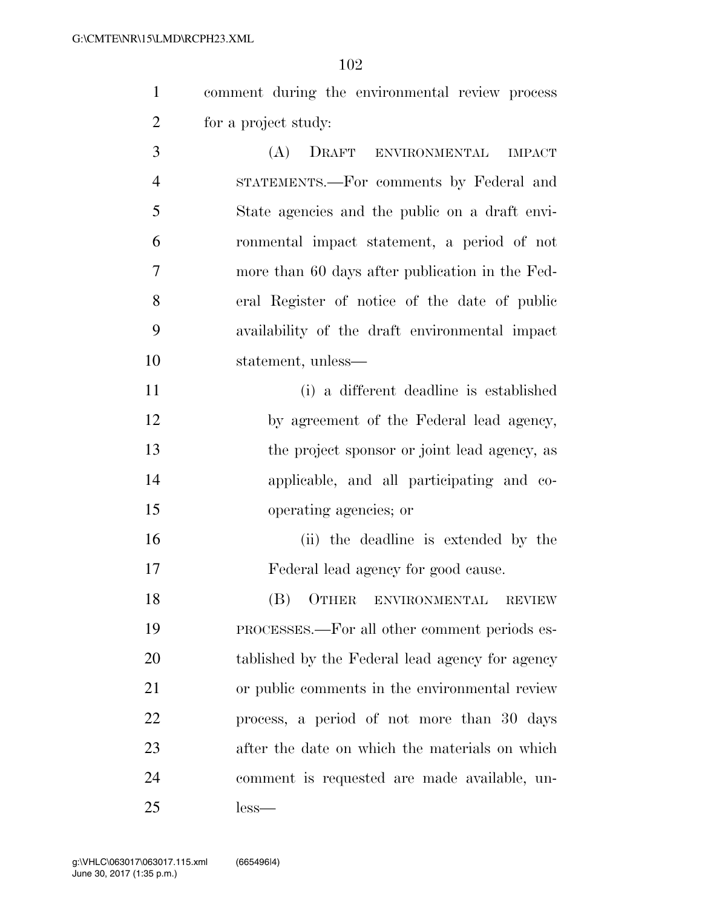|   |                      |  | comment during the environmental review process |  |
|---|----------------------|--|-------------------------------------------------|--|
| 2 | for a project study: |  |                                                 |  |

 (A) DRAFT ENVIRONMENTAL IMPACT STATEMENTS.—For comments by Federal and State agencies and the public on a draft envi- ronmental impact statement, a period of not more than 60 days after publication in the Fed- eral Register of notice of the date of public availability of the draft environmental impact statement, unless—

 (i) a different deadline is established by agreement of the Federal lead agency, 13 the project sponsor or joint lead agency, as applicable, and all participating and co-operating agencies; or

 (ii) the deadline is extended by the Federal lead agency for good cause.

 (B) OTHER ENVIRONMENTAL REVIEW PROCESSES.—For all other comment periods es- tablished by the Federal lead agency for agency or public comments in the environmental review process, a period of not more than 30 days after the date on which the materials on which comment is requested are made available, un-less—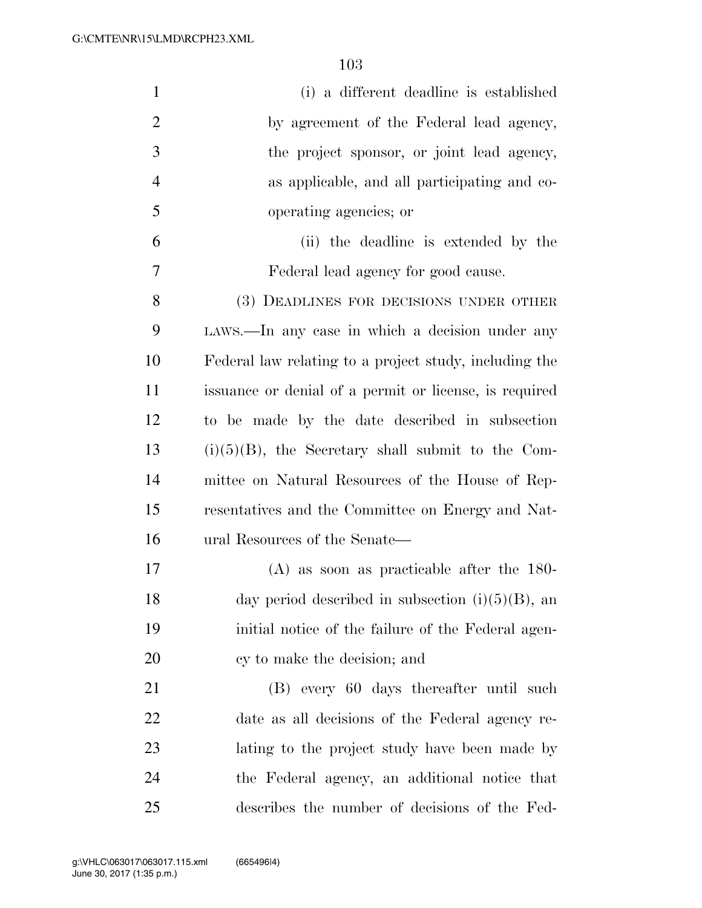| $\mathbf{1}$   | (i) a different deadline is established                |
|----------------|--------------------------------------------------------|
| $\overline{2}$ | by agreement of the Federal lead agency,               |
| 3              | the project sponsor, or joint lead agency,             |
| $\overline{4}$ | as applicable, and all participating and co-           |
| 5              | operating agencies; or                                 |
| 6              | (ii) the deadline is extended by the                   |
| $\overline{7}$ | Federal lead agency for good cause.                    |
| 8              | (3) DEADLINES FOR DECISIONS UNDER OTHER                |
| 9              | LAWS.—In any case in which a decision under any        |
| 10             | Federal law relating to a project study, including the |
| 11             | issuance or denial of a permit or license, is required |
| 12             | to be made by the date described in subsection         |
| 13             | $(i)(5)(B)$ , the Secretary shall submit to the Com-   |
| 14             | mittee on Natural Resources of the House of Rep-       |
| 15             | resentatives and the Committee on Energy and Nat-      |
| 16             | ural Resources of the Senate—                          |
| 17             | $(A)$ as soon as practicable after the 180-            |
| 18             | day period described in subsection $(i)(5)(B)$ , an    |
| 19             | initial notice of the failure of the Federal agen-     |
| 20             | cy to make the decision; and                           |
| 21             | (B) every 60 days thereafter until such                |
| <u>22</u>      | date as all decisions of the Federal agency re-        |
| 23             | lating to the project study have been made by          |
| 24             | the Federal agency, an additional notice that          |
| 25             | describes the number of decisions of the Fed-          |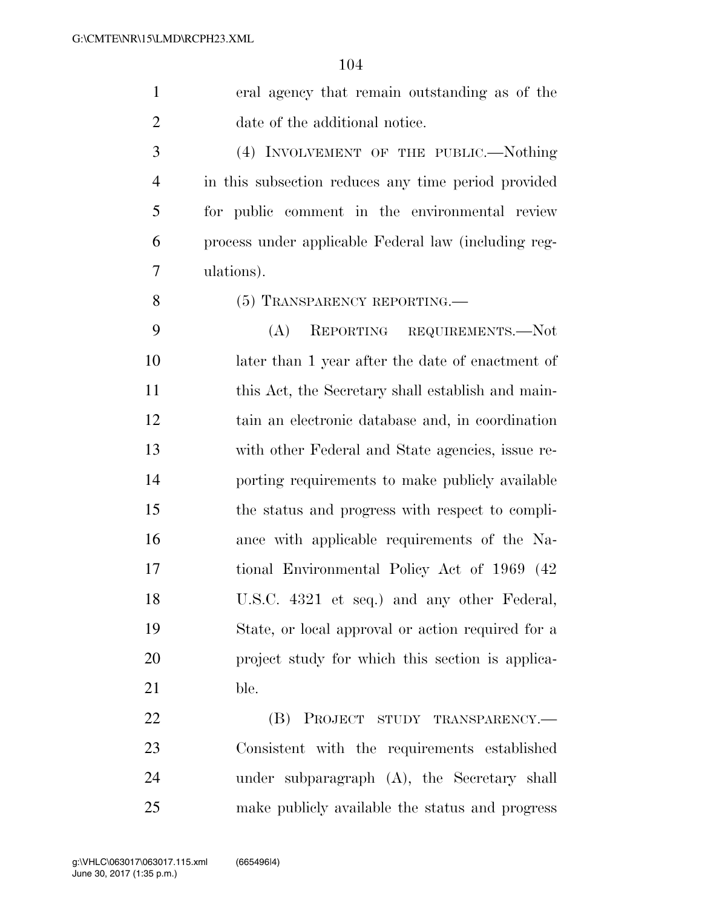eral agency that remain outstanding as of the date of the additional notice.

 (4) INVOLVEMENT OF THE PUBLIC.—Nothing in this subsection reduces any time period provided for public comment in the environmental review process under applicable Federal law (including reg-ulations).

8 (5) TRANSPARENCY REPORTING.

 (A) REPORTING REQUIREMENTS.—Not later than 1 year after the date of enactment of 11 this Act, the Secretary shall establish and main- tain an electronic database and, in coordination with other Federal and State agencies, issue re- porting requirements to make publicly available the status and progress with respect to compli- ance with applicable requirements of the Na- tional Environmental Policy Act of 1969 (42 U.S.C. 4321 et seq.) and any other Federal, State, or local approval or action required for a project study for which this section is applica-ble.

**(B) PROJECT STUDY TRANSPARENCY.—**  Consistent with the requirements established under subparagraph (A), the Secretary shall make publicly available the status and progress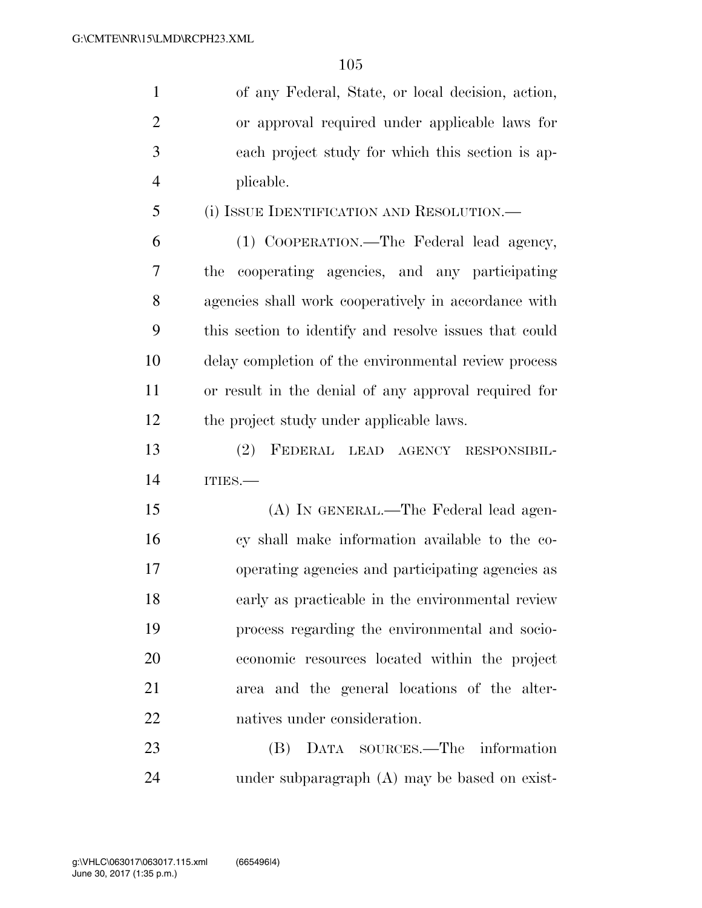| $\mathbf{1}$   | of any Federal, State, or local decision, action,      |
|----------------|--------------------------------------------------------|
| $\overline{2}$ | or approval required under applicable laws for         |
| 3              | each project study for which this section is ap-       |
| $\overline{4}$ | plicable.                                              |
| 5              | (i) ISSUE IDENTIFICATION AND RESOLUTION.—              |
| 6              | (1) COOPERATION.—The Federal lead agency,              |
| 7              | cooperating agencies, and any participating<br>the     |
| 8              | agencies shall work cooperatively in accordance with   |
| 9              | this section to identify and resolve issues that could |
| 10             | delay completion of the environmental review process   |
| 11             | or result in the denial of any approval required for   |
| 12             | the project study under applicable laws.               |
| 13             | (2)<br>FEDERAL LEAD AGENCY<br>RESPONSIBIL-             |
| 14             | ITIES.                                                 |
| 15             | (A) IN GENERAL.—The Federal lead agen-                 |
| 16             | cy shall make information available to the co-         |
| 17             | operating agencies and participating agencies as       |
| 18             | early as practicable in the environmental review       |
| 19             | process regarding the environmental and socio-         |
| 20             | economic resources located within the project          |
| 21             | area and the general locations of the alter-           |
| 22             | natives under consideration.                           |
| 23             | DATA SOURCES.—The information<br>(B)                   |

under subparagraph (A) may be based on exist-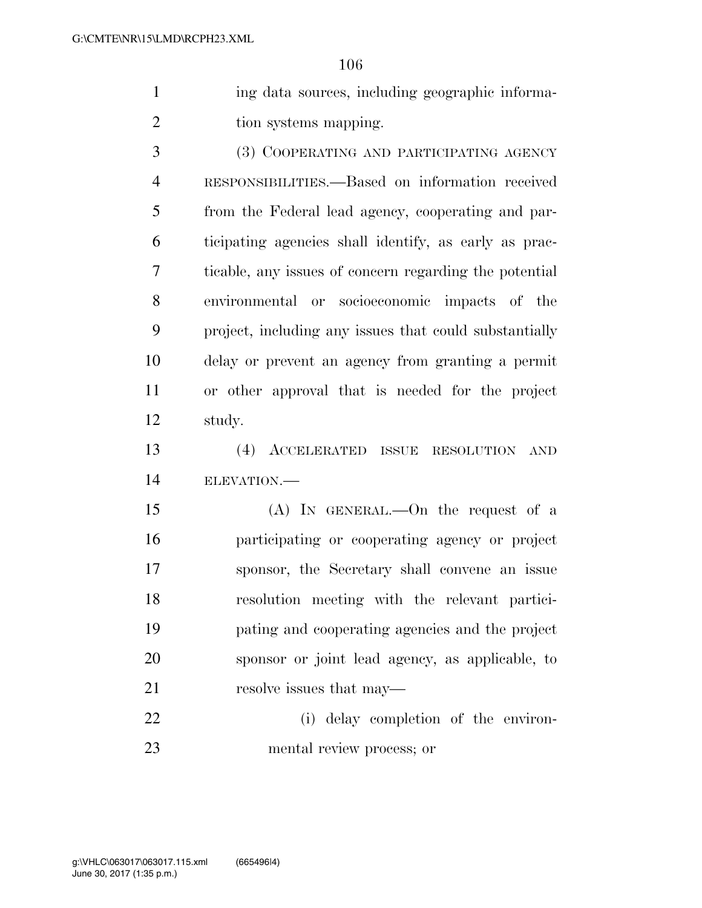1 ing data sources, including geographic informa-2 tion systems mapping.

 (3) COOPERATING AND PARTICIPATING AGENCY RESPONSIBILITIES.—Based on information received from the Federal lead agency, cooperating and par- ticipating agencies shall identify, as early as prac- ticable, any issues of concern regarding the potential environmental or socioeconomic impacts of the project, including any issues that could substantially delay or prevent an agency from granting a permit or other approval that is needed for the project study.

 (4) ACCELERATED ISSUE RESOLUTION AND ELEVATION.—

 (A) IN GENERAL.—On the request of a participating or cooperating agency or project sponsor, the Secretary shall convene an issue resolution meeting with the relevant partici- pating and cooperating agencies and the project sponsor or joint lead agency, as applicable, to 21 resolve issues that may—

 (i) delay completion of the environ-mental review process; or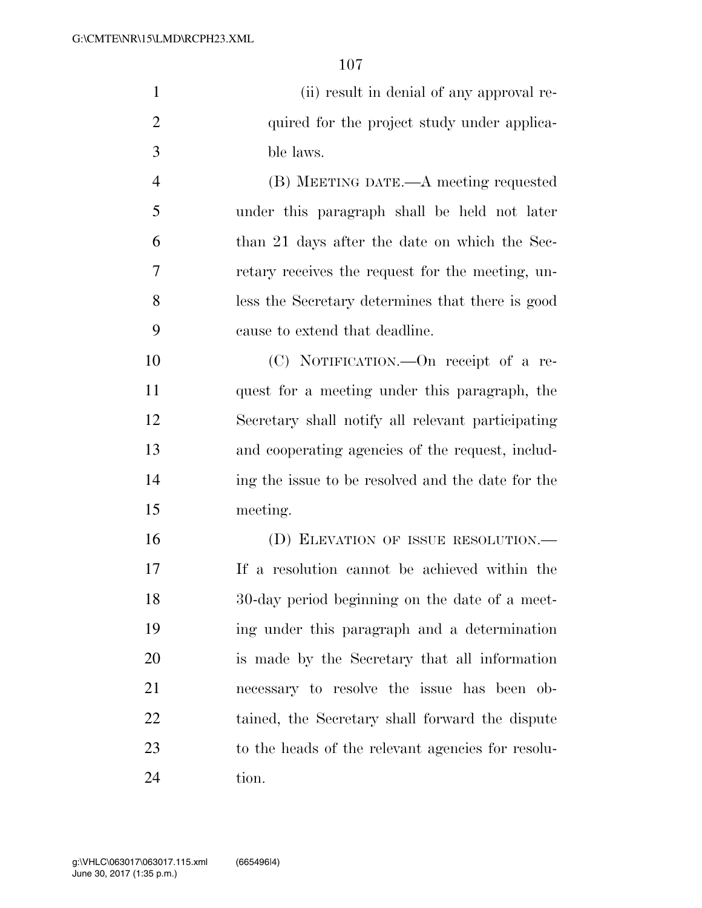|                | T O L                                             |
|----------------|---------------------------------------------------|
| $\mathbf{1}$   | (ii) result in denial of any approval re-         |
| $\overline{2}$ | quired for the project study under applica-       |
| 3              | ble laws.                                         |
| 4              | (B) MEETING DATE.—A meeting requested             |
| 5              | under this paragraph shall be held not later      |
| 6              | than 21 days after the date on which the Sec-     |
| 7              | retary receives the request for the meeting, un-  |
| 8              | less the Secretary determines that there is good  |
| 9              | cause to extend that deadline.                    |
| 10             | (C) NOTIFICATION.—On receipt of a re-             |
| 11             | quest for a meeting under this paragraph, the     |
| 12             | Secretary shall notify all relevant participating |
| 13             | and cooperating agencies of the request, includ-  |
| 14             | ing the issue to be resolved and the date for the |
| 15             | meeting.                                          |
|                |                                                   |

16 (D) ELEVATION OF ISSUE RESOLUTION.— If a resolution cannot be achieved within the 30-day period beginning on the date of a meet- ing under this paragraph and a determination is made by the Secretary that all information necessary to resolve the issue has been ob- tained, the Secretary shall forward the dispute to the heads of the relevant agencies for resolu-tion.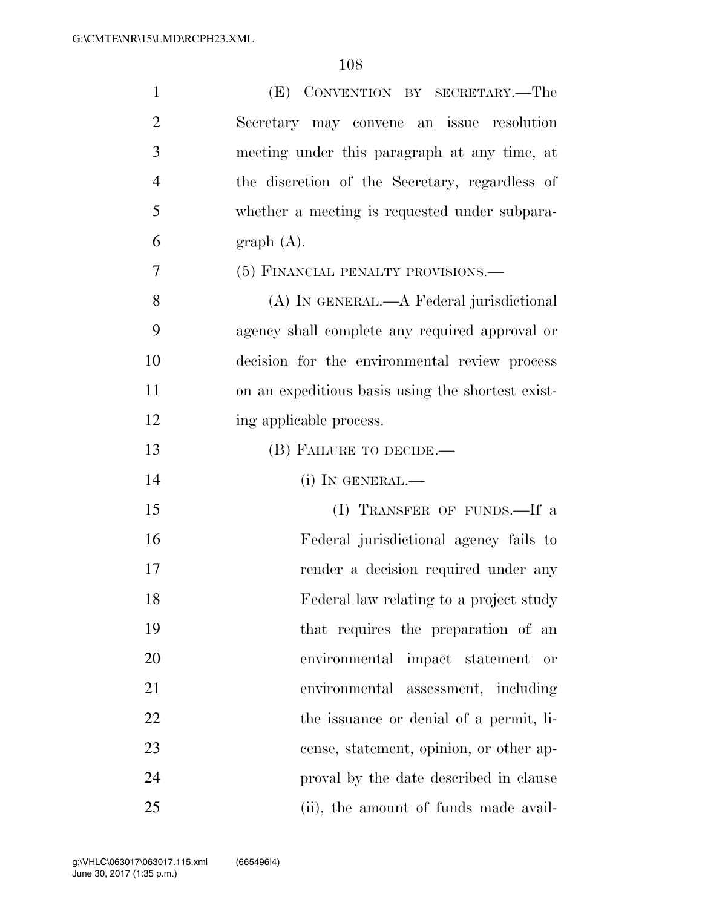| $\mathbf{1}$   | (E) CONVENTION BY SECRETARY.—The                  |
|----------------|---------------------------------------------------|
| $\overline{2}$ | Secretary may convene an issue resolution         |
| 3              | meeting under this paragraph at any time, at      |
| $\overline{4}$ | the discretion of the Secretary, regardless of    |
| 5              | whether a meeting is requested under subpara-     |
| 6              | graph(A).                                         |
| 7              | (5) FINANCIAL PENALTY PROVISIONS.—                |
| 8              | (A) IN GENERAL.—A Federal jurisdictional          |
| 9              | agency shall complete any required approval or    |
| 10             | decision for the environmental review process     |
| 11             | on an expeditious basis using the shortest exist- |
| 12             | ing applicable process.                           |
| 13             | (B) FAILURE TO DECIDE.—                           |
| 14             | $(i)$ In GENERAL.—                                |
| 15             | (I) TRANSFER OF FUNDS.—If a                       |
| 16             | Federal jurisdictional agency fails to            |
| 17             | render a decision required under any              |
| 18             | Federal law relating to a project study           |
| 19             | that requires the preparation of an               |
| 20             | environmental impact statement<br>or              |
| 21             | environmental assessment, including               |
| 22             | the issuance or denial of a permit, li-           |
| 23             | cense, statement, opinion, or other ap-           |
| 24             | proval by the date described in clause            |
| 25             | (ii), the amount of funds made avail-             |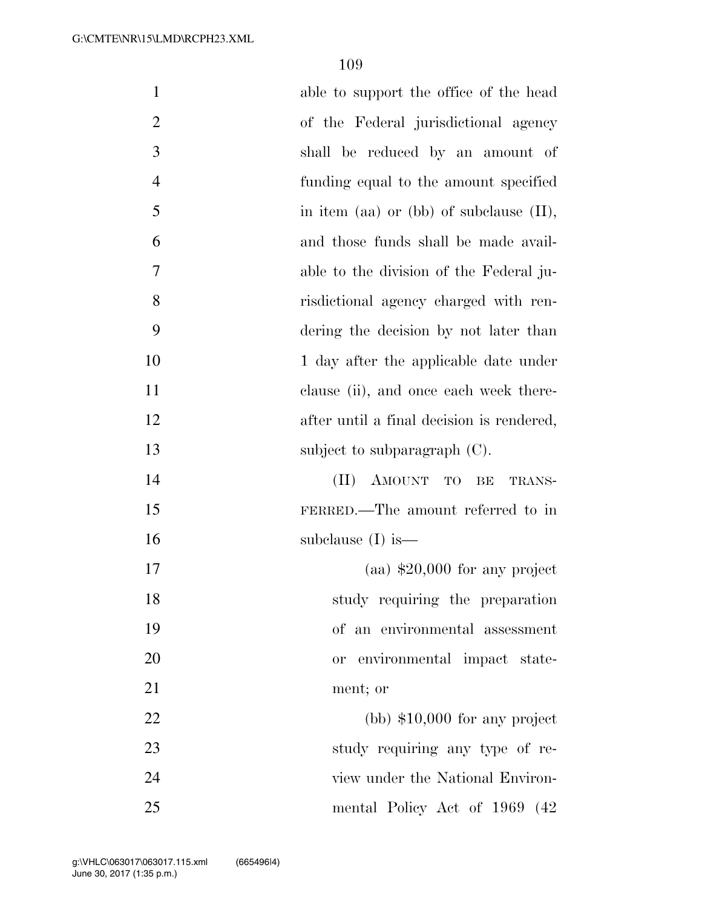| $\mathbf{1}$   | able to support the office of the head     |
|----------------|--------------------------------------------|
| $\overline{2}$ | of the Federal jurisdictional agency       |
| 3              | shall be reduced by an amount of           |
| $\overline{4}$ | funding equal to the amount specified      |
| 5              | in item (aa) or (bb) of subclause $(II)$ , |
| 6              | and those funds shall be made avail-       |
| 7              | able to the division of the Federal ju-    |
| 8              | risdictional agency charged with ren-      |
| 9              | dering the decision by not later than      |
| 10             | 1 day after the applicable date under      |
| 11             | clause (ii), and once each week there-     |
| 12             | after until a final decision is rendered,  |
| 13             | subject to subparagraph $(C)$ .            |
| 14             | (II) AMOUNT TO BE<br>TRANS-                |
| 15             | FERRED.—The amount referred to in          |
| 16             | subclause $(I)$ is —                       |
| 17             | $\alpha$ (aa) \$20,000 for any project     |
| 18             | study requiring the preparation            |
| 19             | of an environmental assessment             |
| 20             | environmental impact state-<br><b>or</b>   |
| 21             | ment; or                                   |
| 22             | $(bb)$ \$10,000 for any project            |
| 23             | study requiring any type of re-            |
| 24             | view under the National Environ-           |
| 25             | mental Policy Act of 1969 (42)             |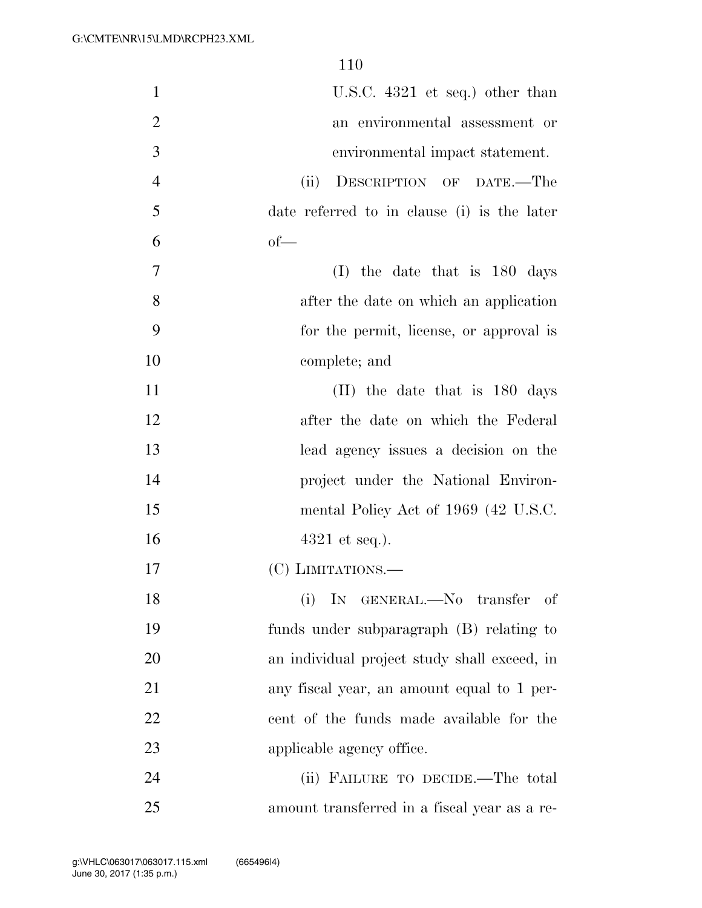| $\mathbf{1}$   | U.S.C. $4321$ et seq.) other than            |
|----------------|----------------------------------------------|
| $\overline{2}$ | an environmental assessment or               |
| 3              | environmental impact statement.              |
| $\overline{4}$ | DESCRIPTION OF DATE.-The<br>(ii)             |
| 5              | date referred to in clause (i) is the later  |
| 6              | $of$ —                                       |
| 7              | the date that is 180 days<br>(I)             |
| 8              | after the date on which an application       |
| 9              | for the permit, license, or approval is      |
| 10             | complete; and                                |
| 11             | (II) the date that is 180 days               |
| 12             | after the date on which the Federal          |
| 13             | lead agency issues a decision on the         |
| 14             | project under the National Environ-          |
| 15             | mental Policy Act of 1969 (42 U.S.C.         |
| 16             | $4321$ et seq.).                             |
| 17             | (C) LIMITATIONS.—                            |
| 18             | IN GENERAL.—No transfer of<br>(i)            |
| 19             | funds under subparagraph (B) relating to     |
| 20             | an individual project study shall exceed, in |
| 21             | any fiscal year, an amount equal to 1 per-   |
| 22             | cent of the funds made available for the     |
| 23             | applicable agency office.                    |
| 24             | (ii) FAILURE TO DECIDE.—The total            |
| 25             | amount transferred in a fiscal year as a re- |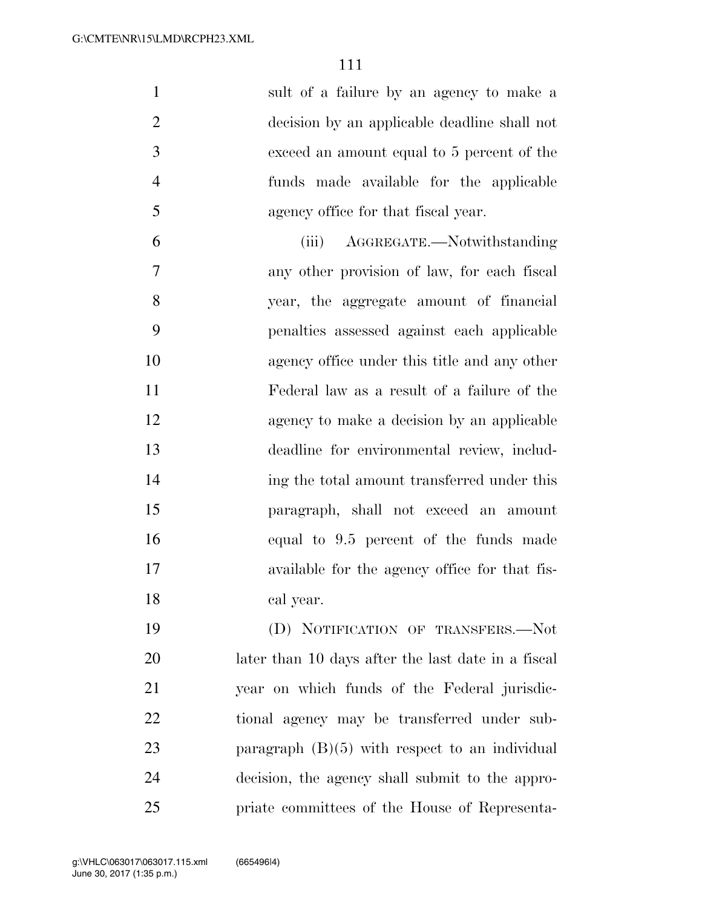| $\mathbf{1}$   | sult of a failure by an agency to make a      |
|----------------|-----------------------------------------------|
| $\overline{2}$ | decision by an applicable deadline shall not  |
| 3              | exceed an amount equal to 5 percent of the    |
| $\overline{4}$ | funds made available for the applicable       |
| 5              | agency office for that fiscal year.           |
| 6              | AGGREGATE.—Notwithstanding<br>(iii)           |
| 7              | any other provision of law, for each fiscal   |
| 8              | year, the aggregate amount of financial       |
| 9              | penalties assessed against each applicable    |
| 10             | agency office under this title and any other  |
| 11             | Federal law as a result of a failure of the   |
| 12             | agency to make a decision by an applicable    |
| 13             | deadline for environmental review, includ-    |
| 14             | ing the total amount transferred under this   |
| 15             | paragraph, shall not exceed an amount         |
| 16             | equal to 9.5 percent of the funds made        |
| 17             | available for the agency office for that fis- |
| 18             | cal year.                                     |
| 19             | (D) NOTIFICATION OF TRANSFERS.-Not            |

 later than 10 days after the last date in a fiscal year on which funds of the Federal jurisdic- tional agency may be transferred under sub-23 paragraph (B)(5) with respect to an individual decision, the agency shall submit to the appro-priate committees of the House of Representa-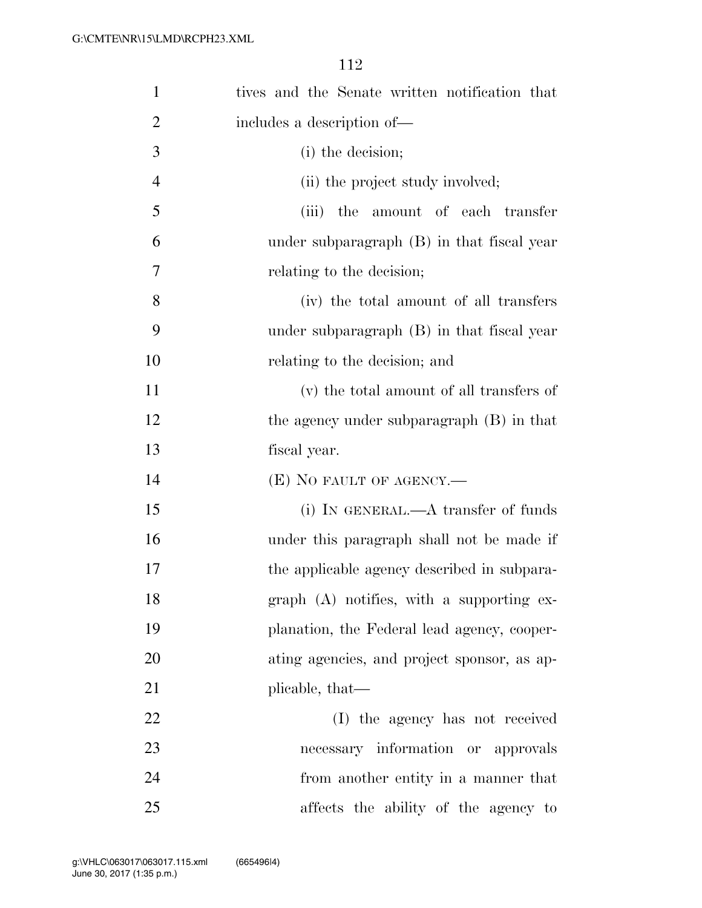| $\mathbf{1}$   | tives and the Senate written notification that |
|----------------|------------------------------------------------|
| $\overline{2}$ | includes a description of—                     |
| 3              | (i) the decision;                              |
| $\overline{4}$ | (ii) the project study involved;               |
| 5              | (iii) the amount of each transfer              |
| 6              | under subparagraph $(B)$ in that fiscal year   |
| 7              | relating to the decision;                      |
| 8              | (iv) the total amount of all transfers         |
| 9              | under subparagraph $(B)$ in that fiscal year   |
| 10             | relating to the decision; and                  |
| 11             | (v) the total amount of all transfers of       |
| 12             | the agency under subparagraph (B) in that      |
| 13             | fiscal year.                                   |
| 14             | $(E)$ NO FAULT OF AGENCY.—                     |
| 15             | (i) IN GENERAL.— $A$ transfer of funds         |
| 16             | under this paragraph shall not be made if      |
| 17             | the applicable agency described in subpara-    |
| 18             | $graph$ (A) notifies, with a supporting ex-    |
| 19             | planation, the Federal lead agency, cooper-    |
| 20             | ating agencies, and project sponsor, as ap-    |
| 21             | plicable, that—                                |
| 22             | (I) the agency has not received                |
| 23             | necessary information or approvals             |
| 24             | from another entity in a manner that           |
| 25             | affects the ability of the agency to           |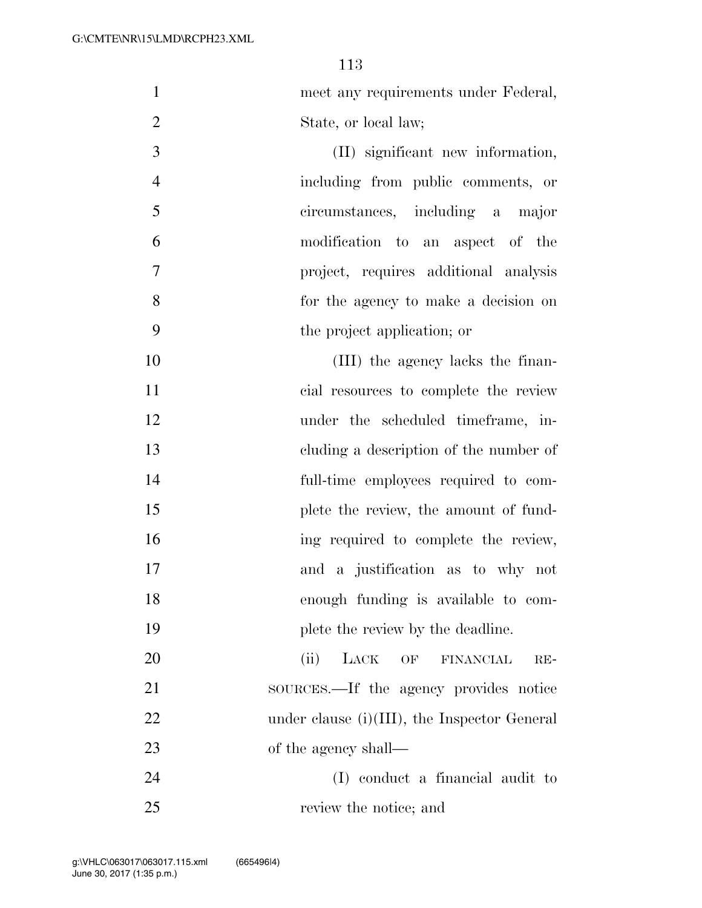| meet any requirements under Federal, |
|--------------------------------------|
| State, or local law;                 |

 (II) significant new information, including from public comments, or circumstances, including a major modification to an aspect of the project, requires additional analysis for the agency to make a decision on the project application; or

10 (III) the agency lacks the finan- cial resources to complete the review 12 under the scheduled timeframe, in- cluding a description of the number of full-time employees required to com-15 plete the review, the amount of fund- ing required to complete the review, and a justification as to why not enough funding is available to com-19 plete the review by the deadline.

 (ii) LACK OF FINANCIAL RE- SOURCES.—If the agency provides notice 22 under clause (i)(III), the Inspector General 23 of the agency shall—

 (I) conduct a financial audit to review the notice; and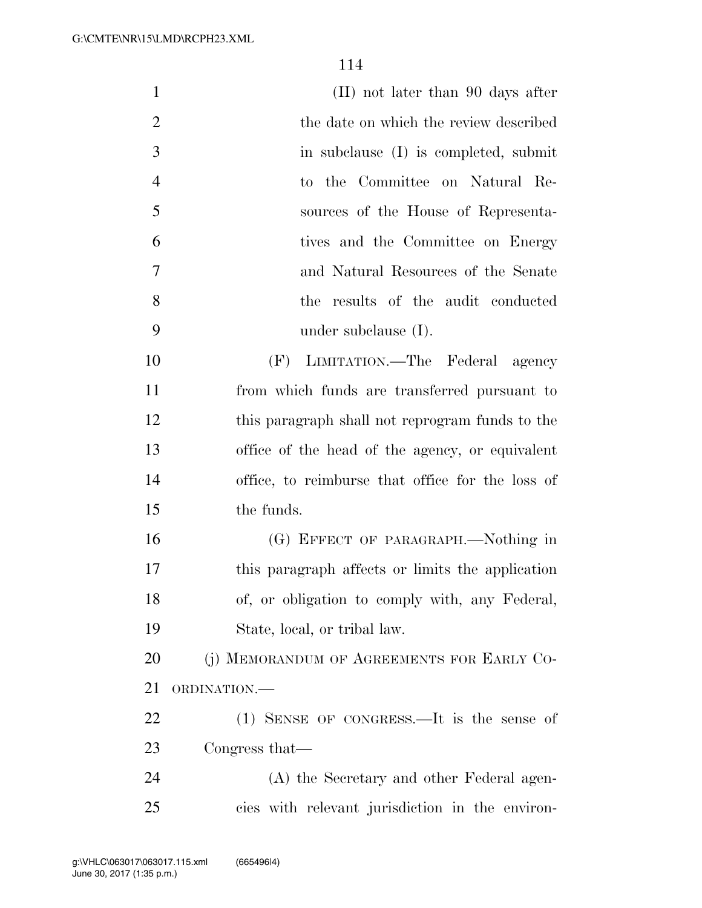| $\mathbf{1}$   | $(II)$ not later than 90 days after              |
|----------------|--------------------------------------------------|
| $\overline{2}$ | the date on which the review described           |
| 3              | in subclause (I) is completed, submit            |
| $\overline{4}$ | to the Committee on Natural Re-                  |
| 5              | sources of the House of Representa-              |
| 6              | tives and the Committee on Energy                |
| 7              | and Natural Resources of the Senate              |
| 8              | the results of the audit conducted               |
| 9              | under subclause $(I)$ .                          |
| 10             | (F) LIMITATION.—The Federal agency               |
| 11             | from which funds are transferred pursuant to     |
| 12             | this paragraph shall not reprogram funds to the  |
| 13             | office of the head of the agency, or equivalent  |
| 14             | office, to reimburse that office for the loss of |
| 15             | the funds.                                       |
| 16             | (G) EFFECT OF PARAGRAPH.—Nothing in              |
| 17             | this paragraph affects or limits the application |
| 18             | of, or obligation to comply with, any Federal,   |
| 19             | State, local, or tribal law.                     |
| 20             | (j) MEMORANDUM OF AGREEMENTS FOR EARLY CO-       |
| 21             | ORDINATION.-                                     |
| 22             | $(1)$ SENSE OF CONGRESS.—It is the sense of      |
| 23             | Congress that—                                   |
| 24             | (A) the Secretary and other Federal agen-        |
| 25             | cies with relevant jurisdiction in the environ-  |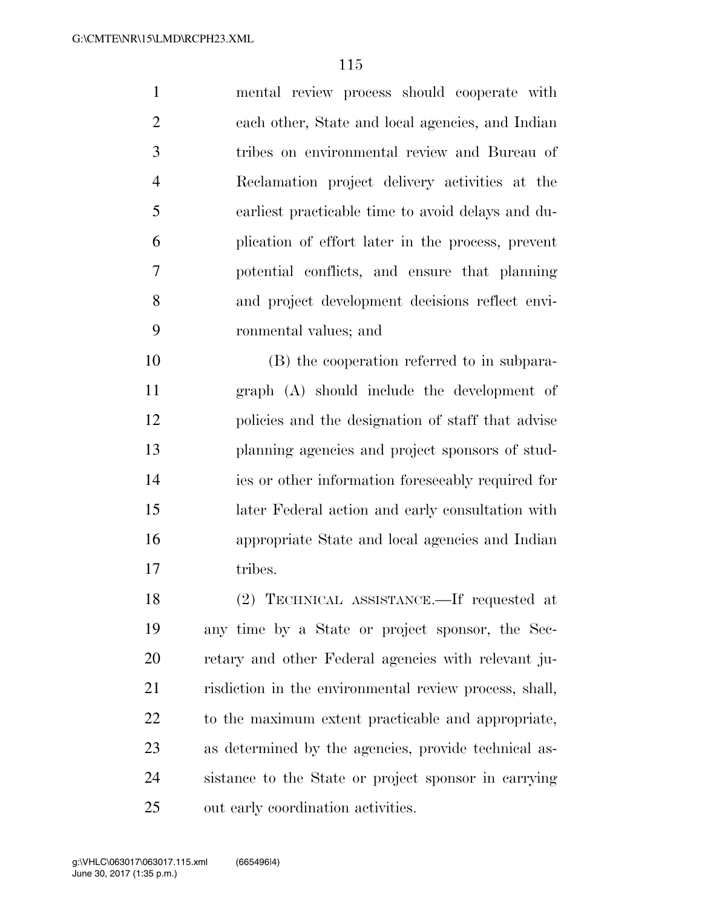mental review process should cooperate with each other, State and local agencies, and Indian tribes on environmental review and Bureau of Reclamation project delivery activities at the earliest practicable time to avoid delays and du- plication of effort later in the process, prevent potential conflicts, and ensure that planning and project development decisions reflect envi-ronmental values; and

 (B) the cooperation referred to in subpara- graph (A) should include the development of policies and the designation of staff that advise planning agencies and project sponsors of stud- ies or other information foreseeably required for later Federal action and early consultation with appropriate State and local agencies and Indian 17 tribes.

 (2) TECHNICAL ASSISTANCE.—If requested at any time by a State or project sponsor, the Sec- retary and other Federal agencies with relevant ju- risdiction in the environmental review process, shall, to the maximum extent practicable and appropriate, as determined by the agencies, provide technical as- sistance to the State or project sponsor in carrying out early coordination activities.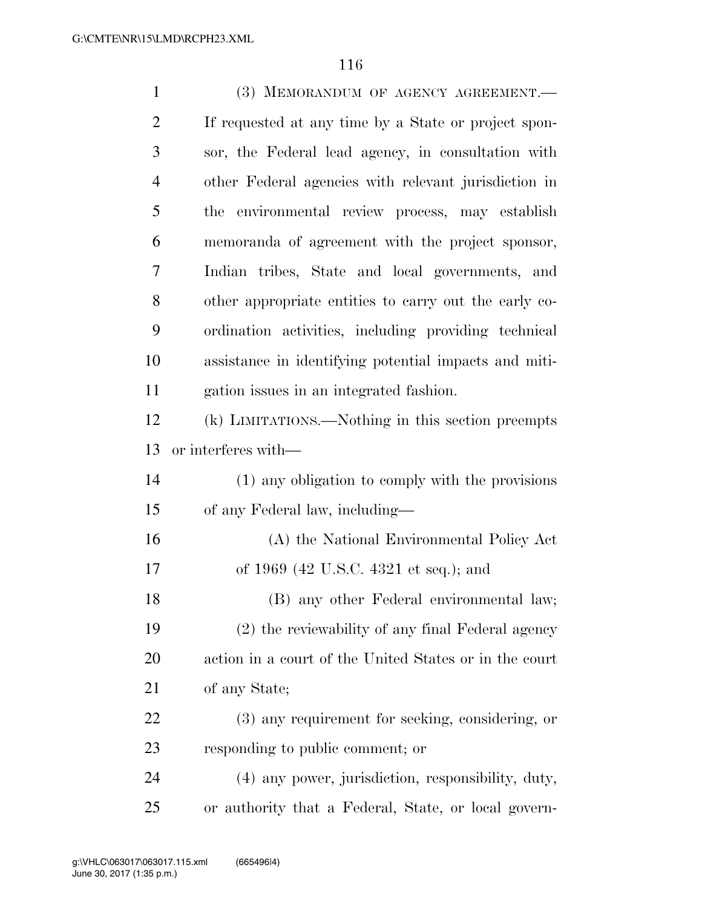| $\mathbf{1}$   | (3) MEMORANDUM OF AGENCY AGREEMENT.                    |
|----------------|--------------------------------------------------------|
| $\overline{2}$ | If requested at any time by a State or project spon-   |
| 3              | sor, the Federal lead agency, in consultation with     |
| $\overline{4}$ | other Federal agencies with relevant jurisdiction in   |
| 5              | environmental review process, may establish<br>the     |
| 6              | memoranda of agreement with the project sponsor,       |
| 7              | Indian tribes, State and local governments, and        |
| 8              | other appropriate entities to carry out the early co-  |
| 9              | ordination activities, including providing technical   |
| 10             | assistance in identifying potential impacts and miti-  |
| 11             | gation issues in an integrated fashion.                |
| 12             | (k) LIMITATIONS.—Nothing in this section preempts      |
| 13             | or interferes with—                                    |
| 14             | (1) any obligation to comply with the provisions       |
| 15             | of any Federal law, including—                         |
| 16             | (A) the National Environmental Policy Act              |
| 17             | of 1969 (42 U.S.C. 4321 et seq.); and                  |
| 18             | (B) any other Federal environmental law;               |
| 19             | (2) the reviewability of any final Federal agency      |
| 20             | action in a court of the United States or in the court |
| 21             | of any State;                                          |
| 22             | (3) any requirement for seeking, considering, or       |
| 23             | responding to public comment; or                       |
| 24             | (4) any power, jurisdiction, responsibility, duty,     |
| 25             | or authority that a Federal, State, or local govern-   |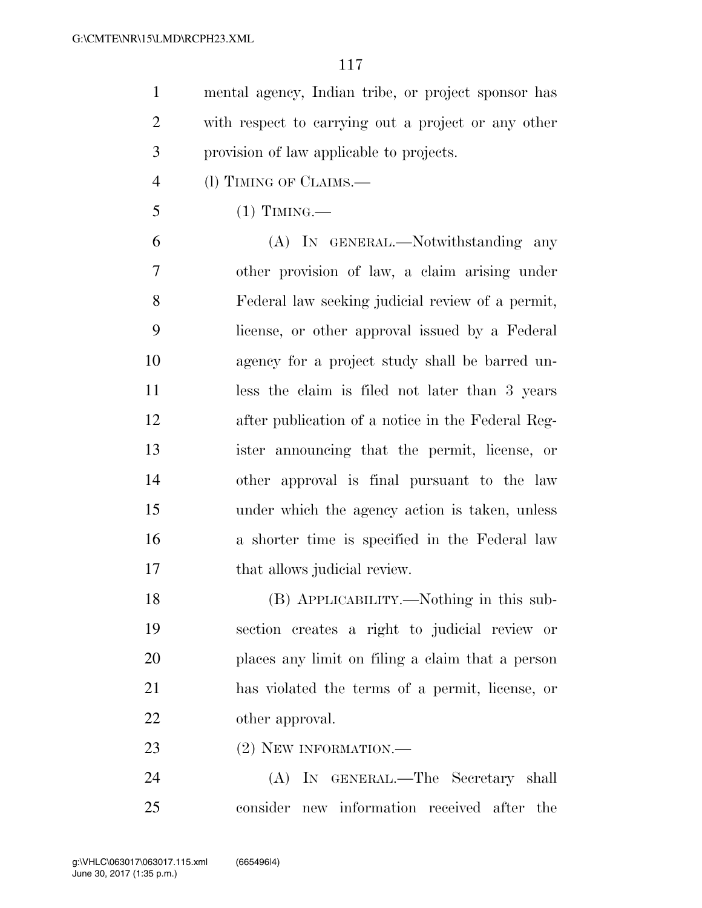mental agency, Indian tribe, or project sponsor has with respect to carrying out a project or any other provision of law applicable to projects.

- (l) TIMING OF CLAIMS.—
- (1) TIMING.—

 (A) IN GENERAL.—Notwithstanding any other provision of law, a claim arising under Federal law seeking judicial review of a permit, license, or other approval issued by a Federal agency for a project study shall be barred un-11 less the claim is filed not later than 3 years after publication of a notice in the Federal Reg- ister announcing that the permit, license, or other approval is final pursuant to the law under which the agency action is taken, unless a shorter time is specified in the Federal law 17 that allows judicial review.

 (B) APPLICABILITY.—Nothing in this sub- section creates a right to judicial review or places any limit on filing a claim that a person has violated the terms of a permit, license, or other approval.

23 (2) NEW INFORMATION.

 (A) IN GENERAL.—The Secretary shall consider new information received after the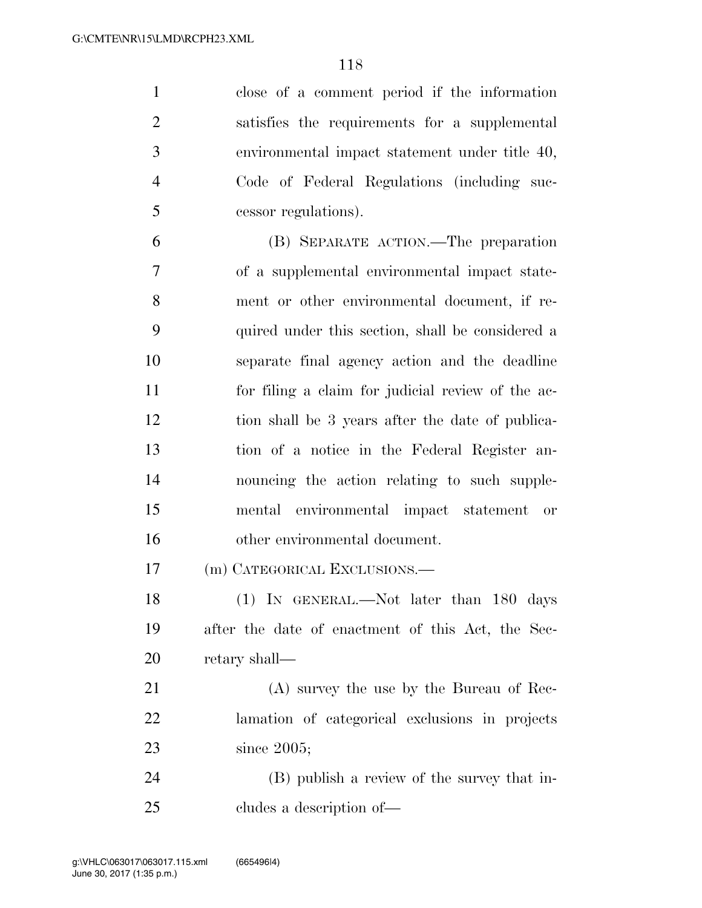close of a comment period if the information satisfies the requirements for a supplemental environmental impact statement under title 40, Code of Federal Regulations (including suc-cessor regulations).

 (B) SEPARATE ACTION.—The preparation of a supplemental environmental impact state- ment or other environmental document, if re- quired under this section, shall be considered a separate final agency action and the deadline for filing a claim for judicial review of the ac- tion shall be 3 years after the date of publica- tion of a notice in the Federal Register an- nouncing the action relating to such supple- mental environmental impact statement or other environmental document.

(m) CATEGORICAL EXCLUSIONS.—

18 (1) IN GENERAL.—Not later than 180 days after the date of enactment of this Act, the Sec-retary shall—

 (A) survey the use by the Bureau of Rec- lamation of categorical exclusions in projects since 2005;

 (B) publish a review of the survey that in-cludes a description of—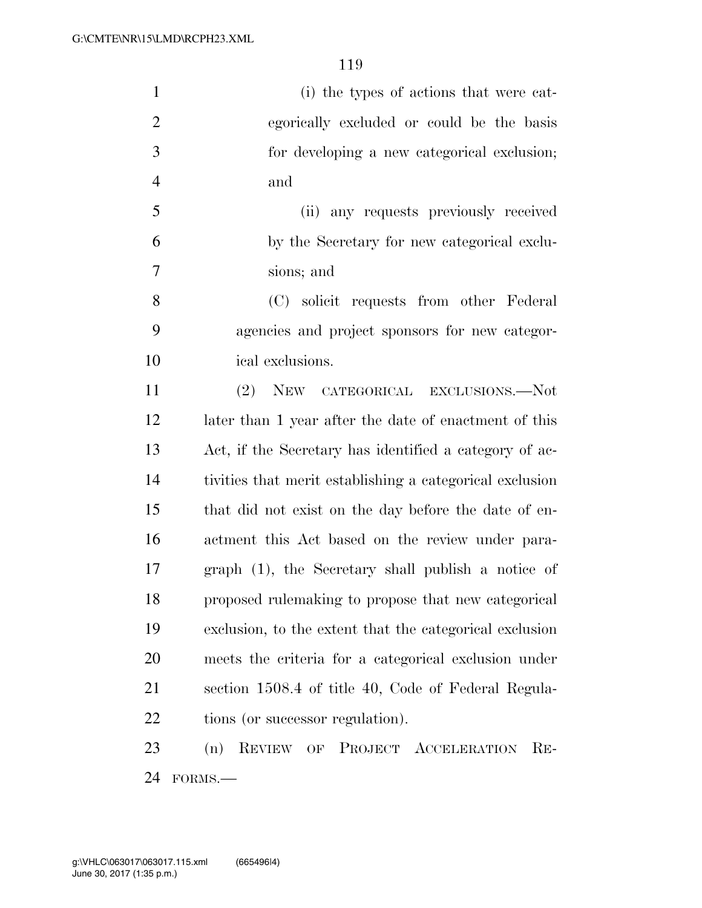| $\mathbf{1}$   | (i) the types of actions that were cat-                  |
|----------------|----------------------------------------------------------|
| $\overline{2}$ | egorically excluded or could be the basis                |
| 3              | for developing a new categorical exclusion;              |
| $\overline{4}$ | and                                                      |
| 5              | (ii) any requests previously received                    |
| 6              | by the Secretary for new categorical exclu-              |
| 7              | sions; and                                               |
| 8              | (C) solicit requests from other Federal                  |
| 9              | agencies and project sponsors for new categor-           |
| 10             | ical exclusions.                                         |
| 11             | (2)<br>NEW CATEGORICAL EXCLUSIONS.--Not                  |
| 12             | later than 1 year after the date of enactment of this    |
| 13             | Act, if the Secretary has identified a category of ac-   |
| 14             | tivities that merit establishing a categorical exclusion |
| 15             | that did not exist on the day before the date of en-     |
| 16             | actment this Act based on the review under para-         |
| 17             | graph (1), the Secretary shall publish a notice of       |
| 18             | proposed rulemaking to propose that new categorical      |
| 19             | exclusion, to the extent that the categorical exclusion  |
| 20             | meets the criteria for a categorical exclusion under     |
| 21             | section 1508.4 of title 40, Code of Federal Regula-      |
| 22             | tions (or successor regulation).                         |
| 23             | REVIEW OF PROJECT ACCELERATION<br>$RE-$<br>(n)           |
| 24             | FORMS.-                                                  |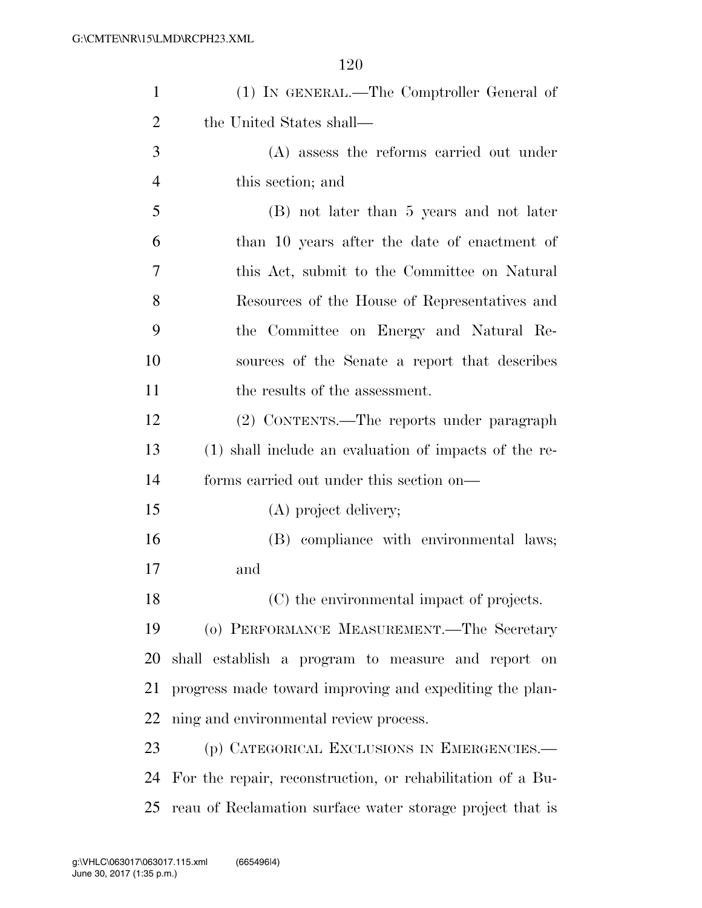| $\mathbf{1}$   | (1) IN GENERAL.—The Comptroller General of                 |
|----------------|------------------------------------------------------------|
| $\overline{2}$ | the United States shall—                                   |
| 3              | (A) assess the reforms carried out under                   |
| $\overline{4}$ | this section; and                                          |
| 5              | (B) not later than 5 years and not later                   |
| 6              | than 10 years after the date of enactment of               |
| 7              | this Act, submit to the Committee on Natural               |
| 8              | Resources of the House of Representatives and              |
| 9              | the Committee on Energy and Natural Re-                    |
| 10             | sources of the Senate a report that describes              |
| 11             | the results of the assessment.                             |
| 12             | (2) CONTENTS.—The reports under paragraph                  |
| 13             | (1) shall include an evaluation of impacts of the re-      |
| 14             | forms carried out under this section on—                   |
| 15             | (A) project delivery;                                      |
| 16             | (B) compliance with environmental laws;                    |
| 17             | and                                                        |
| 18             | (C) the environmental impact of projects.                  |
| 19             | (o) PERFORMANCE MEASUREMENT.—The Secretary                 |
| 20             | shall establish a program to measure and report on         |
| 21             | progress made toward improving and expediting the plan-    |
| 22             | ning and environmental review process.                     |
| 23             | (p) CATEGORICAL EXCLUSIONS IN EMERGENCIES.—                |
| 24             | For the repair, reconstruction, or rehabilitation of a Bu- |
| 25             | reau of Reclamation surface water storage project that is  |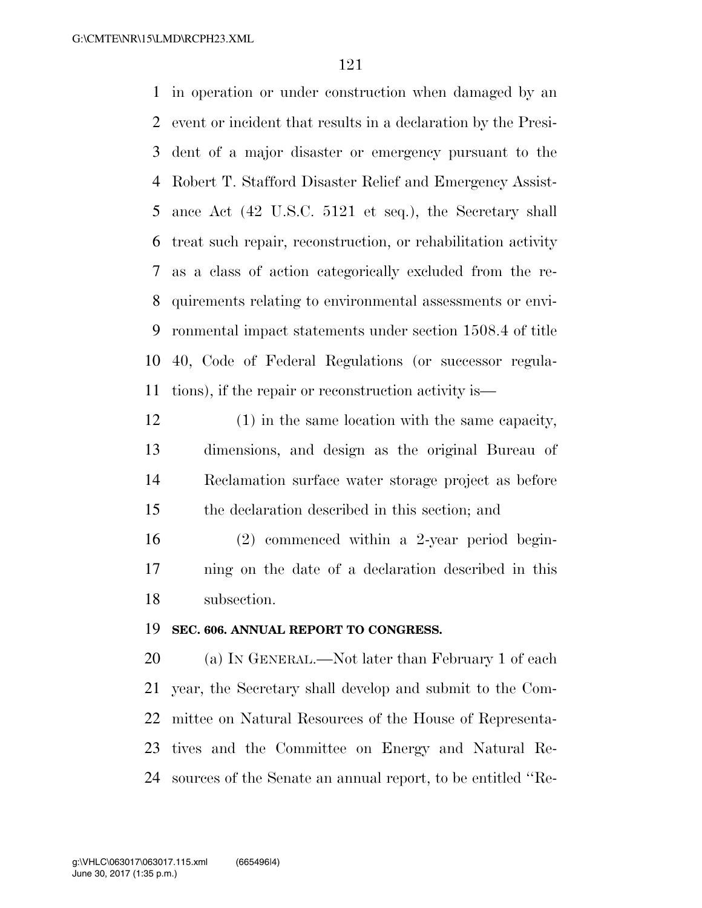in operation or under construction when damaged by an event or incident that results in a declaration by the Presi- dent of a major disaster or emergency pursuant to the Robert T. Stafford Disaster Relief and Emergency Assist- ance Act (42 U.S.C. 5121 et seq.), the Secretary shall treat such repair, reconstruction, or rehabilitation activity as a class of action categorically excluded from the re- quirements relating to environmental assessments or envi- ronmental impact statements under section 1508.4 of title 40, Code of Federal Regulations (or successor regula-tions), if the repair or reconstruction activity is—

 (1) in the same location with the same capacity, dimensions, and design as the original Bureau of Reclamation surface water storage project as before the declaration described in this section; and

 (2) commenced within a 2-year period begin- ning on the date of a declaration described in this subsection.

#### **SEC. 606. ANNUAL REPORT TO CONGRESS.**

 (a) IN GENERAL.—Not later than February 1 of each year, the Secretary shall develop and submit to the Com- mittee on Natural Resources of the House of Representa- tives and the Committee on Energy and Natural Re-sources of the Senate an annual report, to be entitled ''Re-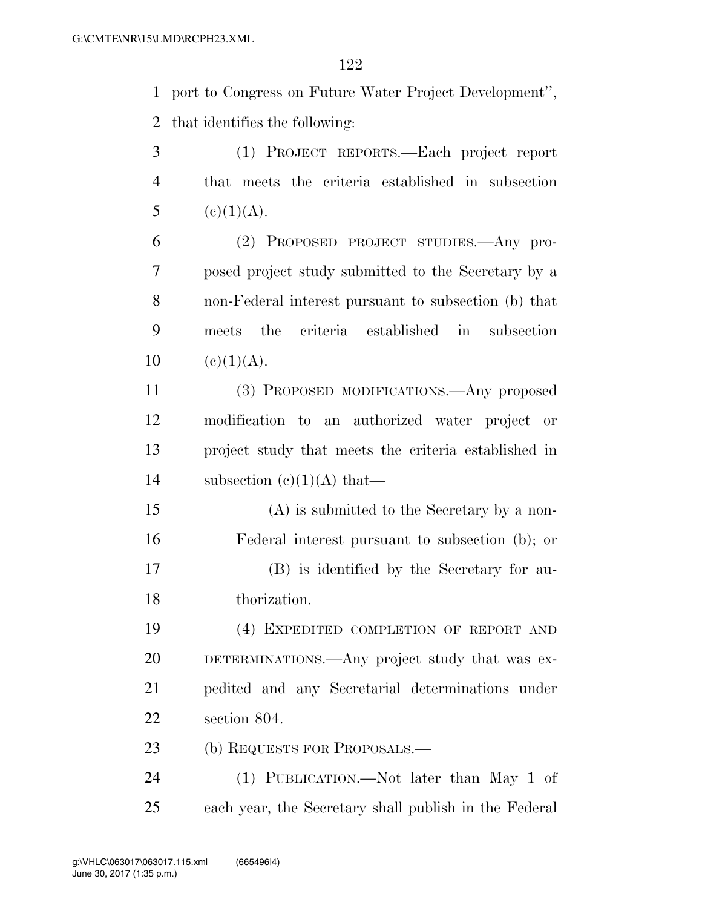port to Congress on Future Water Project Development'', that identifies the following:

 (1) PROJECT REPORTS.—Each project report that meets the criteria established in subsection 5 (e)(1)(A).

 (2) PROPOSED PROJECT STUDIES.—Any pro- posed project study submitted to the Secretary by a non-Federal interest pursuant to subsection (b) that meets the criteria established in subsection 10 (e)(1)(A).

 (3) PROPOSED MODIFICATIONS.—Any proposed modification to an authorized water project or project study that meets the criteria established in 14 subsection  $(c)(1)(A)$  that—

 (A) is submitted to the Secretary by a non- Federal interest pursuant to subsection (b); or (B) is identified by the Secretary for au-thorization.

 (4) EXPEDITED COMPLETION OF REPORT AND DETERMINATIONS.—Any project study that was ex- pedited and any Secretarial determinations under section 804.

23 (b) REQUESTS FOR PROPOSALS.—

 (1) PUBLICATION.—Not later than May 1 of each year, the Secretary shall publish in the Federal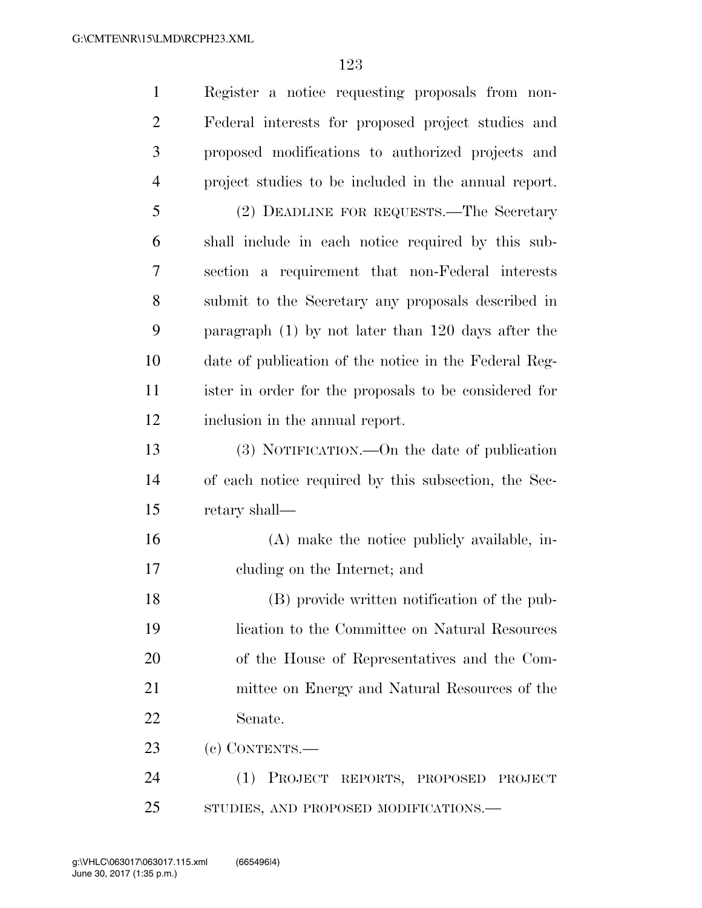| $\mathbf{1}$   | Register a notice requesting proposals from non-      |
|----------------|-------------------------------------------------------|
| $\overline{2}$ | Federal interests for proposed project studies and    |
| 3              | proposed modifications to authorized projects and     |
| $\overline{4}$ | project studies to be included in the annual report.  |
| 5              | (2) DEADLINE FOR REQUESTS.—The Secretary              |
| 6              | shall include in each notice required by this sub-    |
| 7              | section a requirement that non-Federal interests      |
| 8              | submit to the Secretary any proposals described in    |
| 9              | paragraph $(1)$ by not later than 120 days after the  |
| 10             | date of publication of the notice in the Federal Reg- |
| 11             | ister in order for the proposals to be considered for |
| 12             | inclusion in the annual report.                       |
| 13             | (3) NOTIFICATION.—On the date of publication          |
| 14             | of each notice required by this subsection, the Sec-  |
| 15             | retary shall—                                         |
| 16             | (A) make the notice publicly available, in-           |
| 17             | cluding on the Internet; and                          |
| 18             | (B) provide written notification of the pub-          |
| 19             | lication to the Committee on Natural Resources        |
| 20             | of the House of Representatives and the Com-          |
| 21             | mittee on Energy and Natural Resources of the         |
| 22             | Senate.                                               |
| 23             | (c) CONTENTS.—                                        |
| 24             | PROJECT REPORTS, PROPOSED PROJECT<br>(1)              |
| 25             | STUDIES, AND PROPOSED MODIFICATIONS.-                 |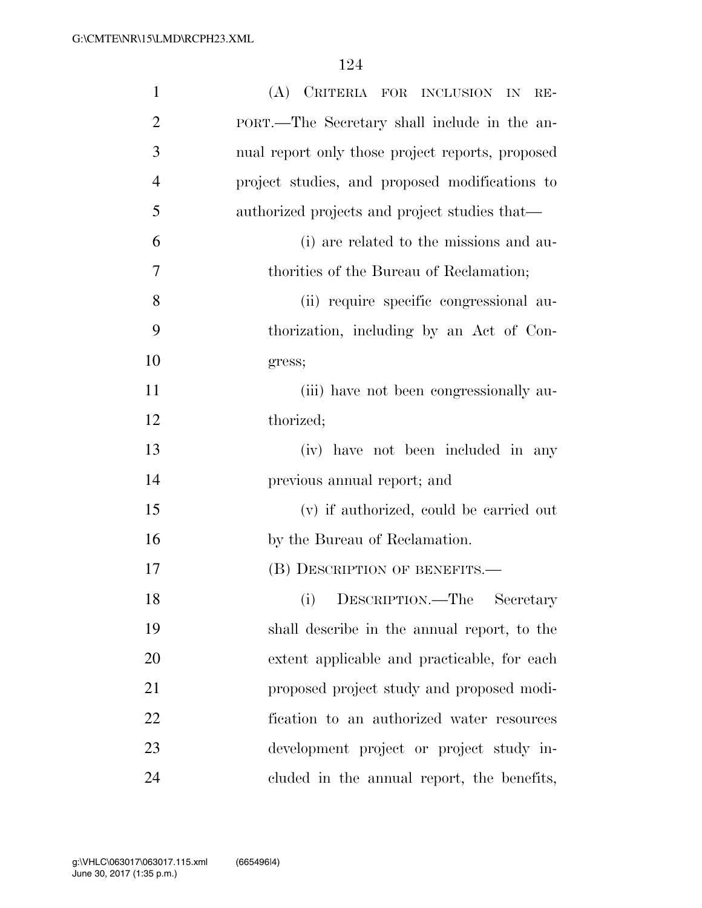| $\mathbf{1}$   | (A) CRITERIA FOR INCLUSION IN<br>$RE-$           |
|----------------|--------------------------------------------------|
| $\overline{2}$ | PORT.—The Secretary shall include in the an-     |
| 3              | nual report only those project reports, proposed |
| $\overline{4}$ | project studies, and proposed modifications to   |
| 5              | authorized projects and project studies that—    |
| 6              | (i) are related to the missions and au-          |
| 7              | thorities of the Bureau of Reclamation;          |
| 8              | (ii) require specific congressional au-          |
| 9              | thorization, including by an Act of Con-         |
| 10             | gress;                                           |
| 11             | (iii) have not been congressionally au-          |
| 12             | thorized;                                        |
| 13             | (iv) have not been included in any               |
| 14             | previous annual report; and                      |
| 15             | (v) if authorized, could be carried out          |
| 16             | by the Bureau of Reclamation.                    |
| 17             | (B) DESCRIPTION OF BENEFITS.—                    |
| 18             | DESCRIPTION.—The<br>(i)<br>Secretary             |
| 19             | shall describe in the annual report, to the      |
| 20             | extent applicable and practicable, for each      |
| 21             | proposed project study and proposed modi-        |
| 22             | fication to an authorized water resources        |
| 23             | development project or project study in-         |
| 24             | cluded in the annual report, the benefits,       |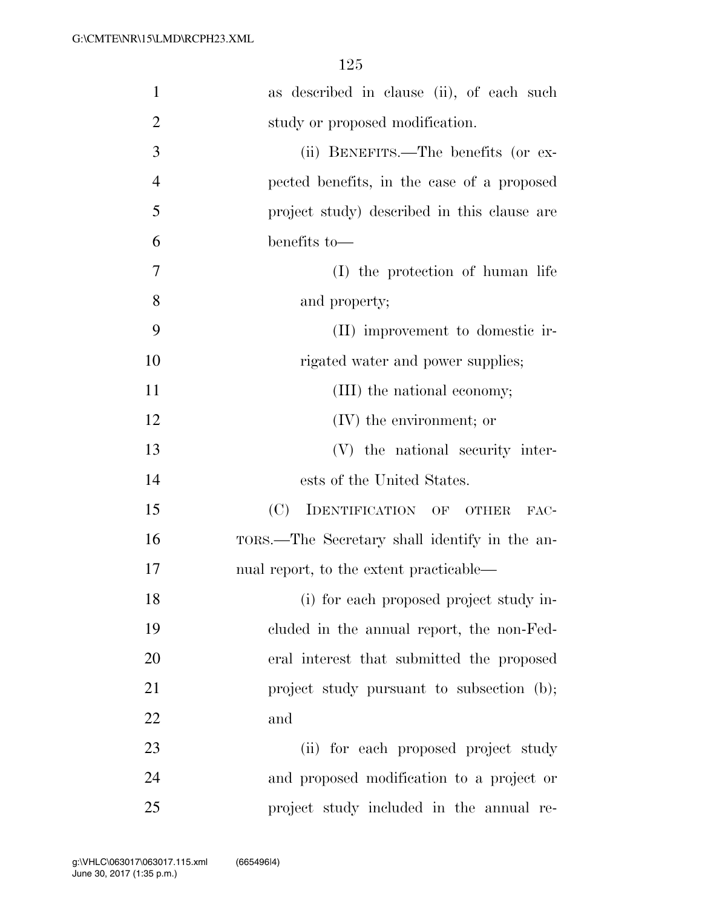| $\mathbf{1}$   | as described in clause (ii), of each such     |
|----------------|-----------------------------------------------|
| $\overline{2}$ | study or proposed modification.               |
| 3              | (ii) BENEFITS.—The benefits (or ex-           |
| $\overline{4}$ | pected benefits, in the case of a proposed    |
| 5              | project study) described in this clause are   |
| 6              | benefits to-                                  |
| 7              | (I) the protection of human life              |
| 8              | and property;                                 |
| 9              | (II) improvement to domestic ir-              |
| 10             | rigated water and power supplies;             |
| 11             | (III) the national economy;                   |
| 12             | $(IV)$ the environment; or                    |
| 13             | (V) the national security inter-              |
| 14             | ests of the United States.                    |
| 15             | (C)<br>IDENTIFICATION OF OTHER<br>FAC-        |
| 16             | TORS.—The Secretary shall identify in the an- |
| 17             | nual report, to the extent practicable—       |
| 18             | (i) for each proposed project study in-       |
| 19             | cluded in the annual report, the non-Fed-     |
| 20             | eral interest that submitted the proposed     |
| 21             | project study pursuant to subsection (b);     |
| 22             | and                                           |
| 23             | (ii) for each proposed project study          |
| 24             | and proposed modification to a project or     |
| 25             | project study included in the annual re-      |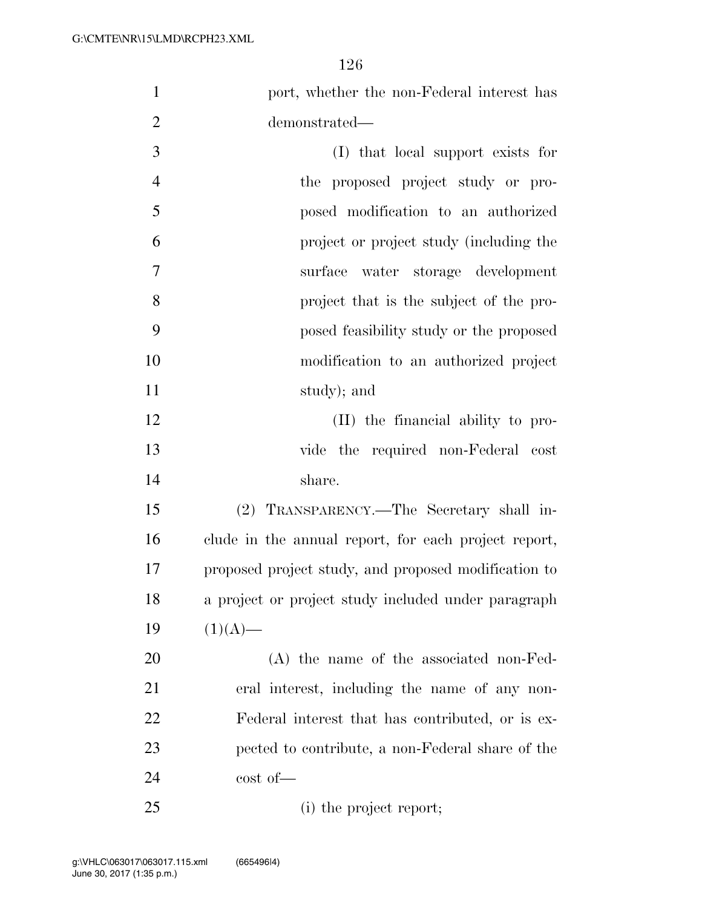| $\mathbf{1}$   | port, whether the non-Federal interest has           |
|----------------|------------------------------------------------------|
| $\overline{2}$ | demonstrated—                                        |
| 3              | (I) that local support exists for                    |
| $\overline{4}$ | the proposed project study or pro-                   |
| 5              | posed modification to an authorized                  |
| 6              | project or project study (including the              |
| $\overline{7}$ | surface water storage development                    |
| 8              | project that is the subject of the pro-              |
| 9              | posed feasibility study or the proposed              |
| 10             | modification to an authorized project                |
| 11             | study); and                                          |
| 12             | (II) the financial ability to pro-                   |
| 13             | vide the required non-Federal cost                   |
| 14             | share.                                               |
| 15             | (2) TRANSPARENCY.—The Secretary shall in-            |
| 16             | clude in the annual report, for each project report, |
| 17             | proposed project study, and proposed modification to |
| 18             | a project or project study included under paragraph  |
| 19             | $(1)(A)$ —                                           |
| 20             | $(A)$ the name of the associated non-Fed-            |
| 21             | eral interest, including the name of any non-        |
| 22             | Federal interest that has contributed, or is ex-     |
| 23             | pected to contribute, a non-Federal share of the     |
| 24             | $\cot$ of $\equiv$                                   |
| 25             | (i) the project report;                              |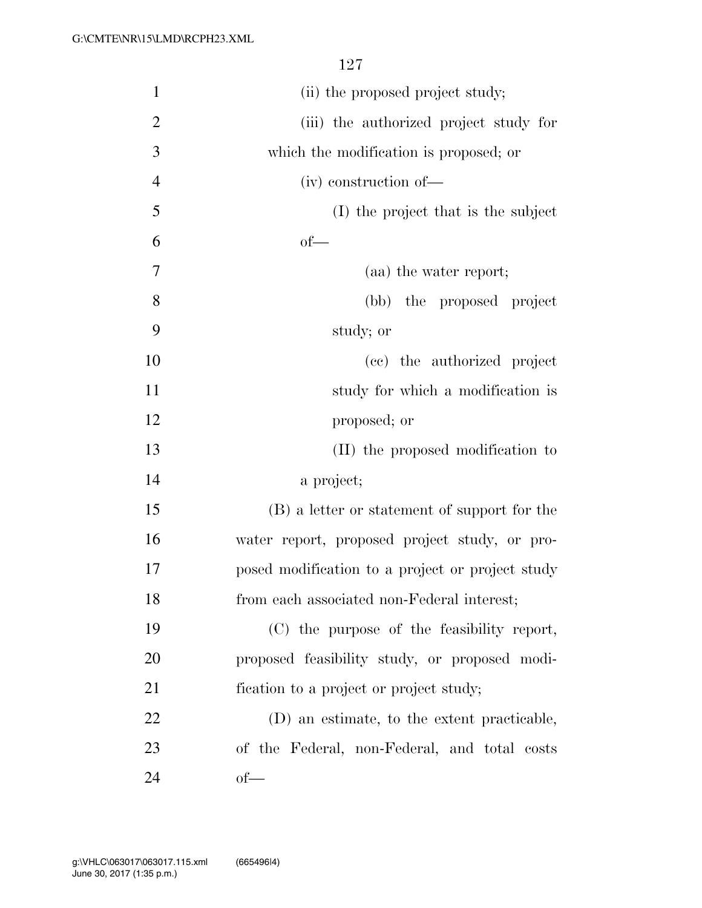| $\mathbf{1}$   | (ii) the proposed project study;                 |
|----------------|--------------------------------------------------|
| $\overline{2}$ | (iii) the authorized project study for           |
| 3              | which the modification is proposed; or           |
| $\overline{4}$ | (iv) construction of-                            |
| 5              | (I) the project that is the subject              |
| 6              | $of$ —                                           |
| 7              | (aa) the water report;                           |
| 8              | (bb) the proposed project                        |
| 9              | study; or                                        |
| 10             | (cc) the authorized project                      |
| 11             | study for which a modification is                |
| 12             | proposed; or                                     |
| 13             | (II) the proposed modification to                |
| 14             | a project;                                       |
| 15             | (B) a letter or statement of support for the     |
| 16             | water report, proposed project study, or pro-    |
| 17             | posed modification to a project or project study |
| 18             | from each associated non-Federal interest;       |
| 19             | (C) the purpose of the feasibility report,       |
| 20             | proposed feasibility study, or proposed modi-    |
| 21             | fication to a project or project study;          |
| 22             | (D) an estimate, to the extent practicable,      |
| 23             | of the Federal, non-Federal, and total costs     |
| 24             | $of$ —                                           |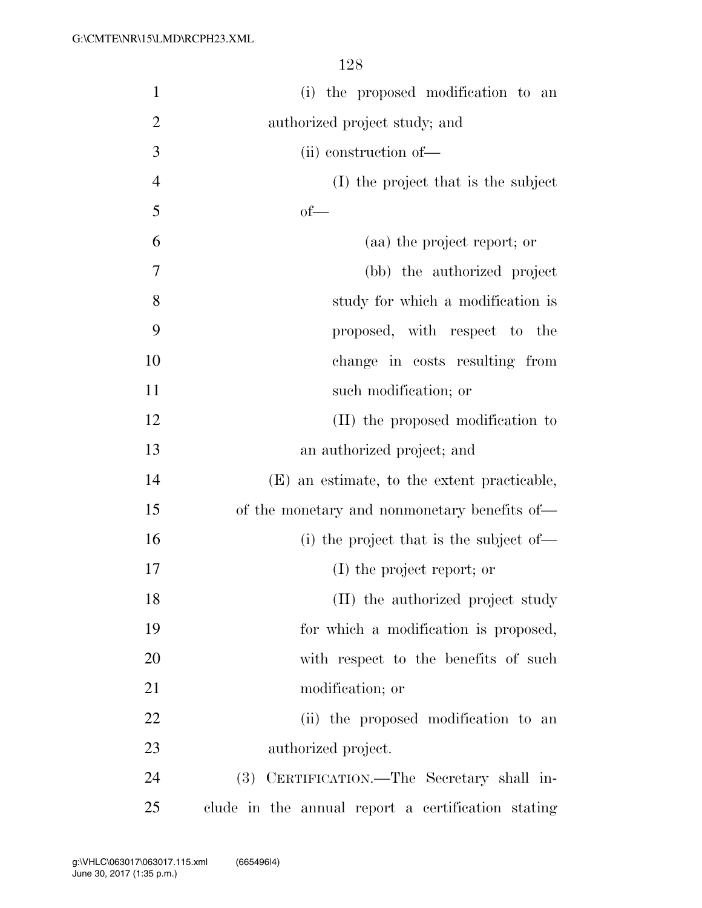| $\mathbf{1}$   | (i) the proposed modification to an                  |
|----------------|------------------------------------------------------|
| $\overline{2}$ | authorized project study; and                        |
| 3              | (ii) construction of-                                |
| $\overline{4}$ | (I) the project that is the subject                  |
| 5              | $of$ —                                               |
| 6              | (aa) the project report; or                          |
| 7              | (bb) the authorized project                          |
| 8              | study for which a modification is                    |
| 9              | proposed, with respect to the                        |
| 10             | change in costs resulting from                       |
| 11             | such modification; or                                |
| 12             | (II) the proposed modification to                    |
| 13             | an authorized project; and                           |
| 14             | (E) an estimate, to the extent practicable,          |
| 15             | of the monetary and nonmonetary benefits of—         |
| 16             | (i) the project that is the subject of—              |
| 17             | (I) the project report; or                           |
| 18             | (II) the authorized project study                    |
| 19             | for which a modification is proposed,                |
| 20             | with respect to the benefits of such                 |
| 21             | modification; or                                     |
| 22             | (ii) the proposed modification to an                 |
| 23             | authorized project.                                  |
| 24             | CERTIFICATION.—The Secretary shall in-<br><b>(3)</b> |
| 25             | clude in the annual report a certification stating   |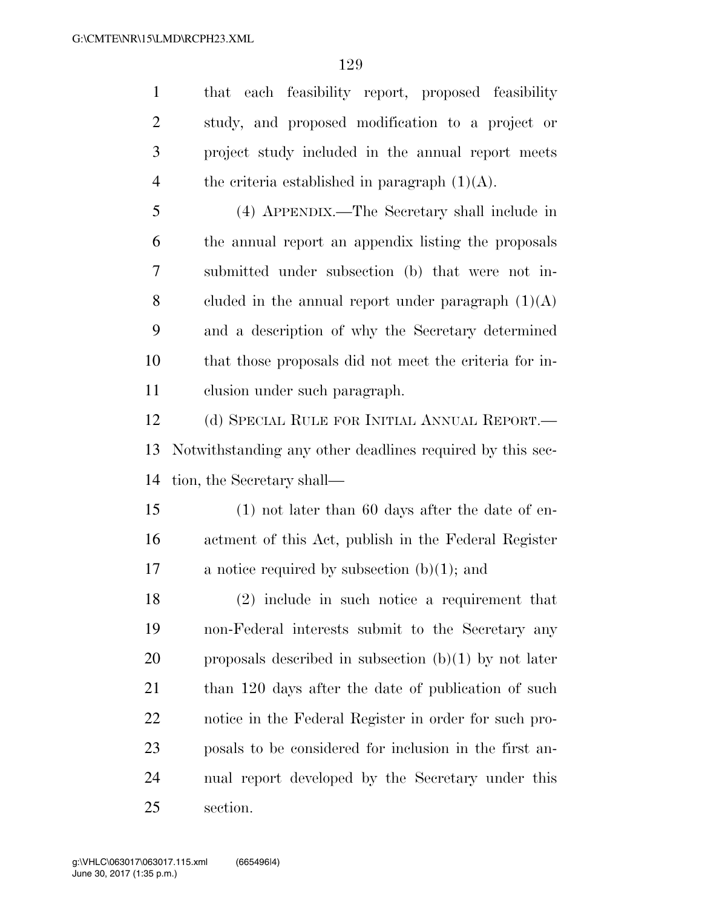that each feasibility report, proposed feasibility study, and proposed modification to a project or project study included in the annual report meets 4 the criteria established in paragraph  $(1)(A)$ . (4) APPENDIX.—The Secretary shall include in the annual report an appendix listing the proposals submitted under subsection (b) that were not in-8 cluded in the annual report under paragraph  $(1)(A)$  and a description of why the Secretary determined that those proposals did not meet the criteria for in-

clusion under such paragraph.

 (d) SPECIAL RULE FOR INITIAL ANNUAL REPORT.— Notwithstanding any other deadlines required by this sec-tion, the Secretary shall—

 (1) not later than 60 days after the date of en- actment of this Act, publish in the Federal Register a notice required by subsection (b)(1); and

 (2) include in such notice a requirement that non-Federal interests submit to the Secretary any 20 proposals described in subsection  $(b)(1)$  by not later 21 than 120 days after the date of publication of such notice in the Federal Register in order for such pro- posals to be considered for inclusion in the first an- nual report developed by the Secretary under this section.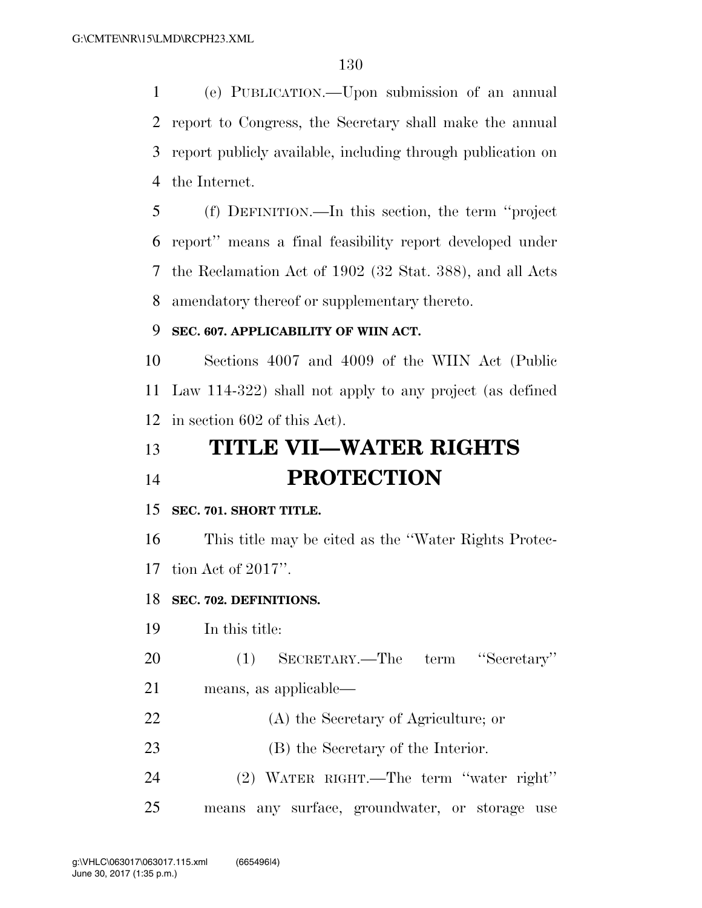(e) PUBLICATION.—Upon submission of an annual report to Congress, the Secretary shall make the annual report publicly available, including through publication on the Internet.

 (f) DEFINITION.—In this section, the term ''project report'' means a final feasibility report developed under the Reclamation Act of 1902 (32 Stat. 388), and all Acts amendatory thereof or supplementary thereto.

### **SEC. 607. APPLICABILITY OF WIIN ACT.**

 Sections 4007 and 4009 of the WIIN Act (Public Law 114-322) shall not apply to any project (as defined in section 602 of this Act).

# **TITLE VII—WATER RIGHTS PROTECTION**

#### **SEC. 701. SHORT TITLE.**

 This title may be cited as the ''Water Rights Protec-tion Act of 2017''.

#### **SEC. 702. DEFINITIONS.**

In this title:

(1) SECRETARY.—The term ''Secretary''

- means, as applicable—
- (A) the Secretary of Agriculture; or
- 23 (B) the Secretary of the Interior.
- (2) WATER RIGHT.—The term ''water right''
- means any surface, groundwater, or storage use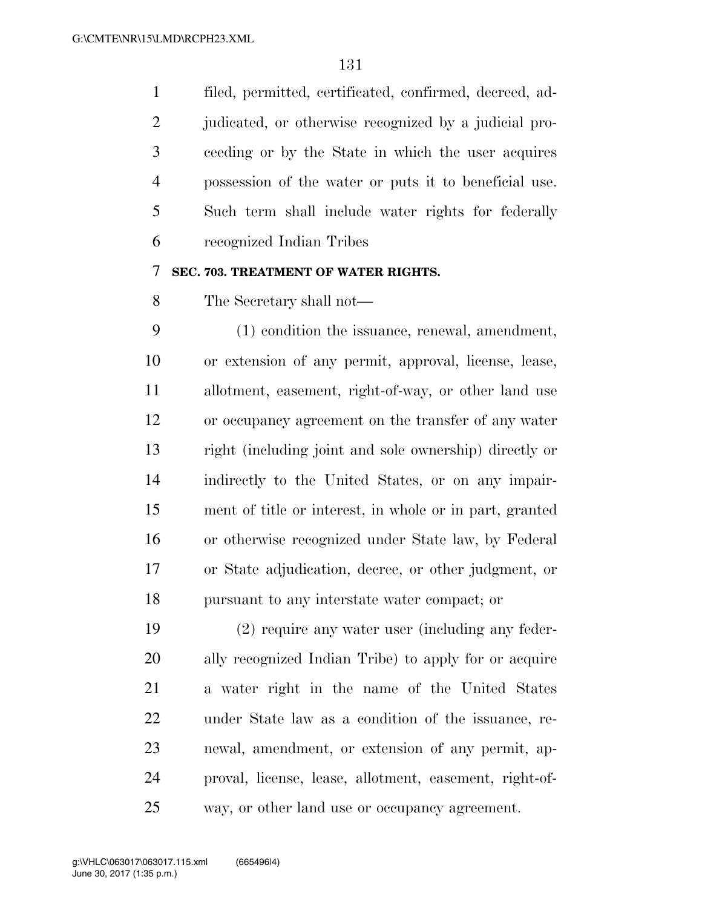filed, permitted, certificated, confirmed, decreed, ad-2 judicated, or otherwise recognized by a judicial pro- ceeding or by the State in which the user acquires possession of the water or puts it to beneficial use. Such term shall include water rights for federally recognized Indian Tribes

#### **SEC. 703. TREATMENT OF WATER RIGHTS.**

The Secretary shall not—

 (1) condition the issuance, renewal, amendment, or extension of any permit, approval, license, lease, allotment, easement, right-of-way, or other land use or occupancy agreement on the transfer of any water right (including joint and sole ownership) directly or indirectly to the United States, or on any impair- ment of title or interest, in whole or in part, granted or otherwise recognized under State law, by Federal or State adjudication, decree, or other judgment, or pursuant to any interstate water compact; or

 (2) require any water user (including any feder- ally recognized Indian Tribe) to apply for or acquire a water right in the name of the United States under State law as a condition of the issuance, re- newal, amendment, or extension of any permit, ap- proval, license, lease, allotment, easement, right-of-way, or other land use or occupancy agreement.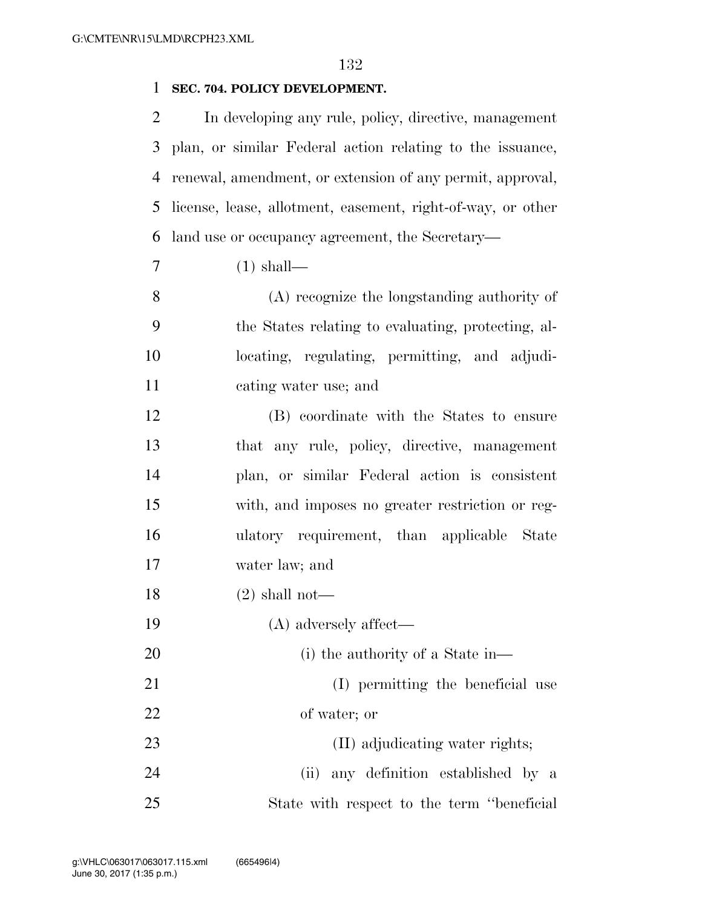#### **SEC. 704. POLICY DEVELOPMENT.**

 In developing any rule, policy, directive, management plan, or similar Federal action relating to the issuance, renewal, amendment, or extension of any permit, approval, license, lease, allotment, easement, right-of-way, or other land use or occupancy agreement, the Secretary—

(1) shall—

 (A) recognize the longstanding authority of the States relating to evaluating, protecting, al- locating, regulating, permitting, and adjudi-cating water use; and

 (B) coordinate with the States to ensure that any rule, policy, directive, management plan, or similar Federal action is consistent with, and imposes no greater restriction or reg- ulatory requirement, than applicable State water law; and

- (2) shall not—
- (A) adversely affect—
- 20 (i) the authority of a State in—

21 (I) permitting the beneficial use of water; or

23 (II) adjudicating water rights; (ii) any definition established by a

State with respect to the term ''beneficial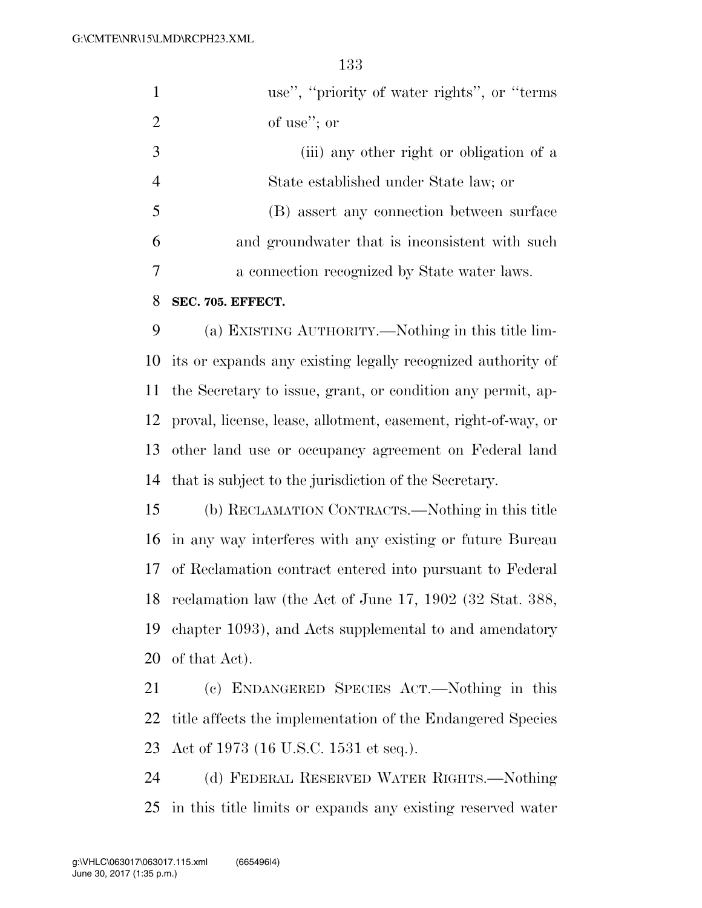|    | use", "priority of water rights", or "terms"   |
|----|------------------------------------------------|
| 2  | of use"; or                                    |
| 3  | (iii) any other right or obligation of a       |
| 4  | State established under State law; or          |
| -5 | (B) assert any connection between surface      |
| 6  | and groundwater that is inconsistent with such |
|    | a connection recognized by State water laws.   |
| 8  | SEC. 705. EFFECT.                              |

 (a) EXISTING AUTHORITY.—Nothing in this title lim- its or expands any existing legally recognized authority of the Secretary to issue, grant, or condition any permit, ap- proval, license, lease, allotment, easement, right-of-way, or other land use or occupancy agreement on Federal land that is subject to the jurisdiction of the Secretary.

 (b) RECLAMATION CONTRACTS.—Nothing in this title in any way interferes with any existing or future Bureau of Reclamation contract entered into pursuant to Federal reclamation law (the Act of June 17, 1902 (32 Stat. 388, chapter 1093), and Acts supplemental to and amendatory of that Act).

 (c) ENDANGERED SPECIES ACT.—Nothing in this title affects the implementation of the Endangered Species Act of 1973 (16 U.S.C. 1531 et seq.).

 (d) FEDERAL RESERVED WATER RIGHTS.—Nothing in this title limits or expands any existing reserved water